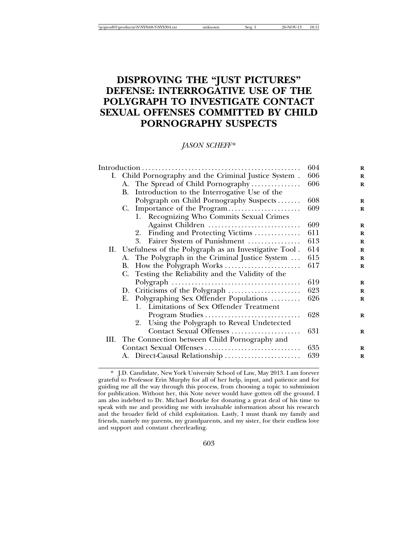# **DISPROVING THE "JUST PICTURES" DEFENSE: INTERROGATIVE USE OF THE POLYGRAPH TO INVESTIGATE CONTACT SEXUAL OFFENSES COMMITTED BY CHILD PORNOGRAPHY SUSPECTS**

*JASON SCHEFF* \*

|                                                           | 604                                                                                                                                                                                                                                                                                                                                | $\bf{R}$          |
|-----------------------------------------------------------|------------------------------------------------------------------------------------------------------------------------------------------------------------------------------------------------------------------------------------------------------------------------------------------------------------------------------------|-------------------|
| I. Child Pornography and the Criminal Justice System.     | 606                                                                                                                                                                                                                                                                                                                                | $\bf{R}$          |
| A. The Spread of Child Pornography                        | 606                                                                                                                                                                                                                                                                                                                                | R                 |
| B. Introduction to the Interrogative Use of the           |                                                                                                                                                                                                                                                                                                                                    |                   |
| Polygraph on Child Pornography Suspects                   | 608                                                                                                                                                                                                                                                                                                                                | $\bf{R}$          |
| C. Importance of the Program                              | 609                                                                                                                                                                                                                                                                                                                                | R                 |
| 1. Recognizing Who Commits Sexual Crimes                  |                                                                                                                                                                                                                                                                                                                                    |                   |
| Against Children                                          | 609                                                                                                                                                                                                                                                                                                                                | $\bf{R}$          |
| 2. Finding and Protecting Victims                         | 611                                                                                                                                                                                                                                                                                                                                | R                 |
| Fairer System of Punishment<br>3.                         | 613                                                                                                                                                                                                                                                                                                                                | $\bf{R}$          |
| II. Usefulness of the Polygraph as an Investigative Tool. | 614                                                                                                                                                                                                                                                                                                                                | $\bf{R}$          |
|                                                           | 615                                                                                                                                                                                                                                                                                                                                | $\bf{R}$          |
| В.                                                        | 617                                                                                                                                                                                                                                                                                                                                | R                 |
| C. Testing the Reliability and the Validity of the        |                                                                                                                                                                                                                                                                                                                                    |                   |
|                                                           | 619                                                                                                                                                                                                                                                                                                                                | $\bf{R}$          |
|                                                           | 623                                                                                                                                                                                                                                                                                                                                | $\bf{R}$          |
|                                                           |                                                                                                                                                                                                                                                                                                                                    | $\bf{R}$          |
|                                                           |                                                                                                                                                                                                                                                                                                                                    |                   |
|                                                           | 628                                                                                                                                                                                                                                                                                                                                | $\bf{R}$          |
|                                                           |                                                                                                                                                                                                                                                                                                                                    |                   |
|                                                           | 631                                                                                                                                                                                                                                                                                                                                | $\bf{R}$          |
|                                                           |                                                                                                                                                                                                                                                                                                                                    |                   |
|                                                           |                                                                                                                                                                                                                                                                                                                                    | $\bf{R}$          |
|                                                           |                                                                                                                                                                                                                                                                                                                                    | R                 |
|                                                           | A. The Polygraph in the Criminal Justice System<br>E. Polygraphing Sex Offender Populations<br>1. Limitations of Sex Offender Treatment<br>2. Using the Polygraph to Reveal Undetected<br>Contact Sexual Offenses<br>III. The Connection between Child Pornography and<br>Contact Sexual Offenses<br>A. Direct-Causal Relationship | 626<br>635<br>639 |

<sup>\*</sup> J.D. Candidate, New York University School of Law, May 2013. I am forever grateful to Professor Erin Murphy for all of her help, input, and patience and for guiding me all the way through this process, from choosing a topic to submission for publication. Without her, this Note never would have gotten off the ground. I am also indebted to Dr. Michael Bourke for donating a great deal of his time to speak with me and providing me with invaluable information about his research and the broader field of child exploitation. Lastly, I must thank my family and friends, namely my parents, my grandparents, and my sister, for their endless love and support and constant cheerleading.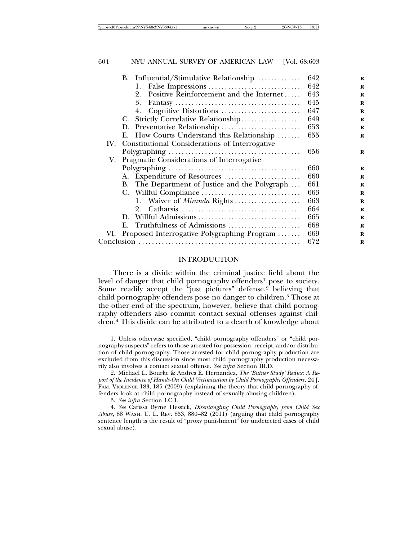| B. Influential/Stimulative Relationship               | 642 | $\bf{R}$ |
|-------------------------------------------------------|-----|----------|
| 1.                                                    | 642 | $\bf{R}$ |
| Positive Reinforcement and the Internet<br>2.         | 643 | $\bf{R}$ |
| 3.                                                    | 645 | $\bf{R}$ |
| 4.                                                    | 647 | R        |
| C. Strictly Correlative Relationship                  | 649 | $\bf{R}$ |
| D. Preventative Relationship                          | 653 | R        |
| E. How Courts Understand this Relationship            | 655 | R        |
| Constitutional Considerations of Interrogative<br>IV. |     |          |
|                                                       | 656 | $\bf{R}$ |
| V. Pragmatic Considerations of Interrogative          |     |          |
|                                                       | 660 | $\bf{R}$ |
| A. Expenditure of Resources                           | 660 | R        |
| B. The Department of Justice and the Polygraph        | 661 | R        |
|                                                       | 663 | $\bf{R}$ |
| 1. Waiver of <i>Miranda</i> Rights                    | 663 | R        |
| 2.                                                    | 664 | R        |
| Willful Admissions<br>D.                              | 665 | R        |
| E. Truthfulness of Admissions                         | 668 | $\bf{R}$ |
| Proposed Interrogative Polygraphing Program<br>VI.    | 669 | $\bf{R}$ |
|                                                       | 672 | R        |

### INTRODUCTION

There is a divide within the criminal justice field about the level of danger that child pornography offenders<sup>1</sup> pose to society. Some readily accept the "just pictures" defense,<sup>2</sup> believing that child pornography offenders pose no danger to children.3 Those at the other end of the spectrum, however, believe that child pornography offenders also commit contact sexual offenses against children.4 This divide can be attributed to a dearth of knowledge about

<sup>1.</sup> Unless otherwise specified, "child pornography offenders" or "child pornography suspects" refers to those arrested for possession, receipt, and/or distribution of child pornography. Those arrested for child pornography production are excluded from this discussion since most child pornography production necessarily also involves a contact sexual offense. *See infra* Section III.D.

<sup>2.</sup> Michael L. Bourke & Andres E. Hernandez, *The 'Butner Study' Redux: A Report of the Incidence of Hands-On Child Victimization by Child Pornography Offenders*, 24 J. FAM. VIOLENCE 183, 185 (2009) (explaining the theory that child pornography offenders look at child pornography instead of sexually abusing children).

<sup>3.</sup> *See infra* Section I.C.1.

<sup>4.</sup> *See* Carissa Byrne Hessick, *Disentangling Child Pornography from Child Sex Abuse*, 88 WASH. U. L. REV. 853, 880–82 (2011) (arguing that child pornography sentence length is the result of "proxy punishment" for undetected cases of child sexual abuse).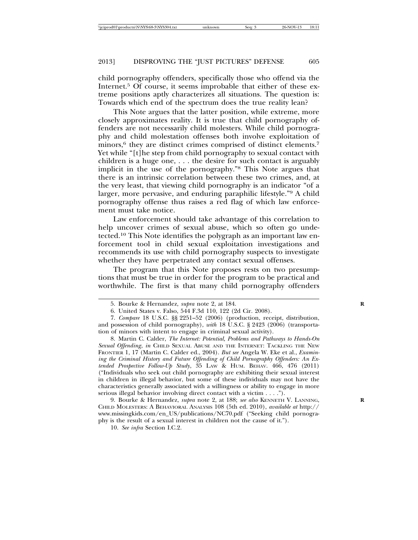child pornography offenders, specifically those who offend via the Internet.<sup>5</sup> Of course, it seems improbable that either of these extreme positions aptly characterizes all situations. The question is: Towards which end of the spectrum does the true reality lean?

This Note argues that the latter position, while extreme, more closely approximates reality. It is true that child pornography offenders are not necessarily child molesters. While child pornography and child molestation offenses both involve exploitation of minors, $6$  they are distinct crimes comprised of distinct elements.<sup>7</sup> Yet while "[t]he step from child pornography to sexual contact with children is a huge one, . . . the desire for such contact is arguably implicit in the use of the pornography."8 This Note argues that there is an intrinsic correlation between these two crimes, and, at the very least, that viewing child pornography is an indicator "of a larger, more pervasive, and enduring paraphilic lifestyle."9 A child pornography offense thus raises a red flag of which law enforcement must take notice.

Law enforcement should take advantage of this correlation to help uncover crimes of sexual abuse, which so often go undetected.10 This Note identifies the polygraph as an important law enforcement tool in child sexual exploitation investigations and recommends its use with child pornography suspects to investigate whether they have perpetrated any contact sexual offenses.

The program that this Note proposes rests on two presumptions that must be true in order for the program to be practical and worthwhile. The first is that many child pornography offenders

9. Bourke & Hernandez, *supra* note 2, at 188; *see also* KENNETH V. LANNING, **R** CHILD MOLESTERS: A BEHAVIORAL ANALYSIS 108 (5th ed. 2010), *available at* http:// www.missingkids.com/en\_US/publications/NC70.pdf ("Seeking child pornography is the result of a sexual interest in children not the cause of it.").

10. *See infra* Section I.C.2.

<sup>5.</sup> Bourke & Hernandez, *supra* note 2, at 184. **R**

<sup>6.</sup> United States v. Falso, 544 F.3d 110, 122 (2d Cir. 2008).

<sup>7.</sup> *Compare* 18 U.S.C. §§ 2251–52 (2006) (production, receipt, distribution, and possession of child pornography), *with* 18 U.S.C. § 2423 (2006) (transportation of minors with intent to engage in criminal sexual activity).

<sup>8.</sup> Martin C. Calder, *The Internet: Potential, Problems and Pathways to Hands-On Sexual Offending*, *in* CHILD SEXUAL ABUSE AND THE INTERNET: TACKLING THE NEW FRONTIER 1, 17 (Martin C. Calder ed., 2004). *But see* Angela W. Eke et al., *Examining the Criminal History and Future Offending of Child Pornography Offenders: An Extended Prospective Follow-Up Study*, 35 LAW & HUM. BEHAV. 466, 476 (2011) ("Individuals who seek out child pornography are exhibiting their sexual interest in children in illegal behavior, but some of these individuals may not have the characteristics generally associated with a willingness or ability to engage in more serious illegal behavior involving direct contact with a victim . . . .").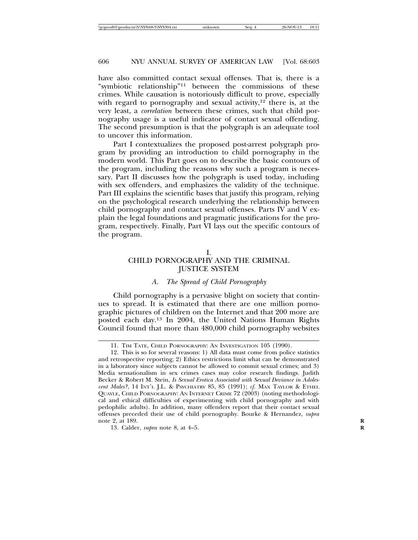have also committed contact sexual offenses. That is, there is a "symbiotic relationship"11 between the commissions of these crimes. While causation is notoriously difficult to prove, especially with regard to pornography and sexual activity,<sup>12</sup> there is, at the very least, a *correlation* between these crimes, such that child pornography usage is a useful indicator of contact sexual offending. The second presumption is that the polygraph is an adequate tool to uncover this information.

Part I contextualizes the proposed post-arrest polygraph program by providing an introduction to child pornography in the modern world. This Part goes on to describe the basic contours of the program, including the reasons why such a program is necessary. Part II discusses how the polygraph is used today, including with sex offenders, and emphasizes the validity of the technique. Part III explains the scientific bases that justify this program, relying on the psychological research underlying the relationship between child pornography and contact sexual offenses. Parts IV and V explain the legal foundations and pragmatic justifications for the program, respectively. Finally, Part VI lays out the specific contours of the program.

# CHILD PORNOGRAPHY AND THE CRIMINAL JUSTICE SYSTEM

### *A. The Spread of Child Pornography*

Child pornography is a pervasive blight on society that continues to spread. It is estimated that there are one million pornographic pictures of children on the Internet and that 200 more are posted each day.13 In 2004, the United Nations Human Rights Council found that more than 480,000 child pornography websites

<sup>11.</sup> TIM TATE, CHILD PORNOGRAPHY: AN INVESTIGATION 105 (1990).

<sup>12.</sup> This is so for several reasons: 1) All data must come from police statistics and retrospective reporting; 2) Ethics restrictions limit what can be demonstrated in a laboratory since subjects cannot be allowed to commit sexual crimes; and 3) Media sensationalism in sex crimes cases may color research findings. Judith Becker & Robert M. Stein, *Is Sexual Erotica Associated with Sexual Deviance in Adolescent Males?*, 14 INT'L J.L. & PSYCHIATRY 85, 85 (1991); *cf.* MAX TAYLOR & ETHEL QUAYLE, CHILD PORNOGRAPHY: AN INTERNET CRIME 72 (2003) (noting methodological and ethical difficulties of experimenting with child pornography and with pedophilic adults). In addition, many offenders report that their contact sexual offenses preceded their use of child pornography. Bourke & Hernandez, *supra* note 2, at 189. **R**

<sup>13.</sup> Calder, *supra* note 8, at 4–5. **R**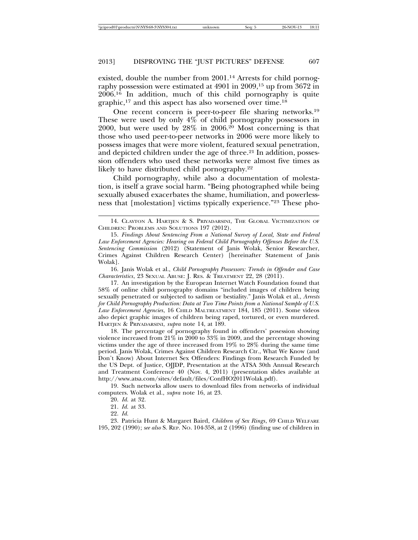existed, double the number from 2001.14 Arrests for child pornography possession were estimated at 4901 in 2009,<sup>15</sup> up from 3672 in 2006.16 In addition, much of this child pornography is quite graphic,17 and this aspect has also worsened over time.18

One recent concern is peer-to-peer file sharing networks.19 These were used by only 4% of child pornography possessors in 2000, but were used by  $28\%$  in  $2006<sup>20</sup>$  Most concerning is that those who used peer-to-peer networks in 2006 were more likely to possess images that were more violent, featured sexual penetration, and depicted children under the age of three.<sup>21</sup> In addition, possession offenders who used these networks were almost five times as likely to have distributed child pornography.<sup>22</sup>

Child pornography, while also a documentation of molestation, is itself a grave social harm. "Being photographed while being sexually abused exacerbates the shame, humiliation, and powerlessness that [molestation] victims typically experience."23 These pho-

16. Janis Wolak et al., *Child Pornography Possessors: Trends in Offender and Case Characteristics*, 23 SEXUAL ABUSE: J. RES. & TREATMENT 22, 28 (2011).

17. An investigation by the European Internet Watch Foundation found that 58% of online child pornography domains "included images of children being sexually penetrated or subjected to sadism or bestiality." Janis Wolak et al., *Arrests for Child Pornography Production: Data at Two Time Points from a National Sample of U.S. Law Enforcement Agencies*, 16 CHILD MALTREATMENT 184, 185 (2011). Some videos also depict graphic images of children being raped, tortured, or even murdered. HARTJEN & PRIYADARSINI, *supra* note 14, at 189.

18. The percentage of pornography found in offenders' posession showing violence increased from 21% in 2000 to 33% in 2009, and the percentage showing victims under the age of three increased from 19% to 28% during the same time period. Janis Wolak, Crimes Against Children Research Ctr., What We Know (and Don't Know) About Internet Sex Offenders: Findings from Research Funded by the US Dept. of Justice, OJJDP, Presentation at the ATSA 30th Annual Research and Treatment Conference 40 (Nov. 4, 2011) (presentation slides available at http://www.atsa.com/sites/default/files/ConfHO2011Wolak.pdf).

19. Such networks allow users to download files from networks of individual computers. Wolak et al., *supra* note 16, at 23.

20. *Id.* at 32.

22. *Id.*

23. Patricia Hunt & Margaret Baird, *Children of Sex Rings*, 69 CHILD WELFARE 195, 202 (1990); *see also* S. REP. NO. 104-358, at 2 (1996) (finding use of children in

<sup>14.</sup> CLAYTON A. HARTJEN & S. PRIYADARSINI, THE GLOBAL VICTIMIZATION OF CHILDREN: PROBLEMS AND SOLUTIONS 197 (2012).

<sup>15.</sup> *Findings About Sentencing From a National Survey of Local, State and Federal Law Enforcement Agencies: Hearing on Federal Child Pornography Offenses Before the U.S. Sentencing Commission* (2012) (Statement of Janis Wolak, Senior Researcher, Crimes Against Children Research Center) [hereinafter Statement of Janis Wolak].

<sup>21.</sup> *Id.* at 33.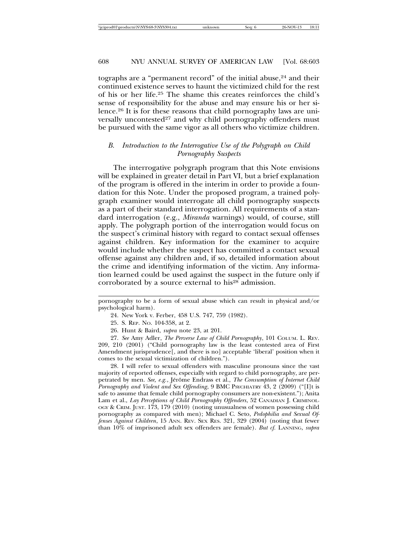tographs are a "permanent record" of the initial abuse,<sup>24</sup> and their continued existence serves to haunt the victimized child for the rest of his or her life.25 The shame this creates reinforces the child's sense of responsibility for the abuse and may ensure his or her silence.26 It is for these reasons that child pornography laws are universally uncontested<sup>27</sup> and why child pornography offenders must be pursued with the same vigor as all others who victimize children.

# *B. Introduction to the Interrogative Use of the Polygraph on Child Pornography Suspects*

The interrogative polygraph program that this Note envisions will be explained in greater detail in Part VI, but a brief explanation of the program is offered in the interim in order to provide a foundation for this Note. Under the proposed program, a trained polygraph examiner would interrogate all child pornography suspects as a part of their standard interrogation. All requirements of a standard interrogation (e.g., *Miranda* warnings) would, of course, still apply. The polygraph portion of the interrogation would focus on the suspect's criminal history with regard to contact sexual offenses against children. Key information for the examiner to acquire would include whether the suspect has committed a contact sexual offense against any children and, if so, detailed information about the crime and identifying information of the victim. Any information learned could be used against the suspect in the future only if corroborated by a source external to his<sup>28</sup> admission.

pornography to be a form of sexual abuse which can result in physical and/or psychological harm).

24. New York v. Ferber, 458 U.S. 747, 759 (1982).

25. S. REP. NO. 104-358, at 2.

26. Hunt & Baird, *supra* note 23, at 201.

27. *See* Amy Adler, *The Perverse Law of Child Pornography*, 101 COLUM. L. REV. 209, 210 (2001) ("Child pornography law is the least contested area of First Amendment jurisprudence[, and there is no] acceptable 'liberal' position when it comes to the sexual victimization of children.").

28. I will refer to sexual offenders with masculine pronouns since the vast majority of reported offenses, especially with regard to child pornography, are perpetrated by men. See, e.g., Jérôme Endrass et al., *The Consumption of Internet Child Pornography and Violent and Sex Offending*, 9 BMC PSYCHIATRY 43, 2 (2009) ("[I]t is safe to assume that female child pornography consumers are non-existent."); Anita Lam et al., *Lay Perceptions of Child Pornography Offenders*, 52 CANADIAN J. CRIMINOL-OGY & CRIM. JUST. 173, 179 (2010) (noting unusualness of women possessing child pornography as compared with men); Michael C. Seto, *Pedophilia and Sexual Offenses Against Children*, 15 ANN. REV. SEX RES. 321, 329 (2004) (noting that fewer than 10% of imprisoned adult sex offenders are female). *But cf.* LANNING, *supra*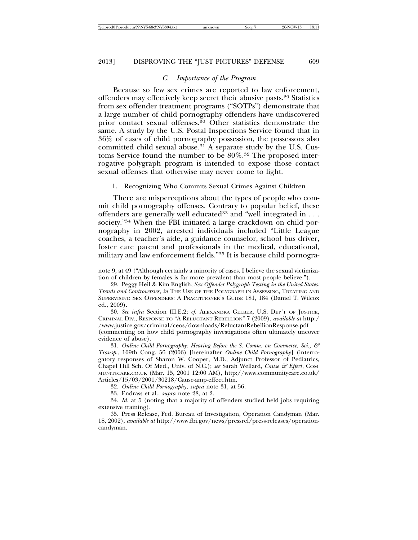#### *C. Importance of the Program*

Because so few sex crimes are reported to law enforcement, offenders may effectively keep secret their abusive pasts.29 Statistics from sex offender treatment programs ("SOTPs") demonstrate that a large number of child pornography offenders have undiscovered prior contact sexual offenses.30 Other statistics demonstrate the same. A study by the U.S. Postal Inspections Service found that in 36% of cases of child pornography possession, the possessors also committed child sexual abuse.31 A separate study by the U.S. Customs Service found the number to be 80%.32 The proposed interrogative polygraph program is intended to expose those contact sexual offenses that otherwise may never come to light.

#### 1. Recognizing Who Commits Sexual Crimes Against Children

There are misperceptions about the types of people who commit child pornography offenses. Contrary to popular belief, these offenders are generally well educated<sup>33</sup> and "well integrated in  $\dots$ society."34 When the FBI initiated a large crackdown on child pornography in 2002, arrested individuals included "Little League coaches, a teacher's aide, a guidance counselor, school bus driver, foster care parent and professionals in the medical, educational, military and law enforcement fields."35 It is because child pornogra-

note 9, at 49 ("Although certainly a minority of cases, I believe the sexual victimization of children by females is far more prevalent than most people believe.").

30. *See infra* Section III.E.2; *cf.* ALEXANDRA GELBER, U.S. DEP'T OF JUSTICE, CRIMINAL DIV., RESPONSE TO "A RELUCTANT REBELLION" 7 (2009), *available at* http:/ /www.justice.gov/criminal/ceos/downloads/ReluctantRebellionResponse.pdf (commenting on how child pornography investigations often ultimately uncover evidence of abuse).

31. *Online Child Pornography: Hearing Before the S. Comm. on Commerce, Sci., & Transp.*, 109th Cong. 56 (2006) [hereinafter *Online Child Pornography*] (interrogatory responses of Sharon W. Cooper, M.D., Adjunct Professor of Pediatrics, Chapel Hill Sch. Of Med., Univ. of N.C.); *see* Sarah Wellard, *Cause & Effect*, COM-MUNITYCARE.CO.UK (Mar. 15, 2001 12:00 AM), http://www.communitycare.co.uk/ Articles/15/03/2001/30218/Cause-amp-effect.htm.

32. *Online Child Pornography*, *supra* note 31, at 56*.*

33. Endrass et al., *supra* note 28, at 2.

34. *Id.* at 5 (noting that a majority of offenders studied held jobs requiring extensive training).

35. Press Release, Fed. Bureau of Investigation, Operation Candyman (Mar. 18, 2002), *available at* http://www.fbi.gov/news/pressrel/press-releases/operationcandyman.

<sup>29.</sup> Peggy Heil & Kim English, *Sex Offender Polygraph Testing in the United States: Trends and Controversies*, *in* THE USE OF THE POLYGRAPH IN ASSESSING, TREATING AND SUPERVISING SEX OFFENDERS: A PRACTITIONER'S GUIDE 181, 184 (Daniel T. Wilcox ed., 2009).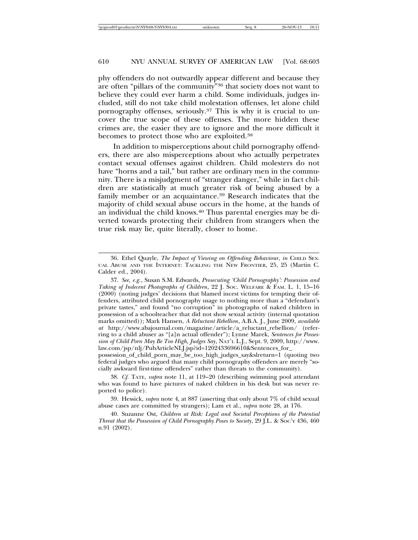phy offenders do not outwardly appear different and because they are often "pillars of the community"36 that society does not want to believe they could ever harm a child. Some individuals, judges included, still do not take child molestation offenses, let alone child pornography offenses, seriously.37 This is why it is crucial to uncover the true scope of these offenses. The more hidden these crimes are, the easier they are to ignore and the more difficult it becomes to protect those who are exploited.38

In addition to misperceptions about child pornography offenders, there are also misperceptions about who actually perpetrates contact sexual offenses against children. Child molesters do not have "horns and a tail," but rather are ordinary men in the community. There is a misjudgment of "stranger danger," while in fact children are statistically at much greater risk of being abused by a family member or an acquaintance.<sup>39</sup> Research indicates that the majority of child sexual abuse occurs in the home, at the hands of an individual the child knows.40 Thus parental energies may be diverted towards protecting their children from strangers when the true risk may lie, quite literally, closer to home.

possession\_of\_child\_porn\_may\_be\_too\_high\_judges\_say&slreturn=1 (quoting two federal judges who argued that many child pornography offenders are merely "socially awkward first-time offenders" rather than threats to the community).

38. *Cf.* TATE, *supra* note 11, at 119–20 (describing swimming pool attendant who was found to have pictures of naked children in his desk but was never reported to police).

39. Hessick, *supra* note 4, at 887 (asserting that only about 7% of child sexual abuse cases are committed by strangers); Lam et al., *supra* note 28, at 176.

40. Suzanne Ost, *Children at Risk: Legal and Societal Perceptions of the Potential Threat that the Possession of Child Pornography Poses to Society*, 29 J.L. & SOC'Y 436, 460 n.91 (2002).

<sup>36.</sup> Ethel Quayle, *The Impact of Viewing on Offending Behaviour*, *in* CHILD SEX-UAL ABUSE AND THE INTERNET: TACKLING THE NEW FRONTIER, 25, 25 (Martin C. Calder ed., 2004).

<sup>37.</sup> *See, e.g.*, Susan S.M. Edwards, *Prosecuting 'Child Pornography': Possession and Taking of Indecent Photographs of Children*, 22 J. SOC. WELFARE & FAM. L. 1, 15–16 (2000) (noting judges' decisions that blamed incest victims for tempting their offenders, attributed child pornography usage to nothing more than a "defendant's private tastes," and found "no corruption" in photographs of naked children in possession of a schoolteacher that did not show sexual activity (internal quotation marks omitted)); Mark Hansen, *A Reluctant Rebellion*, A.B.A. J., June 2009, *available at* http://www.abajournal.com/magazine/article/a\_reluctant\_rebellion/ (referring to a child abuser as "[a]n actual offender"); Lynne Marek, *Sentences for Possession of Child Porn May Be Too High, Judges Say*, NAT'L L.J., Sept. 9, 2009, http://www. law.com/jsp/nlj/PubArticleNLJ.jsp?id=1202433696610&Sentences\_for\_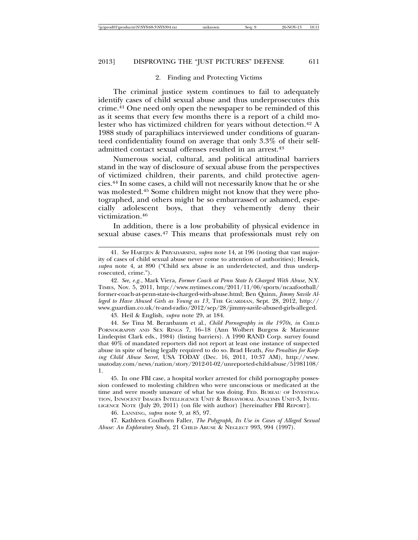#### 2. Finding and Protecting Victims

The criminal justice system continues to fail to adequately identify cases of child sexual abuse and thus underprosecutes this crime.41 One need only open the newspaper to be reminded of this as it seems that every few months there is a report of a child molester who has victimized children for years without detection.42 A 1988 study of paraphiliacs interviewed under conditions of guaranteed confidentiality found on average that only 3.3% of their selfadmitted contact sexual offenses resulted in an arrest.43

Numerous social, cultural, and political attitudinal barriers stand in the way of disclosure of sexual abuse from the perspectives of victimized children, their parents, and child protective agencies.44 In some cases, a child will not necessarily know that he or she was molested.45 Some children might not know that they were photographed, and others might be so embarrassed or ashamed, especially adolescent boys, that they vehemently deny their victimization.46

In addition, there is a low probability of physical evidence in sexual abuse cases.47 This means that professionals must rely on

43. Heil & English, *supra* note 29, at 184.

44. *See* Tina M. Beranbaum et al., *Child Pornography in the 1970s*, *in* CHILD PORNOGRAPHY AND SEX RINGS 7, 16–18 (Ann Wolbert Burgess & Marieanne Lindeqvist Clark eds., 1984) (listing barriers). A 1990 RAND Corp. survey found that 40% of mandated reporters did not report at least one instance of suspected abuse in spite of being legally required to do so. Brad Heath, *Few Penalties for Keeping Child Abuse Secret*, USA TODAY (Dec. 16, 2011, 10:37 AM), http://www. usatoday.com/news/nation/story/2012-01-02/unreported-child-abuse/51981108/ 1.

45. In one FBI case, a hospital worker arrested for child pornography possession confessed to molesting children who were unconscious or medicated at the time and were mostly unaware of what he was doing. FED. BUREAU OF INVESTIGA-TION, INNOCENT IMAGES INTELLIGENCE UNIT & BEHAVIORAL ANALYSIS UNIT-3, INTEL-LIGENCE NOTE (July 20, 2011) (on file with author) [hereinafter FBI REPORT].

46. LANNING, *supra* note 9, at 85, 97.

47. Kathleen Coulborn Faller, *The Polygraph, Its Use in Cases of Alleged Sexual Abuse: An Exploratory Study*, 21 CHILD ABUSE & NEGLECT 993, 994 (1997).

<sup>41.</sup> *See* HARTJEN & PRIYADARSINI, *supra* note 14, at 196 (noting that vast majority of cases of child sexual abuse never come to attention of authorities); Hessick, *supra* note 4, at 890 ("Child sex abuse is an underdetected, and thus underprosecuted, crime.").

<sup>42.</sup> *See, e.g.*, Mark Viera, *Former Coach at Penn State Is Charged With Abuse*, N.Y. TIMES, Nov. 5, 2011, http://www.nytimes.com/2011/11/06/sports/ncaafootball/ former-coach-at-penn-state-is-charged-with-abuse.html; Ben Quinn, *Jimmy Savile Alleged to Have Abused Girls as Young as 13*, THE GUARDIAN, Sept. 28, 2012, http:// www.guardian.co.uk/tv-and-radio/2012/sep/28/jimmy-savile-abused-girls-alleged.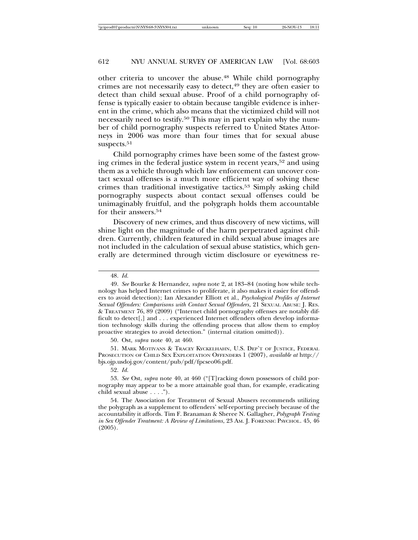other criteria to uncover the abuse.48 While child pornography crimes are not necessarily easy to detect,<sup>49</sup> they are often easier to detect than child sexual abuse. Proof of a child pornography offense is typically easier to obtain because tangible evidence is inherent in the crime, which also means that the victimized child will not necessarily need to testify.<sup>50</sup> This may in part explain why the number of child pornography suspects referred to United States Attorneys in 2006 was more than four times that for sexual abuse suspects.<sup>51</sup>

Child pornography crimes have been some of the fastest growing crimes in the federal justice system in recent years,52 and using them as a vehicle through which law enforcement can uncover contact sexual offenses is a much more efficient way of solving these crimes than traditional investigative tactics.53 Simply asking child pornography suspects about contact sexual offenses could be unimaginably fruitful, and the polygraph holds them accountable for their answers.<sup>54</sup>

Discovery of new crimes, and thus discovery of new victims, will shine light on the magnitude of the harm perpetrated against children. Currently, children featured in child sexual abuse images are not included in the calculation of sexual abuse statistics, which generally are determined through victim disclosure or eyewitness re-

50. Ost, *supra* note 40, at 460.

51. MARK MOTIVANS & TRACEY KYCKELHAHN, U.S. DEP'T OF JUSTICE, FEDERAL PROSECUTION OF CHILD SEX EXPLOITATION OFFENDERS 1 (2007), *available at* http:// bjs.ojp.usdoj.gov/content/pub/pdf/fpcseo06.pdf.

52. *Id.*

53. *See* Ost, *supra* note 40, at 460 ("[T]racking down possessors of child pornography may appear to be a more attainable goal than, for example, eradicating child sexual abuse . . . .").

54. The Association for Treatment of Sexual Abusers recommends utilizing the polygraph as a supplement to offenders' self-reporting precisely because of the accountability it affords. Tim F. Branaman & Sheree N. Gallagher, *Polygraph Testing in Sex Offender Treatment: A Review of Limitations*, 23 AM. J. FORENSIC PSYCHOL. 45, 46 (2005).

<sup>48.</sup> *Id.*

<sup>49.</sup> *See* Bourke & Hernandez, *supra* note 2, at 183–84 (noting how while technology has helped Internet crimes to proliferate, it also makes it easier for offenders to avoid detection); Ian Alexander Elliott et al., *Psychological Profiles of Internet Sexual Offenders: Comparisons with Contact Sexual Offenders*, 21 SEXUAL ABUSE: J. RES. & TREATMENT 76, 89 (2009) ("Internet child pornography offenses are notably difficult to detect[,] and . . . experienced Internet offenders often develop information technology skills during the offending process that allow them to employ proactive strategies to avoid detection." (internal citation omitted)).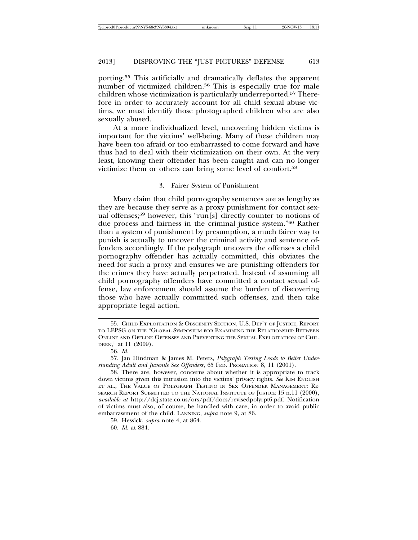porting.55 This artificially and dramatically deflates the apparent number of victimized children.<sup>56</sup> This is especially true for male children whose victimization is particularly underreported.57 Therefore in order to accurately account for all child sexual abuse victims, we must identify those photographed children who are also sexually abused.

At a more individualized level, uncovering hidden victims is important for the victims' well-being. Many of these children may have been too afraid or too embarrassed to come forward and have thus had to deal with their victimization on their own. At the very least, knowing their offender has been caught and can no longer victimize them or others can bring some level of comfort.58

#### 3. Fairer System of Punishment

Many claim that child pornography sentences are as lengthy as they are because they serve as a proxy punishment for contact sexual offenses;59 however, this "run[s] directly counter to notions of due process and fairness in the criminal justice system."60 Rather than a system of punishment by presumption, a much fairer way to punish is actually to uncover the criminal activity and sentence offenders accordingly. If the polygraph uncovers the offenses a child pornography offender has actually committed, this obviates the need for such a proxy and ensures we are punishing offenders for the crimes they have actually perpetrated. Instead of assuming all child pornography offenders have committed a contact sexual offense, law enforcement should assume the burden of discovering those who have actually committed such offenses, and then take appropriate legal action.

<sup>55.</sup> CHILD EXPLOITATION & OBSCENITY SECTION, U.S. DEP'T OF JUSTICE, REPORT TO LEPSG ON THE "GLOBAL SYMPOSIUM FOR EXAMINING THE RELATIONSHIP BETWEEN ONLINE AND OFFLINE OFFENSES AND PREVENTING THE SEXUAL EXPLOITATION OF CHIL-DREN," at 11 (2009).

<sup>56.</sup> *Id.*

<sup>57.</sup> Jan Hindman & James M. Peters, *Polygraph Testing Leads to Better Understanding Adult and Juvenile Sex Offenders*, 65 FED. PROBATION 8, 11 (2001).

<sup>58.</sup> There are, however, concerns about whether it is appropriate to track down victims given this intrusion into the victims' privacy rights. See KIM ENGLISH ET AL., THE VALUE OF POLYGRAPH TESTING IN SEX OFFENDER MANAGEMENT: RE-SEARCH REPORT SUBMITTED TO THE NATIONAL INSTITUTE OF JUSTICE 15 n.11 (2000), *available at* http://dcj.state.co.us/ors/pdf/docs/revisedpolyrpt6.pdf. Notification of victims must also, of course, be handled with care, in order to avoid public embarrassment of the child. LANNING, *supra* note 9, at 86.

<sup>59.</sup> Hessick, *supra* note 4, at 864.

<sup>60.</sup> *Id.* at 884.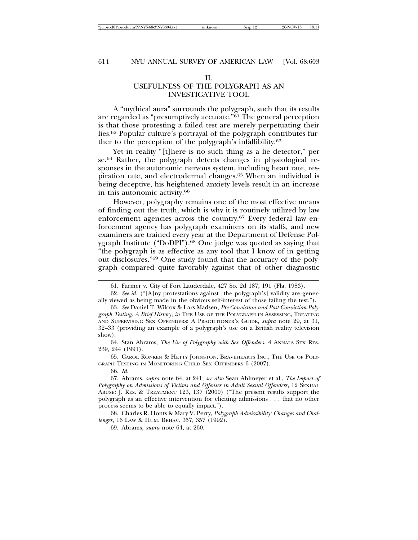# II.

# USEFULNESS OF THE POLYGRAPH AS AN INVESTIGATIVE TOOL

A "mythical aura" surrounds the polygraph, such that its results are regarded as "presumptively accurate."61 The general perception is that those protesting a failed test are merely perpetuating their lies.62 Popular culture's portrayal of the polygraph contributes further to the perception of the polygraph's infallibility.63

Yet in reality "[t]here is no such thing as a lie detector," per se.64 Rather, the polygraph detects changes in physiological responses in the autonomic nervous system, including heart rate, respiration rate, and electrodermal changes.65 When an individual is being deceptive, his heightened anxiety levels result in an increase in this autonomic activity.66

However, polygraphy remains one of the most effective means of finding out the truth, which is why it is routinely utilized by law enforcement agencies across the country.67 Every federal law enforcement agency has polygraph examiners on its staffs, and new examiners are trained every year at the Department of Defense Polygraph Institute ("DoDPI").<sup>68</sup> One judge was quoted as saying that "the polygraph is as effective as any tool that I know of in getting out disclosures."69 One study found that the accuracy of the polygraph compared quite favorably against that of other diagnostic

64. Stan Abrams, *The Use of Polygraphy with Sex Offenders*, 4 ANNALS SEX RES. 239, 244 (1991).

65. CAROL RONKEN & HETTY JOHNSTON, BRAVEHEARTS INC., THE USE OF POLY-GRAPH TESTING IN MONITORING CHILD SEX OFFENDERS 6 (2007).

66. *Id.*

67. Abrams, *supra* note 64, at 241; *see also* Sean Ahlmeyer et al., *The Impact of* Polygraphy on Admissions of Victims and Offenses in Adult Sexual Offenders, 12 SEXUAL ABUSE: J. RES. & TREATMENT 123, 137 (2000) ("The present results support the polygraph as an effective intervention for eliciting admissions . . . that no other process seems to be able to equally impact.").

68. Charles R. Honts & Mary V. Perry, *Polygraph Admissibility: Changes and Challenges*, 16 LAW & HUM. BEHAV. 357, 357 (1992).

69. Abrams, *supra* note 64, at 260.

<sup>61.</sup> Farmer v. City of Fort Lauderdale, 427 So. 2d 187, 191 (Fla. 1983).

<sup>62.</sup> *See id.* ("[A]ny protestations against [the polygraph's] validity are generally viewed as being made in the obvious self-interest of those failing the test.").

<sup>63.</sup> *See* Daniel T. Wilcox & Lars Madsen, *Pre-Conviction and Post-Conviction Polygraph Testing: A Brief History*, *in* THE USE OF THE POLYGRAPH IN ASSESSING, TREATING AND SUPERVISING SEX OFFENDERS: A PRACTITIONER'S GUIDE, *supra* note 29, at 31, 32–33 (providing an example of a polygraph's use on a British reality television show).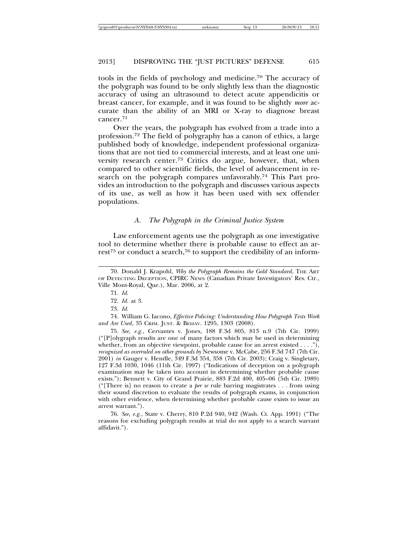tools in the fields of psychology and medicine.70 The accuracy of the polygraph was found to be only slightly less than the diagnostic accuracy of using an ultrasound to detect acute appendicitis or breast cancer, for example, and it was found to be slightly *more* accurate than the ability of an MRI or X-ray to diagnose breast cancer.71

Over the years, the polygraph has evolved from a trade into a profession.72 The field of polygraphy has a canon of ethics, a large published body of knowledge, independent professional organizations that are not tied to commercial interests, and at least one university research center.73 Critics do argue, however, that, when compared to other scientific fields, the level of advancement in research on the polygraph compares unfavorably.<sup>74</sup> This Part provides an introduction to the polygraph and discusses various aspects of its use, as well as how it has been used with sex offender populations.

#### *A. The Polygraph in the Criminal Justice System*

Law enforcement agents use the polygraph as one investigative tool to determine whether there is probable cause to effect an arrest<sup>75</sup> or conduct a search,<sup>76</sup> to support the credibility of an inform-

74. William G. Iacono, *Effective Policing: Understanding How Polygraph Tests Work and Are Used*, 35 CRIM. JUST. & BEHAV. 1295, 1303 (2008).

75. *See, e.g.*, Cervantes v. Jones, 188 F.3d 805, 813 n.9 (7th Cir. 1999) ("[P]olygraph results are one of many factors which may be used in determining whether, from an objective viewpoint, probable cause for an arrest existed . . . ."), *recognized as overruled on other grounds by* Newsome v. McCabe, 256 F.3d 747 (7th Cir. 2001) *in* Gauger v. Hendle, 349 F.3d 354, 358 (7th Cir. 2003); Craig v. Singletary, 127 F.3d 1030, 1046 (11th Cir. 1997) ("Indications of deception on a polygraph examination may be taken into account in determining whether probable cause exists."); Bennett v. City of Grand Prairie, 883 F.2d 400, 405–06 (5th Cir. 1989) ("[There is] no reason to create a *per se* rule barring magistrates . . . from using their sound discretion to evaluate the results of polygraph exams, in conjunction with other evidence, when determining whether probable cause exists to issue an arrest warrant.").

76. *See, e.g.*, State v. Cherry, 810 P.2d 940, 942 (Wash. Ct. App. 1991) ("The reasons for excluding polygraph results at trial do not apply to a search warrant affidavit.").

<sup>70.</sup> Donald J. Krapohl, *Why the Polygraph Remains the Gold Standard*, THE ART OF DETECTING DECEPTION, CPIRC NEWS (Canadian Private Investigators' Res. Ctr., Ville Mont-Royal, Que.), Mar. 2006, at 2.

<sup>71.</sup> *Id.*

<sup>72.</sup> *Id.* at 3.

<sup>73.</sup> *Id.*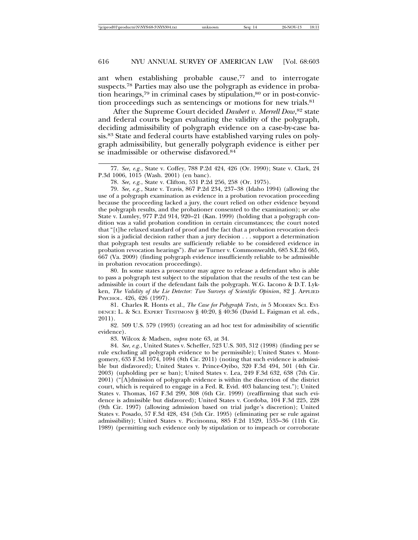ant when establishing probable cause,<sup>77</sup> and to interrogate suspects.78 Parties may also use the polygraph as evidence in probation hearings, $79$  in criminal cases by stipulation, $80$  or in post-conviction proceedings such as sentencings or motions for new trials.81

After the Supreme Court decided *Daubert v. Merrell Dow*, 82 state and federal courts began evaluating the validity of the polygraph, deciding admissibility of polygraph evidence on a case-by-case basis.83 State and federal courts have established varying rules on polygraph admissibility, but generally polygraph evidence is either per se inadmissible or otherwise disfavored.84

78. *See, e.g.*, State v. Clifton, 531 P.2d 256, 258 (Or. 1975).

79. *See, e.g.*, State v. Travis, 867 P.2d 234, 237–38 (Idaho 1994) (allowing the use of a polygraph examination as evidence in a probation revocation proceeding because the proceeding lacked a jury, the court relied on other evidence beyond the polygraph results, and the probationer consented to the examination); *see also* State v. Lumley, 977 P.2d 914, 920–21 (Kan. 1999) (holding that a polygraph condition was a valid probation condition in certain circumstances; the court noted that "[t]he relaxed standard of proof and the fact that a probation revocation decision is a judicial decision rather than a jury decision . . . support a determination that polygraph test results are sufficiently reliable to be considered evidence in probation revocation hearings"). *But see* Turner v. Commonwealth, 685 S.E.2d 665, 667 (Va. 2009) (finding polygraph evidence insufficiently reliable to be admissible in probation revocation proceedings).

80. In some states a prosecutor may agree to release a defendant who is able to pass a polygraph test subject to the stipulation that the results of the test can be admissible in court if the defendant fails the polygraph. W.G. Iacono & D.T. Lykken, *The Validity of the Lie Detector: Two Surveys of Scientific Opinion*, 82 J. APPLIED PSYCHOL. 426, 426 (1997).

81. Charles R. Honts et al., *The Case for Polygraph Tests*, *in* 5 MODERN SCI. EVI-DENCE: L. & SCI. EXPERT TESTIMONY § 40:20, § 40:36 (David L. Faigman et al. eds., 2011).

82. 509 U.S. 579 (1993) (creating an ad hoc test for admissibility of scientific evidence).

83. Wilcox & Madsen, *supra* note 63, at 34.

84. *See, e.g.*, United States v. Scheffer, 523 U.S. 303, 312 (1998) (finding per se rule excluding all polygraph evidence to be permissible); United States v. Montgomery, 635 F.3d 1074, 1094 (8th Cir. 2011) (noting that such evidence is admissible but disfavored); United States v. Prince-Oyibo, 320 F.3d 494, 501 (4th Cir. 2003) (upholding per se ban); United States v. Lea, 249 F.3d 632, 638 (7th Cir. 2001) ("[A]dmission of polygraph evidence is within the discretion of the district court, which is required to engage in a Fed. R. Evid. 403 balancing test."); United States v. Thomas, 167 F.3d 299, 308 (6th Cir. 1999) (reaffirming that such evidence is admissible but disfavored); United States v. Cordoba, 104 F.3d 225, 228 (9th Cir. 1997) (allowing admission based on trial judge's discretion); United States v. Posado, 57 F.3d 428, 434 (5th Cir. 1995) (eliminating per se rule against admissibility); United States v. Piccinonna, 885 F.2d 1529, 1535–36 (11th Cir. 1989) (permitting such evidence only by stipulation or to impeach or corroborate

<sup>77.</sup> *See, e.g.*, State v. Coffey, 788 P.2d 424, 426 (Or. 1990); State v. Clark, 24 P.3d 1006, 1015 (Wash. 2001) (en banc).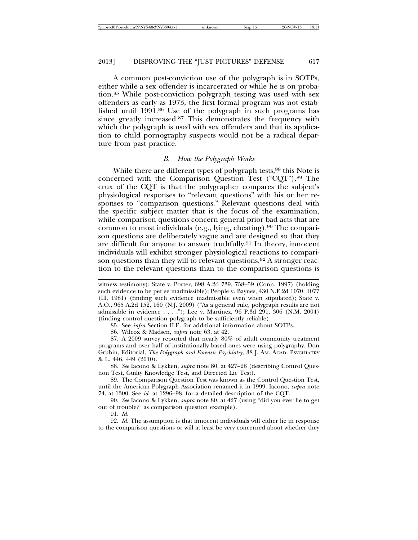A common post-conviction use of the polygraph is in SOTPs, either while a sex offender is incarcerated or while he is on probation.85 While post-conviction polygraph testing was used with sex offenders as early as 1973, the first formal program was not established until 1991.86 Use of the polygraph in such programs has since greatly increased.87 This demonstrates the frequency with which the polygraph is used with sex offenders and that its application to child pornography suspects would not be a radical departure from past practice.

#### *B. How the Polygraph Works*

While there are different types of polygraph tests,<sup>88</sup> this Note is concerned with the Comparison Question Test ("CQT").89 The crux of the CQT is that the polygrapher compares the subject's physiological responses to "relevant questions" with his or her responses to "comparison questions." Relevant questions deal with the specific subject matter that is the focus of the examination, while comparison questions concern general prior bad acts that are common to most individuals (e.g., lying, cheating).<sup>90</sup> The comparison questions are deliberately vague and are designed so that they are difficult for anyone to answer truthfully.91 In theory, innocent individuals will exhibit stronger physiological reactions to comparison questions than they will to relevant questions.<sup>92</sup> A stronger reaction to the relevant questions than to the comparison questions is

86. Wilcox & Madsen, *supra* note 63, at 42.

87. A 2009 survey reported that nearly 80% of adult community treatment programs and over half of institutionally based ones were using polygraphy. Don Grubin, Editorial, *The Polygraph and Forensic Psychiatry*, 38 J. AM. ACAD. PSYCHIATRY & L. 446, 449 (2010).

88. *See* Iacono & Lykken, *supra* note 80, at 427–28 (describing Control Question Test, Guilty Knowledge Test, and Directed Lie Test).

89. The Comparison Question Test was known as the Control Question Test, until the American Polygraph Association renamed it in 1999. Iacono, *supra* note 74, at 1300. See *id.* at 1296–98, for a detailed description of the CQT.

90. *See* Iacono & Lykken, *supra* note 80, at 427 (using "did you ever lie to get out of trouble?" as comparison question example).

92. *Id.* The assumption is that innocent individuals will either lie in response to the comparison questions or will at least be very concerned about whether they

witness testimony); State v. Porter, 698 A.2d 739, 758–59 (Conn. 1997) (holding such evidence to be per se inadmissible); People v. Baynes, 430 N.E.2d 1070, 1077 (Ill. 1981) (finding such evidence inadmissible even when stipulated); State v. A.O., 965 A.2d 152, 160 (N.J. 2009) ("As a general rule, polygraph results are not admissible in evidence . . . ."); Lee v. Martinez, 96 P.3d 291, 306 (N.M. 2004) (finding control question polygraph to be sufficiently reliable).

<sup>85.</sup> See *infra* Section II.E. for additional information about SOTPs.

<sup>91.</sup> *Id.*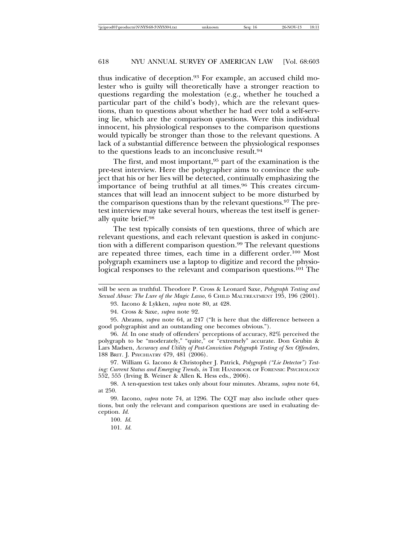thus indicative of deception.93 For example, an accused child molester who is guilty will theoretically have a stronger reaction to questions regarding the molestation (e.g., whether he touched a particular part of the child's body), which are the relevant questions, than to questions about whether he had ever told a self-serving lie, which are the comparison questions. Were this individual innocent, his physiological responses to the comparison questions would typically be stronger than those to the relevant questions. A lack of a substantial difference between the physiological responses to the questions leads to an inconclusive result.94

The first, and most important,<sup>95</sup> part of the examination is the pre-test interview. Here the polygrapher aims to convince the subject that his or her lies will be detected, continually emphasizing the importance of being truthful at all times.<sup>96</sup> This creates circumstances that will lead an innocent subject to be more disturbed by the comparison questions than by the relevant questions.97 The pretest interview may take several hours, whereas the test itself is generally quite brief.98

The test typically consists of ten questions, three of which are relevant questions, and each relevant question is asked in conjunction with a different comparison question.99 The relevant questions are repeated three times, each time in a different order.100 Most polygraph examiners use a laptop to digitize and record the physiological responses to the relevant and comparison questions.<sup>101</sup> The

93. Iacono & Lykken, *supra* note 80, at 428.

94. Cross & Saxe, *supra* note 92.

95. Abrams, *supra* note 64, at 247 ("It is here that the difference between a good polygraphist and an outstanding one becomes obvious.").

96. *Id.* In one study of offenders' perceptions of accuracy, 82% perceived the polygraph to be "moderately," "quite," or "extremely" accurate. Don Grubin & Lars Madsen, *Accuracy and Utility of Post-Conviction Polygraph Testing of Sex Offenders*, 188 BRIT. J. PSYCHIATRY 479, 481 (2006).

97. William G. Iacono & Christopher J. Patrick, *Polygraph ("Lie Detector") Testing: Current Status and Emerging Trends*, *in* THE HANDBOOK OF FORENSIC PSYCHOLOGY 552, 555 (Irving B. Weiner & Allen K. Hess eds., 2006).

98. A ten-question test takes only about four minutes. Abrams, *supra* note 64, at 250.

99. Iacono, *supra* note 74, at 1296. The CQT may also include other questions, but only the relevant and comparison questions are used in evaluating deception. *Id.*

will be seen as truthful. Theodore P. Cross & Leonard Saxe, *Polygraph Testing and Sexual Abuse: The Lure of the Magic Lasso*, 6 CHILD MALTREATMENT 195, 196 (2001).

<sup>100.</sup> *Id.*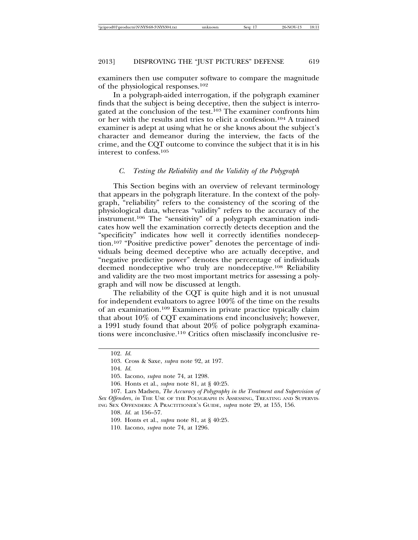examiners then use computer software to compare the magnitude of the physiological responses.102

In a polygraph-aided interrogation, if the polygraph examiner finds that the subject is being deceptive, then the subject is interrogated at the conclusion of the test.<sup>103</sup> The examiner confronts him or her with the results and tries to elicit a confession.104 A trained examiner is adept at using what he or she knows about the subject's character and demeanor during the interview, the facts of the crime, and the CQT outcome to convince the subject that it is in his interest to confess.105

#### *C. Testing the Reliability and the Validity of the Polygraph*

This Section begins with an overview of relevant terminology that appears in the polygraph literature. In the context of the polygraph, "reliability" refers to the consistency of the scoring of the physiological data, whereas "validity" refers to the accuracy of the instrument.106 The "sensitivity" of a polygraph examination indicates how well the examination correctly detects deception and the "specificity" indicates how well it correctly identifies nondeception.107 "Positive predictive power" denotes the percentage of individuals being deemed deceptive who are actually deceptive, and "negative predictive power" denotes the percentage of individuals deemed nondeceptive who truly are nondeceptive.108 Reliability and validity are the two most important metrics for assessing a polygraph and will now be discussed at length.

The reliability of the CQT is quite high and it is not unusual for independent evaluators to agree 100% of the time on the results of an examination.109 Examiners in private practice typically claim that about 10% of CQT examinations end inconclusively; however, a 1991 study found that about 20% of police polygraph examinations were inconclusive.110 Critics often misclassify inconclusive re-

<sup>102.</sup> *Id.*

<sup>103.</sup> Cross & Saxe, *supra* note 92, at 197.

<sup>105.</sup> Iacono, *supra* note 74, at 1298.

<sup>106.</sup> Honts et al., *supra* note 81, at § 40:25.

<sup>107.</sup> Lars Madsen, *The Accuracy of Polygraphy in the Treatment and Supervision of Sex Offenders*, *in* THE USE OF THE POLYGRAPH IN ASSESSING, TREATING AND SUPERVIS-ING SEX OFFENDERS: A PRACTITIONER'S GUIDE, *supra* note 29, at 155, 156.

<sup>108.</sup> *Id.* at 156–57.

<sup>109.</sup> Honts et al., *supra* note 81, at § 40:25.

<sup>110.</sup> Iacono, *supra* note 74, at 1296.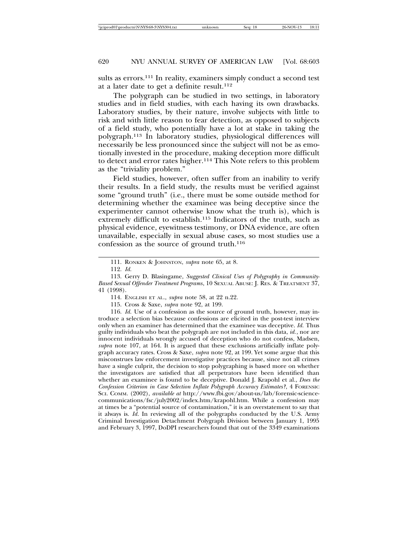sults as errors.<sup>111</sup> In reality, examiners simply conduct a second test at a later date to get a definite result. $112$ 

The polygraph can be studied in two settings, in laboratory studies and in field studies, with each having its own drawbacks. Laboratory studies, by their nature, involve subjects with little to risk and with little reason to fear detection, as opposed to subjects of a field study, who potentially have a lot at stake in taking the polygraph.113 In laboratory studies, physiological differences will necessarily be less pronounced since the subject will not be as emotionally invested in the procedure, making deception more difficult to detect and error rates higher.114 This Note refers to this problem as the "triviality problem."

Field studies, however, often suffer from an inability to verify their results. In a field study, the results must be verified against some "ground truth" (i.e., there must be some outside method for determining whether the examinee was being deceptive since the experimenter cannot otherwise know what the truth is), which is extremely difficult to establish.<sup>115</sup> Indicators of the truth, such as physical evidence, eyewitness testimony, or DNA evidence, are often unavailable, especially in sexual abuse cases, so most studies use a confession as the source of ground truth.116

115. Cross & Saxe, *supra* note 92, at 199.

116. *Id.* Use of a confession as the source of ground truth, however, may introduce a selection bias because confessions are elicited in the post-test interview only when an examiner has determined that the examinee was deceptive. *Id.* Thus guilty individuals who beat the polygraph are not included in this data, *id.*, nor are innocent individuals wrongly accused of deception who do not confess, Madsen, *supra* note 107, at 164. It is argued that these exclusions artificially inflate polygraph accuracy rates. Cross & Saxe, *supra* note 92, at 199. Yet some argue that this misconstrues law enforcement investigative practices because, since not all crimes have a single culprit, the decision to stop polygraphing is based more on whether the investigators are satisfied that all perpetrators have been identified than whether an examinee is found to be deceptive. Donald J. Krapohl et al., *Does the Confession Criterion in Case Selection Inflate Polygraph Accuracy Estimates?*, 4 FORENSIC SCI. COMM. (2002), *available at* http://www.fbi.gov/about-us/lab/forensic-sciencecommunications/fsc/july2002/index.htm/krapohl.htm. While a confession may at times be a "potential source of contamination," it is an overstatement to say that it always is. *Id*. In reviewing all of the polygraphs conducted by the U.S. Army Criminal Investigation Detachment Polygraph Division between January 1, 1995 and February 3, 1997, DoDPI researchers found that out of the 3349 examinations

<sup>111.</sup> RONKEN & JOHNSTON, *supra* note 65, at 8.

<sup>112.</sup> *Id.*

<sup>113.</sup> Gerry D. Blasingame, *Suggested Clinical Uses of Polygraphy in Community-Based Sexual Offender Treatment Programs*, 10 SEXUAL ABUSE: J. RES. & TREATMENT 37, 41 (1998).

<sup>114.</sup> ENGLISH ET AL., *supra* note 58, at 22 n.22.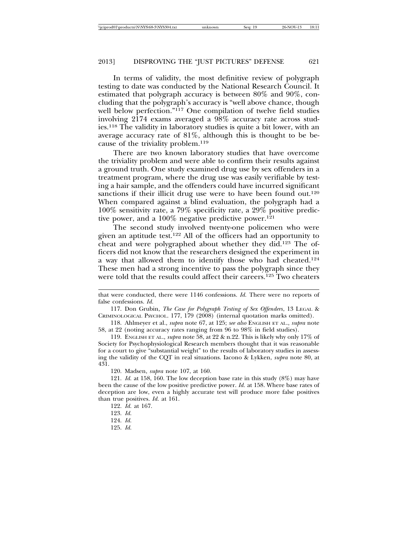In terms of validity, the most definitive review of polygraph testing to date was conducted by the National Research Council. It estimated that polygraph accuracy is between 80% and 90%, concluding that the polygraph's accuracy is "well above chance, though well below perfection."117 One compilation of twelve field studies involving 2174 exams averaged a 98% accuracy rate across studies.118 The validity in laboratory studies is quite a bit lower, with an average accuracy rate of 81%, although this is thought to be because of the triviality problem.119

There are two known laboratory studies that have overcome the triviality problem and were able to confirm their results against a ground truth. One study examined drug use by sex offenders in a treatment program, where the drug use was easily verifiable by testing a hair sample, and the offenders could have incurred significant sanctions if their illicit drug use were to have been found out.<sup>120</sup> When compared against a blind evaluation, the polygraph had a 100% sensitivity rate, a 79% specificity rate, a 29% positive predictive power, and a 100% negative predictive power.<sup>121</sup>

The second study involved twenty-one policemen who were given an aptitude test.122 All of the officers had an opportunity to cheat and were polygraphed about whether they did.123 The officers did not know that the researchers designed the experiment in a way that allowed them to identify those who had cheated.<sup>124</sup> These men had a strong incentive to pass the polygraph since they were told that the results could affect their careers.125 Two cheaters

117. Don Grubin, *The Case for Polygraph Testing of Sex Offenders*, 13 LEGAL & CRIMINOLOGICAL PSYCHOL. 177, 179 (2008) (internal quotation marks omitted).

118. Ahlmeyer et al., *supra* note 67, at 125; *see also* ENGLISH ET AL., *supra* note 58, at 22 (noting accuracy rates ranging from 96 to 98% in field studies).

119. ENGLISH ET AL., *supra* note 58, at 22 & n.22. This is likely why only 17% of Society for Psychophysiological Research members thought that it was reasonable for a court to give "substantial weight" to the results of laboratory studies in assessing the validity of the CQT in real situations. Iacono & Lykken, *supra* note 80, at 431.

120. Madsen, *supra* note 107, at 160.

121. *Id.* at 158, 160. The low deception base rate in this study (8%) may have been the cause of the low positive predictive power. *Id.* at 158. Where base rates of deception are low, even a highly accurate test will produce more false positives than true positives. *Id.* at 161.

that were conducted, there were 1146 confessions. *Id.* There were no reports of false confessions. *Id.*

<sup>122.</sup> *Id.* at 167.

<sup>123.</sup> *Id.*

<sup>124.</sup> *Id.*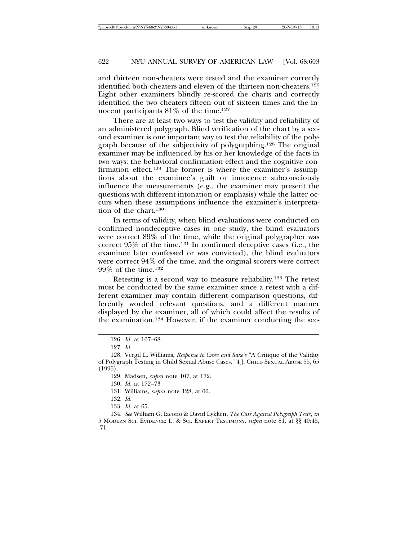and thirteen non-cheaters were tested and the examiner correctly identified both cheaters and eleven of the thirteen non-cheaters.126 Eight other examiners blindly re-scored the charts and correctly identified the two cheaters fifteen out of sixteen times and the innocent participants  $81\%$  of the time.<sup>127</sup>

There are at least two ways to test the validity and reliability of an administered polygraph. Blind verification of the chart by a second examiner is one important way to test the reliability of the polygraph because of the subjectivity of polygraphing.128 The original examiner may be influenced by his or her knowledge of the facts in two ways: the behavioral confirmation effect and the cognitive confirmation effect.<sup>129</sup> The former is where the examiner's assumptions about the examinee's guilt or innocence subconsciously influence the measurements (e.g., the examiner may present the questions with different intonation or emphasis) while the latter occurs when these assumptions influence the examiner's interpretation of the chart.130

In terms of validity, when blind evaluations were conducted on confirmed nondeceptive cases in one study, the blind evaluators were correct 89% of the time, while the original polygrapher was correct 95% of the time.131 In confirmed deceptive cases (i.e., the examinee later confessed or was convicted), the blind evaluators were correct 94% of the time, and the original scorers were correct 99% of the time.132

Retesting is a second way to measure reliability.133 The retest must be conducted by the same examiner since a retest with a different examiner may contain different comparison questions, differently worded relevant questions, and a different manner displayed by the examiner, all of which could affect the results of the examination.134 However, if the examiner conducting the sec-

<sup>126.</sup> *Id.* at 167–68.

<sup>127.</sup> *Id.*

<sup>128.</sup> Vergil L. Williams, *Response to Cross and Saxe's* "A Critique of the Validity of Polygraph Testing in Child Sexual Abuse Cases," 4 J. CHILD SEXUAL ABUSE 55, 65 (1995).

<sup>129.</sup> Madsen, *supra* note 107, at 172.

<sup>130.</sup> *Id.* at 172–73

<sup>131.</sup> Williams, *supra* note 128, at 66.

<sup>132.</sup> *Id.*

<sup>133.</sup> *Id.* at 65.

<sup>134.</sup> *See* William G. Iacono & David Lykken, *The Case Against Polygraph Tests*, *in* 5 MODERN SCI. EVIDENCE: L. & SCI. EXPERT TESTIMONY, *supra* note 81, at §§ 40:45, :71.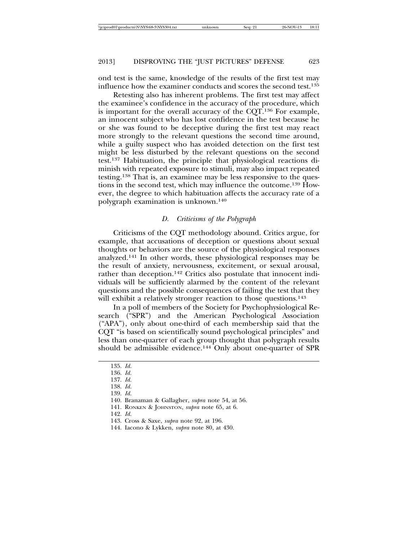ond test is the same, knowledge of the results of the first test may influence how the examiner conducts and scores the second test.135

Retesting also has inherent problems. The first test may affect the examinee's confidence in the accuracy of the procedure, which is important for the overall accuracy of the CQT.136 For example, an innocent subject who has lost confidence in the test because he or she was found to be deceptive during the first test may react more strongly to the relevant questions the second time around, while a guilty suspect who has avoided detection on the first test might be less disturbed by the relevant questions on the second test.137 Habituation, the principle that physiological reactions diminish with repeated exposure to stimuli, may also impact repeated testing.138 That is, an examinee may be less responsive to the questions in the second test, which may influence the outcome.139 However, the degree to which habituation affects the accuracy rate of a polygraph examination is unknown.140

#### *D. Criticisms of the Polygraph*

Criticisms of the CQT methodology abound. Critics argue, for example, that accusations of deception or questions about sexual thoughts or behaviors are the source of the physiological responses analyzed.141 In other words, these physiological responses may be the result of anxiety, nervousness, excitement, or sexual arousal, rather than deception.142 Critics also postulate that innocent individuals will be sufficiently alarmed by the content of the relevant questions and the possible consequences of failing the test that they will exhibit a relatively stronger reaction to those questions.<sup>143</sup>

In a poll of members of the Society for Psychophysiological Research ("SPR") and the American Psychological Association ("APA"), only about one-third of each membership said that the CQT "is based on scientifically sound psychological principles" and less than one-quarter of each group thought that polygraph results should be admissible evidence.144 Only about one-quarter of SPR

142. *Id.*

144. Iacono & Lykken, *supra* note 80, at 430.

<sup>135.</sup> *Id.*

<sup>136.</sup> *Id.*

<sup>137.</sup> *Id.*

<sup>138.</sup> *Id.*

<sup>139.</sup> *Id.*

<sup>140.</sup> Branaman & Gallagher, *supra* note 54, at 56.

<sup>141.</sup> RONKEN & JOHNSTON, *supra* note 65, at 6.

<sup>143.</sup> Cross & Saxe, *supra* note 92, at 196.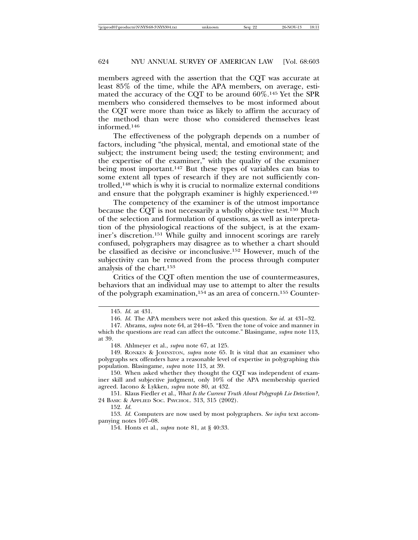members agreed with the assertion that the CQT was accurate at least 85% of the time, while the APA members, on average, estimated the accuracy of the CQT to be around 60%.145 Yet the SPR members who considered themselves to be most informed about the CQT were more than twice as likely to affirm the accuracy of the method than were those who considered themselves least informed.146

The effectiveness of the polygraph depends on a number of factors, including "the physical, mental, and emotional state of the subject; the instrument being used; the testing environment; and the expertise of the examiner," with the quality of the examiner being most important.147 But these types of variables can bias to some extent all types of research if they are not sufficiently controlled,148 which is why it is crucial to normalize external conditions and ensure that the polygraph examiner is highly experienced.149

The competency of the examiner is of the utmost importance because the CQT is not necessarily a wholly objective test.150 Much of the selection and formulation of questions, as well as interpretation of the physiological reactions of the subject, is at the examiner's discretion.151 While guilty and innocent scorings are rarely confused, polygraphers may disagree as to whether a chart should be classified as decisive or inconclusive.152 However, much of the subjectivity can be removed from the process through computer analysis of the chart.153

Critics of the CQT often mention the use of countermeasures, behaviors that an individual may use to attempt to alter the results of the polygraph examination,154 as an area of concern.155 Counter-

147. Abrams, *supra* note 64, at 244–45. "Even the tone of voice and manner in which the questions are read can affect the outcome." Blasingame, *supra* note 113, at 39.

152. *Id.*

153. *Id.* Computers are now used by most polygraphers. *See infra* text accompanying notes 107–08.

154. Honts et al., *supra* note 81, at § 40:33.

<sup>145.</sup> *Id.* at 431.

<sup>146.</sup> *Id.* The APA members were not asked this question. *See id.* at 431–32.

<sup>148.</sup> Ahlmeyer et al., *supra* note 67, at 125.

<sup>149.</sup> RONKEN & JOHNSTON, *supra* note 65. It is vital that an examiner who polygraphs sex offenders have a reasonable level of expertise in polygraphing this population. Blasingame, *supra* note 113, at 39.

<sup>150.</sup> When asked whether they thought the CQT was independent of examiner skill and subjective judgment, only 10% of the APA membership queried agreed. Iacono & Lykken, *supra* note 80, at 432.

<sup>151.</sup> Klaus Fiedler et al., *What Is the Current Truth About Polygraph Lie Detection?*, 24 BASIC & APPLIED SOC. PSYCHOL. 313, 315 (2002).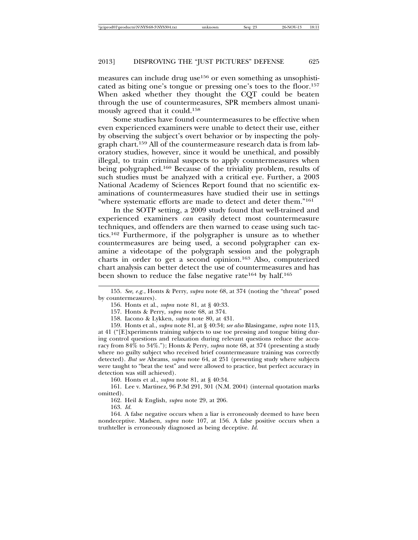measures can include drug use156 or even something as unsophisticated as biting one's tongue or pressing one's toes to the floor.157 When asked whether they thought the CQT could be beaten through the use of countermeasures, SPR members almost unanimously agreed that it could.158

Some studies have found countermeasures to be effective when even experienced examiners were unable to detect their use, either by observing the subject's overt behavior or by inspecting the polygraph chart.159 All of the countermeasure research data is from laboratory studies, however, since it would be unethical, and possibly illegal, to train criminal suspects to apply countermeasures when being polygraphed.160 Because of the triviality problem, results of such studies must be analyzed with a critical eye. Further, a 2003 National Academy of Sciences Report found that no scientific examinations of countermeasures have studied their use in settings "where systematic efforts are made to detect and deter them."161

In the SOTP setting, a 2009 study found that well-trained and experienced examiners *can* easily detect most countermeasure techniques, and offenders are then warned to cease using such tactics.162 Furthermore, if the polygrapher is unsure as to whether countermeasures are being used, a second polygrapher can examine a videotape of the polygraph session and the polygraph charts in order to get a second opinion.163 Also, computerized chart analysis can better detect the use of countermeasures and has been shown to reduce the false negative rate<sup>164</sup> by half.<sup>165</sup>

158. Iacono & Lykken, *supra* note 80, at 431.

159. Honts et al., *supra* note 81, at § 40:34; *see also* Blasingame, *supra* note 113, at 41 ("[E]xperiments training subjects to use toe pressing and tongue biting during control questions and relaxation during relevant questions reduce the accuracy from 84% to 34%."); Honts & Perry, *supra* note 68, at 374 (presenting a study where no guilty subject who received brief countermeasure training was correctly detected). *But see* Abrams, *supra* note 64, at 251 (presenting study where subjects were taught to "beat the test" and were allowed to practice, but perfect accuracy in detection was still achieved).

160. Honts et al., *supra* note 81, at § 40:34.

161. Lee v. Martinez, 96 P.3d 291, 301 (N.M. 2004) (internal quotation marks omitted).

162. Heil & English, *supra* note 29, at 206.

163. *Id.*

164. A false negative occurs when a liar is erroneously deemed to have been nondeceptive. Madsen, *supra* note 107, at 156. A false positive occurs when a truthteller is erroneously diagnosed as being deceptive. *Id.*

<sup>155.</sup> *See, e.g.*, Honts & Perry, *supra* note 68, at 374 (noting the "threat" posed by countermeasures).

<sup>156.</sup> Honts et al., *supra* note 81, at § 40:33.

<sup>157.</sup> Honts & Perry, *supra* note 68, at 374.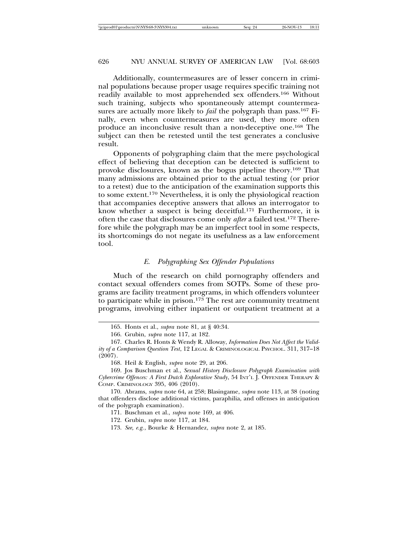Additionally, countermeasures are of lesser concern in criminal populations because proper usage requires specific training not readily available to most apprehended sex offenders.166 Without such training, subjects who spontaneously attempt countermeasures are actually more likely to *fail* the polygraph than pass.167 Finally, even when countermeasures are used, they more often produce an inconclusive result than a non-deceptive one.168 The subject can then be retested until the test generates a conclusive result.

Opponents of polygraphing claim that the mere psychological effect of believing that deception can be detected is sufficient to provoke disclosures, known as the bogus pipeline theory.169 That many admissions are obtained prior to the actual testing (or prior to a retest) due to the anticipation of the examination supports this to some extent.170 Nevertheless, it is only the physiological reaction that accompanies deceptive answers that allows an interrogator to know whether a suspect is being deceitful.171 Furthermore, it is often the case that disclosures come only *after* a failed test.172 Therefore while the polygraph may be an imperfect tool in some respects, its shortcomings do not negate its usefulness as a law enforcement tool.

#### *E. Polygraphing Sex Offender Populations*

Much of the research on child pornography offenders and contact sexual offenders comes from SOTPs. Some of these programs are facility treatment programs, in which offenders volunteer to participate while in prison.173 The rest are community treatment programs, involving either inpatient or outpatient treatment at a

<sup>165.</sup> Honts et al., *supra* note 81, at § 40:34.

<sup>166.</sup> Grubin, *supra* note 117, at 182.

<sup>167.</sup> Charles R. Honts & Wendy R. Alloway, *Information Does Not Affect the Validity of a Comparison Question Test*, 12 LEGAL & CRIMINOLOGICAL PSYCHOL. 311, 317–18 (2007).

<sup>168.</sup> Heil & English, *supra* note 29, at 206.

<sup>169.</sup> Jos Buschman et al., *Sexual History Disclosure Polygraph Examination with Cybercrime Offences: A First Dutch Explorative Study*, 54 INT'L J. OFFENDER THERAPY & COMP. CRIMINOLOGY 395, 406 (2010).

<sup>170.</sup> Abrams, *supra* note 64, at 258; Blasingame, *supra* note 113, at 38 (noting that offenders disclose additional victims, paraphilia, and offenses in anticipation of the polygraph examination).

<sup>171.</sup> Buschman et al., *supra* note 169, at 406.

<sup>172.</sup> Grubin, *supra* note 117, at 184.

<sup>173.</sup> *See, e.g.*, Bourke & Hernandez, *supra* note 2, at 185.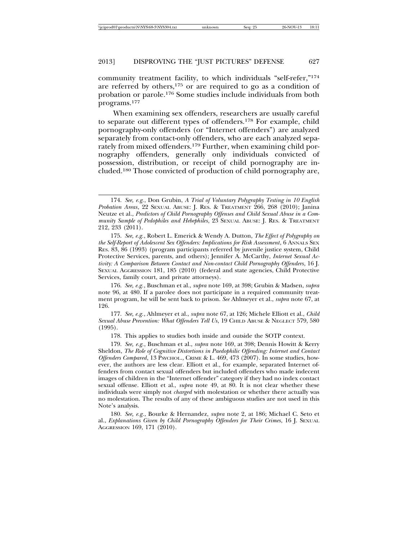community treatment facility, to which individuals "self-refer,"174 are referred by others, $175$  or are required to go as a condition of probation or parole.176 Some studies include individuals from both programs.177

When examining sex offenders, researchers are usually careful to separate out different types of offenders.178 For example, child pornography-only offenders (or "Internet offenders") are analyzed separately from contact-only offenders, who are each analyzed separately from mixed offenders.179 Further, when examining child pornography offenders, generally only individuals convicted of possession, distribution, or receipt of child pornography are included.180 Those convicted of production of child pornography are,

176. *See, e.g.*, Buschman et al., *supra* note 169, at 398; Grubin & Madsen, *supra* note 96, at 480. If a parolee does not participate in a required community treatment program, he will be sent back to prison. *See* Ahlmeyer et al., *supra* note 67, at 126.

177. *See, e.g.*, Ahlmeyer et al., *supra* note 67, at 126; Michele Elliott et al., *Child Sexual Abuse Prevention: What Offenders Tell Us*, 19 CHILD ABUSE & NEGLECT 579, 580 (1995).

178. This applies to studies both inside and outside the SOTP context.

179. *See, e.g.*, Buschman et al., *supra* note 169, at 398; Dennis Howitt & Kerry Sheldon, *The Role of Cognitive Distortions in Paedophilic Offending: Internet and Contact Offenders Compared*, 13 PSYCHOL., CRIME & L. 469, 473 (2007). In some studies, however, the authors are less clear. Elliott et al., for example, separated Internet offenders from contact sexual offenders but included offenders who made indecent images of children in the "Internet offender" category if they had no index contact sexual offense. Elliott et al., *supra* note 49, at 80. It is not clear whether these individuals were simply not *charged* with molestation or whether there actually was no molestation. The results of any of these ambiguous studies are not used in this Note's analysis.

180. *See, e.g.*, Bourke & Hernandez, *supra* note 2, at 186; Michael C. Seto et al., *Explanations Given by Child Pornography Offenders for Their Crimes*, 16 J. SEXUAL AGGRESSION 169, 171 (2010).

<sup>174.</sup> *See, e.g.*, Don Grubin, *A Trial of Voluntary Polygraphy Testing in 10 English Probation Areas*, 22 SEXUAL ABUSE: J. RES. & TREATMENT 266, 268 (2010); Janina Neutze et al., *Predictors of Child Pornography Offenses and Child Sexual Abuse in a Community Sample of Pedophiles and Hebephiles*, 23 SEXUAL ABUSE: J. RES. & TREATMENT 212, 233 (2011).

<sup>175.</sup> *See, e.g.*, Robert L. Emerick & Wendy A. Dutton, *The Effect of Polygraphy on the Self-Report of Adolescent Sex Offenders: Implications for Risk Assessment*, 6 ANNALS SEX RES. 83, 86 (1993) (program participants referred by juvenile justice system, Child Protective Services, parents, and others); Jennifer A. McCarthy, *Internet Sexual Activity: A Comparison Between Contact and Non-contact Child Pornography Offenders*, 16 J. SEXUAL AGGRESSION 181, 185 (2010) (federal and state agencies, Child Protective Services, family court, and private attorneys).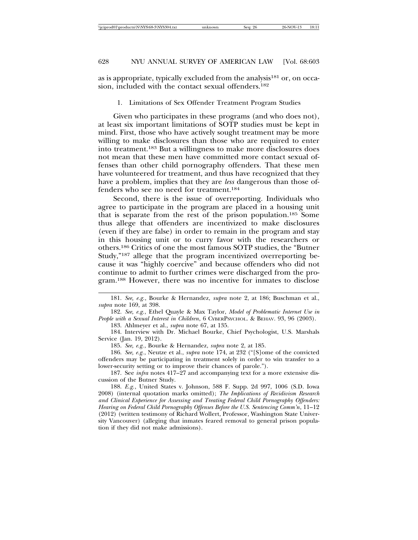as is appropriate, typically excluded from the analysis<sup>181</sup> or, on occasion, included with the contact sexual offenders.<sup>182</sup>

#### 1. Limitations of Sex Offender Treatment Program Studies

Given who participates in these programs (and who does not), at least six important limitations of SOTP studies must be kept in mind. First, those who have actively sought treatment may be more willing to make disclosures than those who are required to enter into treatment.183 But a willingness to make more disclosures does not mean that these men have committed more contact sexual offenses than other child pornography offenders. That these men have volunteered for treatment, and thus have recognized that they have a problem, implies that they are *less* dangerous than those offenders who see no need for treatment.184

Second, there is the issue of overreporting. Individuals who agree to participate in the program are placed in a housing unit that is separate from the rest of the prison population.185 Some thus allege that offenders are incentivized to make disclosures (even if they are false) in order to remain in the program and stay in this housing unit or to curry favor with the researchers or others.186 Critics of one the most famous SOTP studies, the "Butner Study,"187 allege that the program incentivized overreporting because it was "highly coercive" and because offenders who did not continue to admit to further crimes were discharged from the program.188 However, there was no incentive for inmates to disclose

182. *See, e.g.*, Ethel Quayle & Max Taylor, *Model of Problematic Internet Use in People with a Sexual Interest in Children*, 6 CYBERPSYCHOL. & BEHAV. 93, 96 (2003).

183. Ahlmeyer et al., *supra* note 67, at 135.

184. Interview with Dr. Michael Bourke, Chief Psychologist, U.S. Marshals Service (Jan. 19, 2012).

185. *See, e.g.*, Bourke & Hernandez, *supra* note 2, at 185.

186. *See, e.g.*, Neutze et al., *supra* note 174, at 232 ("[S]ome of the convicted offenders may be participating in treatment solely in order to win transfer to a lower-security setting or to improve their chances of parole.").

187. See *infra* notes 417–27 and accompanying text for a more extensive discussion of the Butner Study.

188. *E.g.*, United States v. Johnson, 588 F. Supp. 2d 997, 1006 (S.D. Iowa 2008) (internal quotation marks omitted); *The Implications of Recidivism Research and Clinical Experience for Assessing and Treating Federal Child Pornography Offenders: Hearing on Federal Child Pornography Offenses Before the U.S. Sentencing Comm'n*, 11–12 (2012) (written testimony of Richard Wollert, Professor, Washington State University Vancouver) (alleging that inmates feared removal to general prison population if they did not make admissions).

<sup>181.</sup> *See, e.g.*, Bourke & Hernandez, *supra* note 2, at 186; Buschman et al., *supra* note 169, at 398.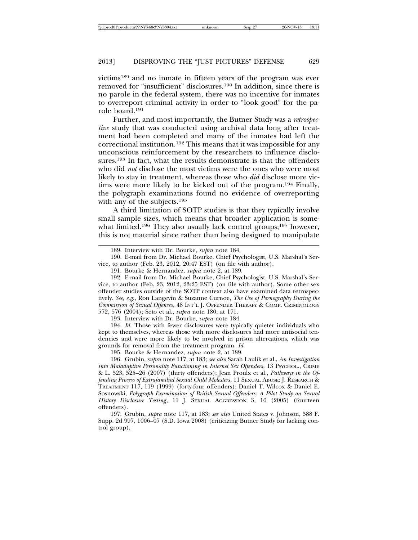victims189 and no inmate in fifteen years of the program was ever removed for "insufficient" disclosures.190 In addition, since there is no parole in the federal system, there was no incentive for inmates to overreport criminal activity in order to "look good" for the parole board.191

Further, and most importantly, the Butner Study was a *retrospective* study that was conducted using archival data long after treatment had been completed and many of the inmates had left the correctional institution.192 This means that it was impossible for any unconscious reinforcement by the researchers to influence disclosures.<sup>193</sup> In fact, what the results demonstrate is that the offenders who did *not* disclose the most victims were the ones who were most likely to stay in treatment, whereas those who *did* disclose more victims were more likely to be kicked out of the program.194 Finally, the polygraph examinations found no evidence of overreporting with any of the subjects.195

A third limitation of SOTP studies is that they typically involve small sample sizes, which means that broader application is somewhat limited.<sup>196</sup> They also usually lack control groups;<sup>197</sup> however, this is not material since rather than being designed to manipulate

193. Interview with Dr. Bourke, *supra* note 184.

194. *Id.* Those with fewer disclosures were typically quieter individuals who kept to themselves, whereas those with more disclosures had more antisocial tendencies and were more likely to be involved in prison altercations, which was grounds for removal from the treatment program. *Id.*

195. Bourke & Hernandez, *supra* note 2, at 189.

196. Grubin, *supra* note 117, at 183; *see also* Sarah Laulik et al., *An Investigation into Maladaptive Personality Functioning in Internet Sex Offenders*, 13 PSYCHOL., CRIME & L. 523, 525–26 (2007) (thirty offenders); Jean Proulx et al., *Pathways in the Offending Process of Extrafamilial Sexual Child Molesters*, 11 SEXUAL ABUSE: J. RESEARCH & TREATMENT 117, 119 (1999) (forty-four offenders); Daniel T. Wilcox & Daniel E. Sosnowski, *Polygraph Examination of British Sexual Offenders: A Pilot Study on Sexual History Disclosure Testing*, 11 J. SEXUAL AGGRESSION 3, 16 (2005) (fourteen offenders).

197. Grubin, *supra* note 117, at 183; *see also* United States v. Johnson, 588 F. Supp. 2d 997, 1006–07 (S.D. Iowa 2008) (criticizing Butner Study for lacking control group).

<sup>189.</sup> Interview with Dr. Bourke, *supra* note 184.

<sup>190.</sup> E-mail from Dr. Michael Bourke, Chief Psychologist, U.S. Marshal's Service, to author (Feb. 23, 2012, 20:47 EST) (on file with author).

<sup>191.</sup> Bourke & Hernandez, *supra* note 2, at 189.

<sup>192.</sup> E-mail from Dr. Michael Bourke, Chief Psychologist, U.S. Marshal's Service, to author (Feb. 23, 2012, 23:25 EST) (on file with author). Some other sex offender studies outside of the SOTP context also have examined data retrospectively. *See, e.g.*, Ron Langevin & Suzanne Curnoe, *The Use of Pornography During the Commission of Sexual Offenses*, 48 INT'L J. OFFENDER THERAPY & COMP. CRIMINOLOGY 572, 576 (2004); Seto et al., *supra* note 180, at 171.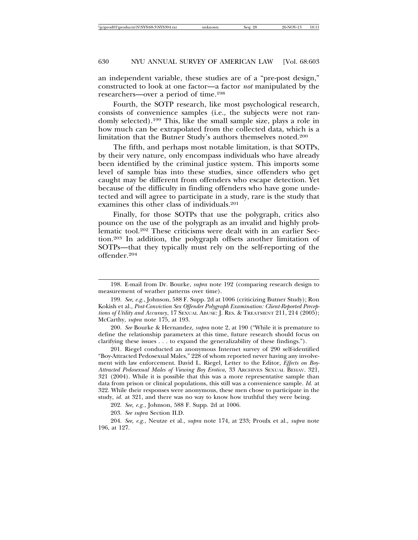an independent variable, these studies are of a "pre-post design," constructed to look at one factor—a factor *not* manipulated by the researchers—over a period of time.198

Fourth, the SOTP research, like most psychological research, consists of convenience samples (i.e., the subjects were not randomly selected).199 This, like the small sample size, plays a role in how much can be extrapolated from the collected data, which is a limitation that the Butner Study's authors themselves noted.200

The fifth, and perhaps most notable limitation, is that SOTPs, by their very nature, only encompass individuals who have already been identified by the criminal justice system. This imports some level of sample bias into these studies, since offenders who get caught may be different from offenders who escape detection. Yet because of the difficulty in finding offenders who have gone undetected and will agree to participate in a study, rare is the study that examines this other class of individuals.<sup>201</sup>

Finally, for those SOTPs that use the polygraph, critics also pounce on the use of the polygraph as an invalid and highly problematic tool.202 These criticisms were dealt with in an earlier Section.203 In addition, the polygraph offsets another limitation of SOTPs—that they typically must rely on the self-reporting of the offender.204

<sup>198.</sup> E-mail from Dr. Bourke, *supra* note 192 (comparing research design to measurement of weather patterns over time).

<sup>199.</sup> *See, e.g.*, Johnson, 588 F. Supp. 2d at 1006 (criticizing Butner Study); Ron Kokish et al., *Post-Conviction Sex Offender Polygraph Examination: Client-Reported Perceptions of Utility and Accuracy*, 17 SEXUAL ABUSE: J. RES. & TREATMENT 211, 214 (2005); McCarthy, *supra* note 175, at 193.

<sup>200.</sup> *See* Bourke & Hernandez, *supra* note 2, at 190 ("While it is premature to define the relationship parameters at this time, future research should focus on clarifying these issues . . . to expand the generalizability of these findings.").

<sup>201.</sup> Riegel conducted an anonymous Internet survey of 290 self-identified "Boy-Attracted Pedosexual Males," 228 of whom reported never having any involvement with law enforcement. David L. Riegel, Letter to the Editor, *Effects on Boy-Attracted Pedosexual Males of Viewing Boy Erotica*, 33 ARCHIVES SEXUAL BEHAV. 321, 321 (2004). While it is possible that this was a more representative sample than data from prison or clinical populations, this still was a convenience sample. *Id.* at 322. While their responses were anonymous, these men chose to participate in the study, *id.* at 321, and there was no way to know how truthful they were being.

<sup>202.</sup> *See, e.g.*, Johnson, 588 F. Supp. 2d at 1006.

<sup>203.</sup> *See supra* Section II.D.

<sup>204.</sup> *See, e.g.*, Neutze et al., *supra* note 174, at 233; Proulx et al., *supra* note 196, at 127.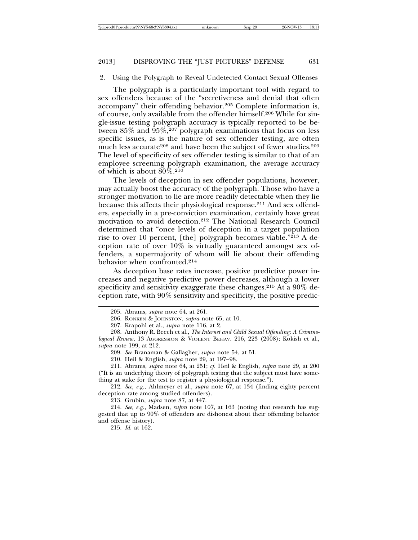2. Using the Polygraph to Reveal Undetected Contact Sexual Offenses

The polygraph is a particularly important tool with regard to sex offenders because of the "secretiveness and denial that often accompany" their offending behavior.205 Complete information is, of course, only available from the offender himself.206 While for single-issue testing polygraph accuracy is typically reported to be between 85% and 95%,207 polygraph examinations that focus on less specific issues, as is the nature of sex offender testing, are often much less accurate<sup>208</sup> and have been the subject of fewer studies.<sup>209</sup> The level of specificity of sex offender testing is similar to that of an employee screening polygraph examination, the average accuracy of which is about 80%.210

The levels of deception in sex offender populations, however, may actually boost the accuracy of the polygraph. Those who have a stronger motivation to lie are more readily detectable when they lie because this affects their physiological response.211 And sex offenders, especially in a pre-conviction examination, certainly have great motivation to avoid detection.212 The National Research Council determined that "once levels of deception in a target population rise to over 10 percent, [the] polygraph becomes viable."213 A deception rate of over 10% is virtually guaranteed amongst sex offenders, a supermajority of whom will lie about their offending behavior when confronted.214

As deception base rates increase, positive predictive power increases and negative predictive power decreases, although a lower specificity and sensitivity exaggerate these changes.215 At a 90% deception rate, with 90% sensitivity and specificity, the positive predic-

208. Anthony R. Beech et al., *The Internet and Child Sexual Offending: A Criminological Review*, 13 AGGRESSION & VIOLENT BEHAV. 216, 223 (2008); Kokish et al., *supra* note 199, at 212.

211. Abrams, *supra* note 64, at 251; *cf.* Heil & English, *supra* note 29, at 200 ("It is an underlying theory of polygraph testing that the subject must have something at stake for the test to register a physiological response.").

212. *See, e.g.*, Ahlmeyer et al., *supra* note 67, at 134 (finding eighty percent deception rate among studied offenders).

213. Grubin, *supra* note 87, at 447.

214. *See, e.g.*, Madsen, *supra* note 107, at 163 (noting that research has suggested that up to 90% of offenders are dishonest about their offending behavior and offense history).

215. *Id.* at 162.

<sup>205.</sup> Abrams, *supra* note 64, at 261.

<sup>206.</sup> RONKEN & JOHNSTON, *supra* note 65, at 10.

<sup>207.</sup> Krapohl et al., *supra* note 116, at 2.

<sup>209.</sup> *See* Branaman & Gallagher, *supra* note 54, at 51.

<sup>210.</sup> Heil & English, *supra* note 29, at 197–98.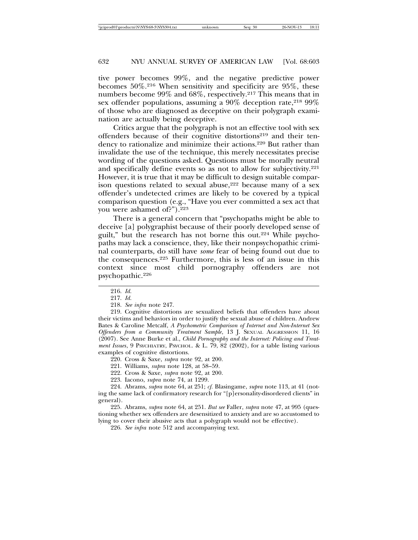tive power becomes 99%, and the negative predictive power becomes  $50\%$ .<sup>216</sup> When sensitivity and specificity are  $95\%$ , these numbers become 99% and 68%, respectively.217 This means that in sex offender populations, assuming a  $90\%$  deception rate,  $21899\%$ of those who are diagnosed as deceptive on their polygraph examination are actually being deceptive.

Critics argue that the polygraph is not an effective tool with sex offenders because of their cognitive distortions<sup>219</sup> and their tendency to rationalize and minimize their actions.220 But rather than invalidate the use of the technique, this merely necessitates precise wording of the questions asked. Questions must be morally neutral and specifically define events so as not to allow for subjectivity.<sup>221</sup> However, it is true that it may be difficult to design suitable comparison questions related to sexual abuse,  $222$  because many of a sex offender's undetected crimes are likely to be covered by a typical comparison question (e.g., "Have you ever committed a sex act that you were ashamed of?").<sup>223</sup>

There is a general concern that "psychopaths might be able to deceive [a] polygraphist because of their poorly developed sense of guilt," but the research has not borne this out.224 While psychopaths may lack a conscience, they, like their nonpsychopathic criminal counterparts, do still have *some* fear of being found out due to the consequences.225 Furthermore, this is less of an issue in this context since most child pornography offenders are not psychopathic.226

219. Cognitive distortions are sexualized beliefs that offenders have about their victims and behaviors in order to justify the sexual abuse of children. Andrew Bates & Caroline Metcalf, *A Psychometric Comparison of Internet and Non-Internet Sex Offenders from a Community Treatment Sample*, 13 J. SEXUAL AGGRESSION 11, 16 (2007). See Anne Burke et al., *Child Pornography and the Internet: Policing and Treatment Issues*, 9 PSYCHIATRY, PSYCHOL. & L. 79, 82 (2002), for a table listing various examples of cognitive distortions.

220. Cross & Saxe, *supra* note 92, at 200.

221. Williams, *supra* note 128, at 58–59.

222. Cross & Saxe, *supra* note 92, at 200.

223. Iacono, *supra* note 74, at 1299.

224. Abrams, *supra* note 64, at 251; *cf.* Blasingame, *supra* note 113, at 41 (noting the same lack of confirmatory research for "[p]ersonality-disordered clients" in general).

225. Abrams, *supra* note 64, at 251. *But see* Faller, *supra* note 47, at 995 (questioning whether sex offenders are desensitized to anxiety and are so accustomed to lying to cover their abusive acts that a polygraph would not be effective).

226. *See infra* note 512 and accompanying text.

<sup>216.</sup> *Id.*

<sup>217.</sup> *Id.*

<sup>218.</sup> *See infra* note 247.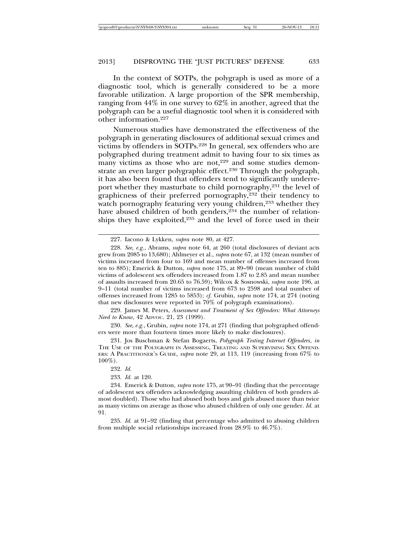In the context of SOTPs, the polygraph is used as more of a diagnostic tool, which is generally considered to be a more favorable utilization. A large proportion of the SPR membership, ranging from 44% in one survey to 62% in another, agreed that the polygraph can be a useful diagnostic tool when it is considered with other information.227

Numerous studies have demonstrated the effectiveness of the polygraph in generating disclosures of additional sexual crimes and victims by offenders in SOTPs.228 In general, sex offenders who are polygraphed during treatment admit to having four to six times as many victims as those who are not,<sup>229</sup> and some studies demonstrate an even larger polygraphic effect.230 Through the polygraph, it has also been found that offenders tend to significantly underreport whether they masturbate to child pornography,<sup>231</sup> the level of graphicness of their preferred pornography,<sup>232</sup> their tendency to watch pornography featuring very young children,<sup>233</sup> whether they have abused children of both genders,<sup>234</sup> the number of relationships they have exploited,235 and the level of force used in their

229. James M. Peters, *Assessment and Treatment of Sex Offenders: What Attorneys Need to Know*, 42 ADVOC. 21, 23 (1999).

230. *See, e.g.*, Grubin, *supra* note 174, at 271 (finding that polygraphed offenders were more than fourteen times more likely to make disclosures).

231. Jos Buschman & Stefan Bogaerts, *Polygraph Testing Internet Offenders*, *in* THE USE OF THE POLYGRAPH IN ASSESSING, TREATING AND SUPERVISING SEX OFFEND-ERS: A PRACTITIONER'S GUIDE, *supra* note 29, at 113, 119 (increasing from 67% to  $100\%$ ).

233. *Id.* at 120.

235. *Id.* at 91–92 (finding that percentage who admitted to abusing children from multiple social relationships increased from 28.9% to 46.7%).

<sup>227.</sup> Iacono & Lykken, *supra* note 80, at 427.

<sup>228.</sup> *See, e.g.*, Abrams, *supra* note 64, at 260 (total disclosures of deviant acts grew from 2085 to 13,680); Ahlmeyer et al., *supra* note 67, at 132 (mean number of victims increased from four to 169 and mean number of offenses increased from ten to 885); Emerick & Dutton, *supra* note 175, at 89–90 (mean number of child victims of adolescent sex offenders increased from 1.87 to 2.85 and mean number of assaults increased from 20.65 to 76.59); Wilcox & Sosnowski, *supra* note 196, at 9–11 (total number of victims increased from 673 to 2598 and total number of offenses increased from 1285 to 5853); *cf.* Grubin, *supra* note 174, at 274 (noting that new disclosures were reported in 70% of polygraph examinations).

<sup>232.</sup> *Id.*

<sup>234.</sup> Emerick & Dutton, *supra* note 175, at 90–91 (finding that the percentage of adolescent sex offenders acknowledging assaulting children of both genders almost doubled). Those who had abused both boys and girls abused more than twice as many victims on average as those who abused children of only one gender. *Id.* at 91.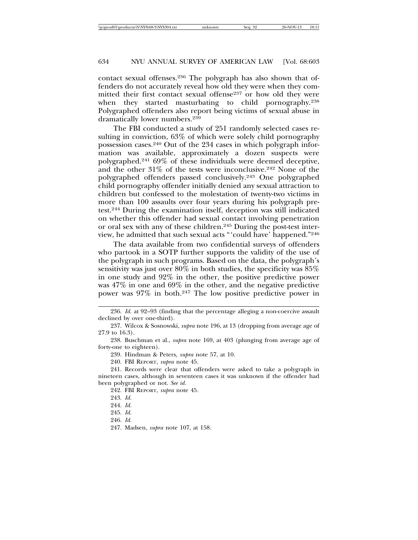contact sexual offenses.236 The polygraph has also shown that offenders do not accurately reveal how old they were when they committed their first contact sexual offense<sup>237</sup> or how old they were when they started masturbating to child pornography.<sup>238</sup> Polygraphed offenders also report being victims of sexual abuse in dramatically lower numbers.239

The FBI conducted a study of 251 randomly selected cases resulting in conviction, 63% of which were solely child pornography possession cases.240 Out of the 234 cases in which polygraph information was available, approximately a dozen suspects were polygraphed.241 69% of these individuals were deemed deceptive, and the other  $31\%$  of the tests were inconclusive.<sup>242</sup> None of the polygraphed offenders passed conclusively.243 One polygraphed child pornography offender initially denied any sexual attraction to children but confessed to the molestation of twenty-two victims in more than 100 assaults over four years during his polygraph pretest.244 During the examination itself, deception was still indicated on whether this offender had sexual contact involving penetration or oral sex with any of these children.245 During the post-test interview, he admitted that such sexual acts "'could have' happened."246

The data available from two confidential surveys of offenders who partook in a SOTP further supports the validity of the use of the polygraph in such programs. Based on the data, the polygraph's sensitivity was just over 80% in both studies, the specificity was 85% in one study and 92% in the other, the positive predictive power was 47% in one and 69% in the other, and the negative predictive power was 97% in both.247 The low positive predictive power in

238. Buschman et al., *supra* note 169, at 403 (plunging from average age of forty-one to eighteen).

239. Hindman & Peters, *supra* note 57, at 10.

240. FBI REPORT, *supra* note 45.

241. Records were clear that offenders were asked to take a polygraph in nineteen cases, although in seventeen cases it was unknown if the offender had been polygraphed or not. *See id.*

242. FBI REPORT, *supra* note 45.

<sup>236.</sup> *Id.* at 92–93 (finding that the percentage alleging a non-coercive assault declined by over one-third).

<sup>237.</sup> Wilcox & Sosnowski, *supra* note 196, at 13 (dropping from average age of 27.9 to 16.3).

<sup>243.</sup> *Id.*

<sup>244.</sup> *Id.*

<sup>245.</sup> *Id.*

<sup>246.</sup> *Id.*

<sup>247.</sup> Madsen, *supra* note 107, at 158.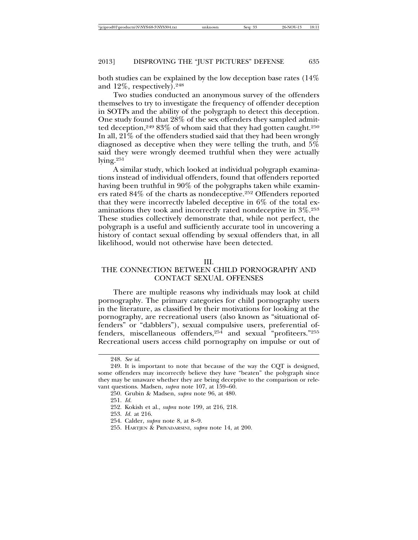both studies can be explained by the low deception base rates (14% and 12%, respectively).248

Two studies conducted an anonymous survey of the offenders themselves to try to investigate the frequency of offender deception in SOTPs and the ability of the polygraph to detect this deception. One study found that 28% of the sex offenders they sampled admitted deception,<sup>249</sup> 83% of whom said that they had gotten caught.<sup>250</sup> In all, 21% of the offenders studied said that they had been wrongly diagnosed as deceptive when they were telling the truth, and 5% said they were wrongly deemed truthful when they were actually lying.251

A similar study, which looked at individual polygraph examinations instead of individual offenders, found that offenders reported having been truthful in 90% of the polygraphs taken while examiners rated 84% of the charts as nondeceptive.252 Offenders reported that they were incorrectly labeled deceptive in 6% of the total examinations they took and incorrectly rated nondeceptive in 3%.253 These studies collectively demonstrate that, while not perfect, the polygraph is a useful and sufficiently accurate tool in uncovering a history of contact sexual offending by sexual offenders that, in all likelihood, would not otherwise have been detected.

#### III.

# THE CONNECTION BETWEEN CHILD PORNOGRAPHY AND CONTACT SEXUAL OFFENSES

There are multiple reasons why individuals may look at child pornography. The primary categories for child pornography users in the literature, as classified by their motivations for looking at the pornography, are recreational users (also known as "situational offenders" or "dabblers"), sexual compulsive users, preferential offenders, miscellaneous offenders,<sup>254</sup> and sexual "profiteers."<sup>255</sup> Recreational users access child pornography on impulse or out of

<sup>248.</sup> *See id.*

<sup>249.</sup> It is important to note that because of the way the CQT is designed, some offenders may incorrectly believe they have "beaten" the polygraph since they may be unaware whether they are being deceptive to the comparison or relevant questions. Madsen, *supra* note 107, at 159–60.

<sup>250.</sup> Grubin & Madsen, *supra* note 96, at 480.

<sup>251.</sup> *Id.*

<sup>252.</sup> Kokish et al., *supra* note 199, at 216, 218.

<sup>253.</sup> *Id.* at 216.

<sup>254.</sup> Calder, *supra* note 8, at 8–9.

<sup>255.</sup> HARTJEN & PRIYADARSINI, *supra* note 14, at 200.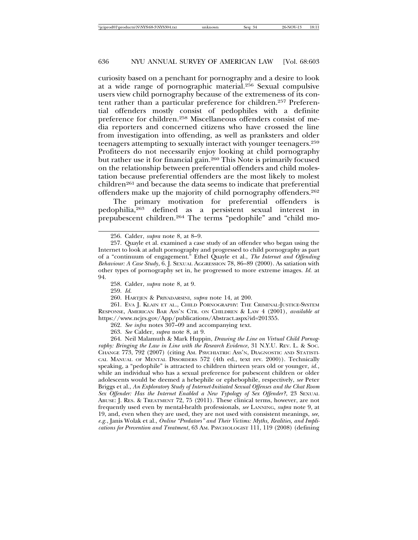curiosity based on a penchant for pornography and a desire to look at a wide range of pornographic material.256 Sexual compulsive users view child pornography because of the extremeness of its content rather than a particular preference for children.257 Preferential offenders mostly consist of pedophiles with a definite preference for children.258 Miscellaneous offenders consist of media reporters and concerned citizens who have crossed the line from investigation into offending, as well as pranksters and older teenagers attempting to sexually interact with younger teenagers.259 Profiteers do not necessarily enjoy looking at child pornography but rather use it for financial gain.260 This Note is primarily focused on the relationship between preferential offenders and child molestation because preferential offenders are the most likely to molest children<sup>261</sup> and because the data seems to indicate that preferential offenders make up the majority of child pornography offenders.262

The primary motivation for preferential offenders is pedophilia,263 defined as a persistent sexual interest in prepubescent children.264 The terms "pedophile" and "child mo-

259. *Id.*

261. EVA J. KLAIN ET AL., CHILD PORNOGRAPHY: THE CRIMINAL-JUSTICE-SYSTEM RESPONSE, AMERICAN BAR ASS'N CTR. ON CHILDREN & LAW 4 (2001), *available at* https://www.ncjrs.gov/App/publications/Abstract.aspx?id=201355.

263. *See* Calder, *supra* note 8, at 9.

264. Neil Malamuth & Mark Huppin, *Drawing the Line on Virtual Child Pornography: Bringing the Law in Line with the Research Evidence*, 31 N.Y.U. REV. L. & SOC. CHANGE 773, 792 (2007) (citing AM. PSYCHIATRIC ASS'N, DIAGNOSTIC AND STATISTI-CAL MANUAL OF MENTAL DISORDERS 572 (4th ed., text rev. 2000)). Technically speaking, a "pedophile" is attracted to children thirteen years old or younger, *id.*, while an individual who has a sexual preference for pubescent children or older adolescents would be deemed a hebephile or ephebophile, respectively, *see* Peter Briggs et al., *An Exploratory Study of Internet-Initiated Sexual Offenses and the Chat Room Sex Offender: Has the Internet Enabled a New Typology of Sex Offender?*, 23 SEXUAL ABUSE: J. RES. & TREATMENT 72, 75 (2011). These clinical terms, however, are not frequently used even by mental-health professionals, *see* LANNING, *supra* note 9, at 19, and, even when they are used, they are not used with consistent meanings, *see, e.g.*, Janis Wolak et al., *Online "Predators" and Their Victims: Myths, Realities, and Implications for Prevention and Treatment*, 63 AM. PSYCHOLOGIST 111, 119 (2008) (defining

<sup>256.</sup> Calder, *supra* note 8, at 8–9.

<sup>257.</sup> Quayle et al. examined a case study of an offender who began using the Internet to look at adult pornography and progressed to child pornography as part of a "continuum of engagement." Ethel Quayle et al., *The Internet and Offending Behaviour: A Case Study*, 6. J. SEXUAL AGGRESSION 78, 86–89 (2000). As satiation with other types of pornography set in, he progressed to more extreme images. *Id.* at 94.

<sup>258.</sup> Calder, *supra* note 8, at 9.

<sup>260.</sup> HARTJEN & PRIYADARSINI, *supra* note 14, at 200.

<sup>262.</sup> *See infra* notes 307–09 and accompanying text.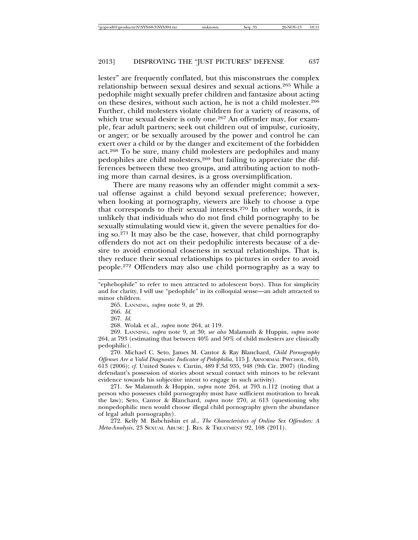lester" are frequently conflated, but this misconstrues the complex relationship between sexual desires and sexual actions.265 While a pedophile might sexually prefer children and fantasize about acting on these desires, without such action, he is not a child molester.266 Further, child molesters violate children for a variety of reasons, of which true sexual desire is only one.<sup>267</sup> An offender may, for example, fear adult partners; seek out children out of impulse, curiosity, or anger; or be sexually aroused by the power and control he can exert over a child or by the danger and excitement of the forbidden act.268 To be sure, many child molesters are pedophiles and many pedophiles are child molesters,<sup>269</sup> but failing to appreciate the differences between these two groups, and attributing action to nothing more than carnal desires, is a gross oversimplification.

There are many reasons why an offender might commit a sexual offense against a child beyond sexual preference; however, when looking at pornography, viewers are likely to choose a type that corresponds to their sexual interests.270 In other words, it is unlikely that individuals who do not find child pornography to be sexually stimulating would view it, given the severe penalties for doing so.271 It may also be the case, however, that child pornography offenders do not act on their pedophilic interests because of a desire to avoid emotional closeness in sexual relationships. That is, they reduce their sexual relationships to pictures in order to avoid people.272 Offenders may also use child pornography as a way to

268. Wolak et al., *supra* note 264, at 119.

269. LANNING, *supra* note 9, at 30; *see also* Malamuth & Huppin, *supra* note 264, at 793 (estimating that between 40% and 50% of child molesters are clinically pedophilic).

270. Michael C. Seto, James M. Cantor & Ray Blanchard, *Child Pornography Offenses Are a Valid Diagnostic Indicator of Pedophilia*, 115 J. ABNORMAL PSYCHOL. 610, 613 (2006); *cf.* United States v. Curtin, 489 F.3d 935, 948 (9th Cir. 2007) (finding defendant's possession of stories about sexual contact with minors to be relevant evidence towards his subjective intent to engage in such activity).

271. *See* Malamuth & Huppin, *supra* note 264, at 793 n.112 (noting that a person who possesses child pornography must have sufficient motivation to break the law); Seto, Cantor & Blanchard, *supra* note 270, at 613 (questioning why nonpedophilic men would choose illegal child pornography given the abundance of legal adult pornography).

272. Kelly M. Babchishin et al., *The Characteristics of Online Sex Offenders: A Meta-Analysis*, 23 SEXUAL ABUSE: J. RES. & TREATMENT 92, 108 (2011).

<sup>&</sup>quot;ephebophile" to refer to men attracted to adolescent boys). Thus for simplicity and for clarity, I will use "pedophile" in its colloquial sense—an adult attracted to minor children.

<sup>265.</sup> LANNING, *supra* note 9, at 29.

<sup>266.</sup> *Id.*

<sup>267.</sup> *Id.*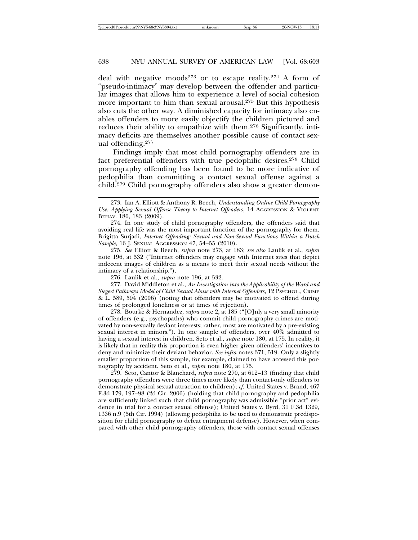deal with negative moods<sup>273</sup> or to escape reality.<sup>274</sup> A form of "pseudo-intimacy" may develop between the offender and particular images that allows him to experience a level of social cohesion more important to him than sexual arousal.275 But this hypothesis also cuts the other way. A diminished capacity for intimacy also enables offenders to more easily objectify the children pictured and reduces their ability to empathize with them.276 Significantly, intimacy deficits are themselves another possible cause of contact sexual offending.277

Findings imply that most child pornography offenders are in fact preferential offenders with true pedophilic desires.278 Child pornography offending has been found to be more indicative of pedophilia than committing a contact sexual offense against a child.279 Child pornography offenders also show a greater demon-

275. *See* Elliott & Beech, *supra* note 273, at 183; *see also* Laulik et al., *supra* note 196, at 532 ("Internet offenders may engage with Internet sites that depict indecent images of children as a means to meet their sexual needs without the intimacy of a relationship.").

276. Laulik et al., *supra* note 196, at 532.

277. David Middleton et al., *An Investigation into the Applicability of the Ward and Siegert Pathways Model of Child Sexual Abuse with Internet Offenders*, 12 PSYCHOL., CRIME & L. 589, 594 (2006) (noting that offenders may be motivated to offend during times of prolonged loneliness or at times of rejection).

278. Bourke & Hernandez, *supra* note 2, at 185 ("[O]nly a very small minority of offenders (e.g., psychopaths) who commit child pornography crimes are motivated by non-sexually deviant interests; rather, most are motivated by a pre-existing sexual interest in minors."). In one sample of offenders, over 40% admitted to having a sexual interest in children. Seto et al., *supra* note 180, at 175. In reality, it is likely that in reality this proportion is even higher given offenders' incentives to deny and minimize their deviant behavior. *See infra* notes 371, 519. Only a slightly smaller proportion of this sample, for example, claimed to have accessed this pornography by accident. Seto et al., *supra* note 180, at 175.

279. Seto, Cantor & Blanchard, *supra* note 270, at 612–13 (finding that child pornography offenders were three times more likely than contact-only offenders to demonstrate physical sexual attraction to children); *cf.* United States v. Brand, 467 F.3d 179, 197–98 (2d Cir. 2006) (holding that child pornography and pedophilia are sufficiently linked such that child pornography was admissible "prior act" evidence in trial for a contact sexual offense); United States v. Byrd, 31 F.3d 1329, 1336 n.9 (5th Cir. 1994) (allowing pedophilia to be used to demonstrate predisposition for child pornography to defeat entrapment defense). However, when compared with other child pornography offenders, those with contact sexual offenses

<sup>273.</sup> Ian A. Elliott & Anthony R. Beech, *Understanding Online Child Pornography Use: Applying Sexual Offense Theory to Internet Offenders*, 14 AGGRESSION & VIOLENT ВЕНАУ. 180, 183 (2009).

<sup>274.</sup> In one study of child pornography offenders, the offenders said that avoiding real life was the most important function of the pornography for them. Brigitta Surjadi, *Internet Offending: Sexual and Non-Sexual Functions Within a Dutch Sample*, 16 J. SEXUAL AGGRESSION 47, 54–55 (2010).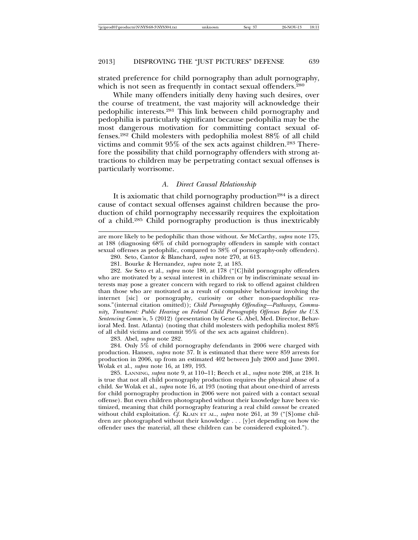strated preference for child pornography than adult pornography, which is not seen as frequently in contact sexual offenders.<sup>280</sup>

While many offenders initially deny having such desires, over the course of treatment, the vast majority will acknowledge their pedophilic interests.281 This link between child pornography and pedophilia is particularly significant because pedophilia may be the most dangerous motivation for committing contact sexual offenses.282 Child molesters with pedophilia molest 88% of all child victims and commit 95% of the sex acts against children.283 Therefore the possibility that child pornography offenders with strong attractions to children may be perpetrating contact sexual offenses is particularly worrisome.

#### *A. Direct Causal Relationship*

It is axiomatic that child pornography production<sup>284</sup> is a direct cause of contact sexual offenses against children because the production of child pornography necessarily requires the exploitation of a child.285 Child pornography production is thus inextricably

282. *See* Seto et al., *supra* note 180, at 178 ("[C]hild pornography offenders who are motivated by a sexual interest in children or by indiscriminate sexual interests may pose a greater concern with regard to risk to offend against children than those who are motivated as a result of compulsive behaviour involving the internet [sic] or pornography, curiosity or other non-paedophilic reasons."(internal citation omitted)); *Child Pornography Offending—Pathways, Community, Treatment: Public Hearing on Federal Child Pornography Offenses Before the U.S. Sentencing Comm'n*, 5 (2012) (presentation by Gene G. Abel, Med. Director, Behavioral Med. Inst. Atlanta) (noting that child molesters with pedophilia molest 88% of all child victims and commit 95% of the sex acts against children).

283. Abel, *supra* note 282.

284. Only 5% of child pornography defendants in 2006 were charged with production. Hansen, *supra* note 37. It is estimated that there were 859 arrests for production in 2006, up from an estimated 402 between July 2000 and June 2001. Wolak et al., *supra* note 16, at 189, 193.

285. LANNING, *supra* note 9, at 110–11; Beech et al., *supra* note 208, at 218. It is true that not all child pornography production requires the physical abuse of a child. *See* Wolak et al., *supra* note 16, at 193 (noting that about one-third of arrests for child pornography production in 2006 were not paired with a contact sexual offense). But even children photographed without their knowledge have been victimized, meaning that child pornography featuring a real child *cannot* be created without child exploitation. *Cf.* KLAIN ET AL., *supra* note 261, at 39 ("[S]ome children are photographed without their knowledge . . . [y]et depending on how the offender uses the material, all these children can be considered exploited.").

are more likely to be pedophilic than those without. *See* McCarthy, *supra* note 175, at 188 (diagnosing 68% of child pornography offenders in sample with contact sexual offenses as pedophilic, compared to 38% of pornography-only offenders).

<sup>280.</sup> Seto, Cantor & Blanchard, *supra* note 270, at 613.

<sup>281.</sup> Bourke & Hernandez, *supra* note 2, at 185.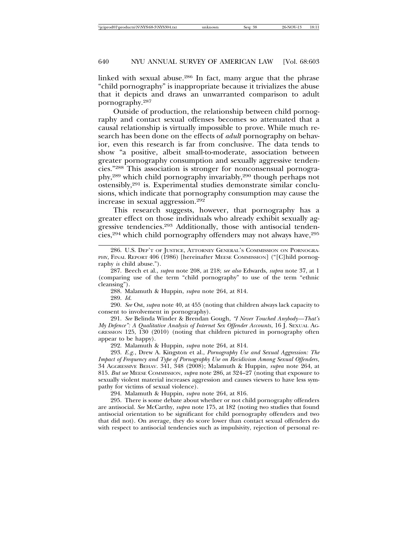linked with sexual abuse.286 In fact, many argue that the phrase "child pornography" is inappropriate because it trivializes the abuse that it depicts and draws an unwarranted comparison to adult pornography.287

Outside of production, the relationship between child pornography and contact sexual offenses becomes so attenuated that a causal relationship is virtually impossible to prove. While much research has been done on the effects of *adult* pornography on behavior, even this research is far from conclusive. The data tends to show "a positive, albeit small-to-moderate, association between greater pornography consumption and sexually aggressive tendencies."288 This association is stronger for nonconsensual pornography,289 which child pornography invariably,290 though perhaps not ostensibly,291 is. Experimental studies demonstrate similar conclusions, which indicate that pornography consumption may cause the increase in sexual aggression.292

This research suggests, however, that pornography has a greater effect on those individuals who already exhibit sexually aggressive tendencies.293 Additionally, those with antisocial tendencies,<sup>294</sup> which child pornography offenders may not always have,<sup>295</sup>

288. Malamuth & Huppin, *supra* note 264, at 814.

289. *Id.*

290. *See* Ost, *supra* note 40, at 455 (noting that children always lack capacity to consent to involvement in pornography).

291. *See* Belinda Winder & Brendan Gough, *"I Never Touched Anybody—That's My Defence": A Qualitative Analysis of Internet Sex Offender Accounts*, 16 J. SEXUAL AG-GRESSION 125, 130 (2010) (noting that children pictured in pornography often appear to be happy).

292. Malamuth & Huppin, *supra* note 264, at 814.

293. *E.g.*, Drew A. Kingston et al., *Pornography Use and Sexual Aggression: The Impact of Frequency and Type of Pornography Use on Recidivism Among Sexual Offenders*, 34 AGGRESSIVE BEHAV. 341, 348 (2008); Malamuth & Huppin, *supra* note 264, at 815. *But see* MEESE COMMISSION, *supra* note 286, at 324–27 (noting that exposure to sexually violent material increases aggression and causes viewers to have less sympathy for victims of sexual violence).

294. Malamuth & Huppin, *supra* note 264, at 816.

295. There is some debate about whether or not child pornography offenders are antisocial. *See* McCarthy, *supra* note 175, at 182 (noting two studies that found antisocial orientation to be significant for child pornography offenders and two that did not). On average, they do score lower than contact sexual offenders do with respect to antisocial tendencies such as impulsivity, rejection of personal re-

<sup>286.</sup> U.S. DEP'T OF JUSTICE, ATTORNEY GENERAL'S COMMISSION ON PORNOGRA-PHY, FINAL REPORT 406 (1986) [hereinafter MEESE COMMISSION] ("[C]hild pornography *is* child abuse.").

<sup>287.</sup> Beech et al., *supra* note 208, at 218; *see also* Edwards, *supra* note 37, at 1 (comparing use of the term "child pornography" to use of the term "ethnic cleansing").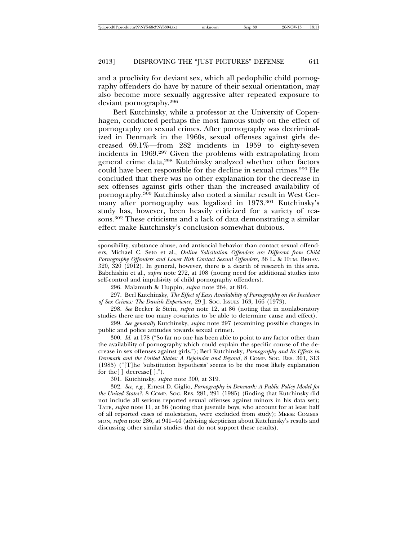and a proclivity for deviant sex, which all pedophilic child pornography offenders do have by nature of their sexual orientation, may also become more sexually aggressive after repeated exposure to deviant pornography.296

Berl Kutchinsky, while a professor at the University of Copenhagen, conducted perhaps the most famous study on the effect of pornography on sexual crimes. After pornography was decriminalized in Denmark in the 1960s, sexual offenses against girls decreased 69.1%—from 282 incidents in 1959 to eighty-seven incidents in 1969.297 Given the problems with extrapolating from general crime data,298 Kutchinsky analyzed whether other factors could have been responsible for the decline in sexual crimes.299 He concluded that there was no other explanation for the decrease in sex offenses against girls other than the increased availability of pornography.300 Kutchinsky also noted a similar result in West Germany after pornography was legalized in 1973.301 Kutchinsky's study has, however, been heavily criticized for a variety of reasons.302 These criticisms and a lack of data demonstrating a similar effect make Kutchinsky's conclusion somewhat dubious.

sponsibility, substance abuse, and antisocial behavior than contact sexual offenders, Michael C. Seto et al., *Online Solicitation Offenders are Different from Child Pornography Offenders and Lower Risk Contact Sexual Offenders*, 36 L. & HUM. BEHAV. 320, 320 (2012). In general, however, there is a dearth of research in this area. Babchishin et al., *supra* note 272, at 108 (noting need for additional studies into self-control and impulsivity of child pornography offenders).

296. Malamuth & Huppin, *supra* note 264, at 816.

297. Berl Kutchinsky, *The Effect of Easy Availability of Pornography on the Incidence of Sex Crimes: The Danish Experience*, 29 J. SOC. ISSUES 163, 166 (1973).

298. *See* Becker & Stein, *supra* note 12, at 86 (noting that in nonlaboratory studies there are too many covariates to be able to determine cause and effect).

299. *See generally* Kutchinsky, *supra* note 297 (examining possible changes in public and police attitudes towards sexual crime).

300. *Id.* at 178 ("So far no one has been able to point to any factor other than the availability of pornography which could explain the specific course of the decrease in sex offenses against girls."); Berl Kutchinsky, *Pornography and Its Effects in Denmark and the United States: A Rejoinder and Beyond*, 8 COMP. SOC. RES. 301, 313 (1985) ("[T]he 'substitution hypothesis' seems to be the most likely explanation for the[ ] decrease[ ].").

301. Kutchinsky, *supra* note 300, at 319.

302. *See, e.g.*, Ernest D. Giglio, *Pornography in Denmark: A Public Policy Model for the United States?*, 8 COMP. SOC. RES. 281, 291 (1985) (finding that Kutchinsky did not include all serious reported sexual offenses against minors in his data set); TATE, *supra* note 11, at 56 (noting that juvenile boys, who account for at least half of all reported cases of molestation, were excluded from study); MEESE COMMIS-SION, *supra* note 286, at 941–44 (advising skepticism about Kutchinsky's results and discussing other similar studies that do not support these results).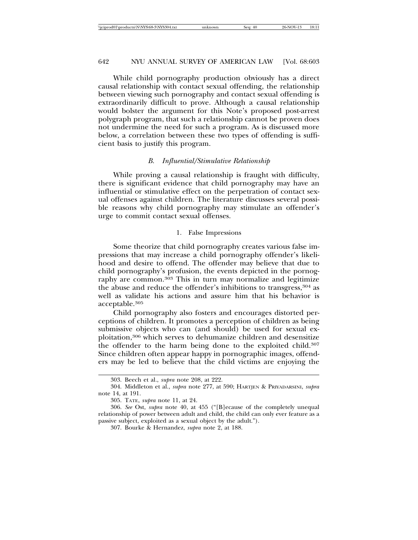While child pornography production obviously has a direct causal relationship with contact sexual offending, the relationship between viewing such pornography and contact sexual offending is extraordinarily difficult to prove. Although a causal relationship would bolster the argument for this Note's proposed post-arrest polygraph program, that such a relationship cannot be proven does not undermine the need for such a program. As is discussed more below, a correlation between these two types of offending is sufficient basis to justify this program.

#### *B. Influential/Stimulative Relationship*

While proving a causal relationship is fraught with difficulty, there is significant evidence that child pornography may have an influential or stimulative effect on the perpetration of contact sexual offenses against children. The literature discusses several possible reasons why child pornography may stimulate an offender's urge to commit contact sexual offenses.

#### 1. False Impressions

Some theorize that child pornography creates various false impressions that may increase a child pornography offender's likelihood and desire to offend. The offender may believe that due to child pornography's profusion, the events depicted in the pornography are common.<sup>303</sup> This in turn may normalize and legitimize the abuse and reduce the offender's inhibitions to transgress,  $304$  as well as validate his actions and assure him that his behavior is acceptable.305

Child pornography also fosters and encourages distorted perceptions of children. It promotes a perception of children as being submissive objects who can (and should) be used for sexual exploitation,306 which serves to dehumanize children and desensitize the offender to the harm being done to the exploited child.307 Since children often appear happy in pornographic images, offenders may be led to believe that the child victims are enjoying the

<sup>303.</sup> Beech et al., *supra* note 208, at 222.

<sup>304.</sup> Middleton et al., *supra* note 277, at 590; HARTJEN & PRIYADARSINI, *supra* note 14, at 191.

<sup>305.</sup> TATE, *supra* note 11, at 24.

<sup>306.</sup> *See* Ost, *supra* note 40, at 455 ("[B]ecause of the completely unequal relationship of power between adult and child, the child can only ever feature as a passive subject, exploited as a sexual object by the adult.").

<sup>307.</sup> Bourke & Hernandez, *supra* note 2, at 188.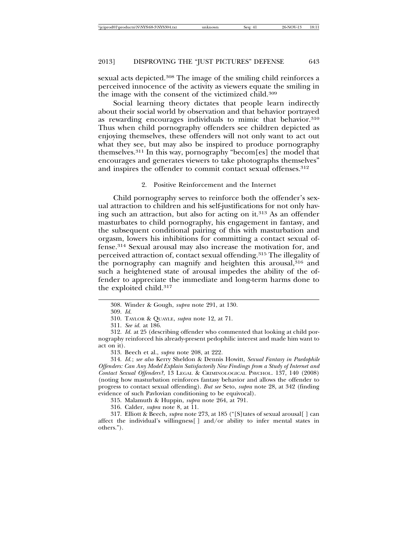sexual acts depicted.308 The image of the smiling child reinforces a perceived innocence of the activity as viewers equate the smiling in the image with the consent of the victimized child.309

Social learning theory dictates that people learn indirectly about their social world by observation and that behavior portrayed as rewarding encourages individuals to mimic that behavior.<sup>310</sup> Thus when child pornography offenders see children depicted as enjoying themselves, these offenders will not only want to act out what they see, but may also be inspired to produce pornography themselves.311 In this way, pornography "becom[es] the model that encourages and generates viewers to take photographs themselves" and inspires the offender to commit contact sexual offenses.<sup>312</sup>

2. Positive Reinforcement and the Internet

Child pornography serves to reinforce both the offender's sexual attraction to children and his self-justifications for not only having such an attraction, but also for acting on it.313 As an offender masturbates to child pornography, his engagement in fantasy, and the subsequent conditional pairing of this with masturbation and orgasm, lowers his inhibitions for committing a contact sexual offense.314 Sexual arousal may also increase the motivation for, and perceived attraction of, contact sexual offending.315 The illegality of the pornography can magnify and heighten this arousal, $316$  and such a heightened state of arousal impedes the ability of the offender to appreciate the immediate and long-term harms done to the exploited child.317

311. *See id.* at 186.

315. Malamuth & Huppin, *supra* note 264, at 791.

<sup>308.</sup> Winder & Gough, *supra* note 291, at 130.

<sup>309.</sup> *Id.*

<sup>310.</sup> TAYLOR & QUAYLE, *supra* note 12, at 71.

<sup>312.</sup> *Id.* at 25 (describing offender who commented that looking at child pornography reinforced his already-present pedophilic interest and made him want to act on it).

<sup>313.</sup> Beech et al., *supra* note 208, at 222*.*

<sup>314.</sup> *Id.*; *see also* Kerry Sheldon & Dennis Howitt, *Sexual Fantasy in Paedophile Offenders: Can Any Model Explain Satisfactorily New Findings from a Study of Internet and Contact Sexual Offenders?*, 13 LEGAL & CRIMINOLOGICAL PSYCHOL. 137, 140 (2008) (noting how masturbation reinforces fantasy behavior and allows the offender to progress to contact sexual offending). *But see* Seto, *supra* note 28, at 342 (finding evidence of such Pavlovian conditioning to be equivocal).

<sup>316.</sup> Calder, *supra* note 8, at 11.

<sup>317.</sup> Elliott & Beech, *supra* note 273, at 185 ("[S]tates of sexual arousal[ ] can affect the individual's willingness[ ] and/or ability to infer mental states in others.").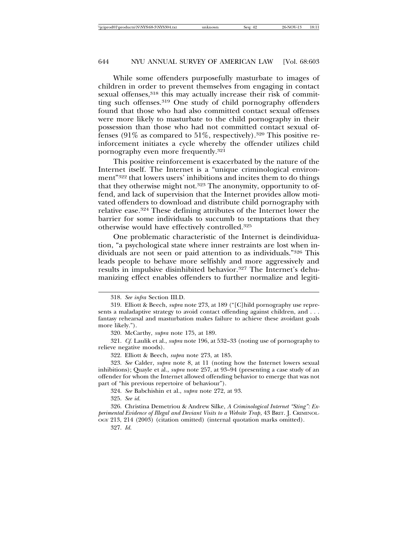While some offenders purposefully masturbate to images of children in order to prevent themselves from engaging in contact sexual offenses,<sup>318</sup> this may actually increase their risk of committing such offenses.319 One study of child pornography offenders found that those who had also committed contact sexual offenses were more likely to masturbate to the child pornography in their possession than those who had not committed contact sexual offenses (91% as compared to 51%, respectively).<sup>320</sup> This positive reinforcement initiates a cycle whereby the offender utilizes child pornography even more frequently.321

This positive reinforcement is exacerbated by the nature of the Internet itself. The Internet is a "unique criminological environment"322 that lowers users' inhibitions and incites them to do things that they otherwise might not.323 The anonymity, opportunity to offend, and lack of supervision that the Internet provides allow motivated offenders to download and distribute child pornography with relative ease.324 These defining attributes of the Internet lower the barrier for some individuals to succumb to temptations that they otherwise would have effectively controlled.325

One problematic characteristic of the Internet is deindividuation, "a psychological state where inner restraints are lost when individuals are not seen or paid attention to as individuals."326 This leads people to behave more selfishly and more aggressively and results in impulsive disinhibited behavior.<sup>327</sup> The Internet's dehumanizing effect enables offenders to further normalize and legiti-

321. *Cf.* Laulik et al., *supra* note 196, at 532–33 (noting use of pornography to relieve negative moods).

322. Elliott & Beech, *supra* note 273, at 185.

323. *See* Calder, *supra* note 8, at 11 (noting how the Internet lowers sexual inhibitions); Quayle et al., *supra* note 257, at 93–94 (presenting a case study of an offender for whom the Internet allowed offending behavior to emerge that was not part of "his previous repertoire of behaviour").

324. *See* Babchishin et al., *supra* note 272, at 93.

325. *See id.*

326. Christina Demetriou & Andrew Silke, *A Criminological Internet "Sting": Experimental Evidence of Illegal and Deviant Visits to a Website Trap*, 43 BRIT. J. CRIMINOL-OGY 213, 214 (2003) (citation omitted) (internal quotation marks omitted).

<sup>318.</sup> *See infra* Section III.D.

<sup>319.</sup> Elliott & Beech, *supra* note 273, at 189 ("[C]hild pornography use represents a maladaptive strategy to avoid contact offending against children, and . . . fantasy rehearsal and masturbation makes failure to achieve these avoidant goals more likely.").

<sup>320.</sup> McCarthy, *supra* note 175, at 189.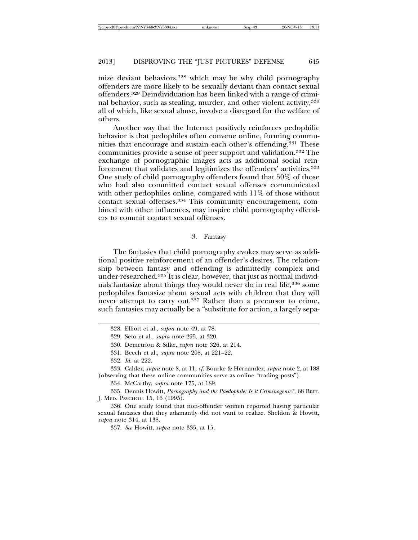mize deviant behaviors,<sup>328</sup> which may be why child pornography offenders are more likely to be sexually deviant than contact sexual offenders.329 Deindividuation has been linked with a range of criminal behavior, such as stealing, murder, and other violent activity,330 all of which, like sexual abuse, involve a disregard for the welfare of others.

Another way that the Internet positively reinforces pedophilic behavior is that pedophiles often convene online, forming communities that encourage and sustain each other's offending.331 These communities provide a sense of peer support and validation.332 The exchange of pornographic images acts as additional social reinforcement that validates and legitimizes the offenders' activities.333 One study of child pornography offenders found that 50% of those who had also committed contact sexual offenses communicated with other pedophiles online, compared with 11\% of those without contact sexual offenses.334 This community encouragement, combined with other influences, may inspire child pornography offenders to commit contact sexual offenses.

#### 3. Fantasy

The fantasies that child pornography evokes may serve as additional positive reinforcement of an offender's desires. The relationship between fantasy and offending is admittedly complex and under-researched.335 It is clear, however, that just as normal individuals fantasize about things they would never do in real life,<sup>336</sup> some pedophiles fantasize about sexual acts with children that they will never attempt to carry out.337 Rather than a precursor to crime, such fantasies may actually be a "substitute for action, a largely sepa-

<sup>328.</sup> Elliott et al., *supra* note 49, at 78.

<sup>329.</sup> Seto et al., *supra* note 295, at 320.

<sup>330.</sup> Demetriou & Silke, *supra* note 326, at 214*.*

<sup>331.</sup> Beech et al., *supra* note 208, at 221–22.

<sup>332.</sup> *Id.* at 222.

<sup>333.</sup> Calder, *supra* note 8, at 11; *cf.* Bourke & Hernandez, *supra* note 2, at 188 (observing that these online communities serve as online "trading posts").

<sup>334.</sup> McCarthy, *supra* note 175, at 189.

<sup>335.</sup> Dennis Howitt, *Pornography and the Paedophile: Is it Criminogenic?*, 68 BRIT. J. MED. PSYCHOL. 15, 16 (1995).

<sup>336.</sup> One study found that non-offender women reported having particular sexual fantasies that they adamantly did not want to realize. Sheldon & Howitt, *supra* note 314, at 138.

<sup>337.</sup> *See* Howitt, *supra* note 335, at 15.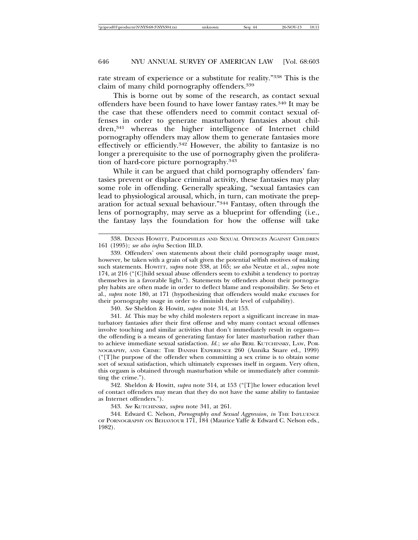rate stream of experience or a substitute for reality."338 This is the claim of many child pornography offenders.339

This is borne out by some of the research, as contact sexual offenders have been found to have lower fantasy rates.340 It may be the case that these offenders need to commit contact sexual offenses in order to generate masturbatory fantasies about children,341 whereas the higher intelligence of Internet child pornography offenders may allow them to generate fantasies more effectively or efficiently.342 However, the ability to fantasize is no longer a prerequisite to the use of pornography given the proliferation of hard-core picture pornography.343

While it can be argued that child pornography offenders' fantasies prevent or displace criminal activity, these fantasies may play some role in offending. Generally speaking, "sexual fantasies can lead to physiological arousal, which, in turn, can motivate the preparation for actual sexual behaviour."344 Fantasy, often through the lens of pornography, may serve as a blueprint for offending (i.e., the fantasy lays the foundation for how the offense will take

340. *See* Sheldon & Howitt, *supra* note 314, at 153.

341. *Id.* This may be why child molesters report a significant increase in masturbatory fantasies after their first offense and why many contact sexual offenses involve touching and similar activities that don't immediately result in orgasm the offending is a means of generating fantasy for later masturbation rather than to achieve immediate sexual satisfaction. *Id.*; *see also* BERL KUTCHINSKY, LAW, POR-NOGRAPHY, AND CRIME: THE DANISH EXPERIENCE 260 (Annika Snare ed., 1999) ("[T]he purpose of the offender when committing a sex crime is to obtain some sort of sexual satisfaction, which ultimately expresses itself in orgasm. Very often, this orgasm is obtained through masturbation while or immediately after committing the crime.").

342. Sheldon & Howitt, *supra* note 314, at 153 ("[T]he lower education level of contact offenders may mean that they do not have the same ability to fantasize as Internet offenders.").

343. *See* KUTCHINSKY, *supra* note 341, at 261.

344. Edward C. Nelson, *Pornography and Sexual Aggression*, *in* THE INFLUENCE OF PORNOGRAPHY ON BEHAVIOUR 171, 184 (Maurice Yaffe & Edward C. Nelson eds., 1982).

<sup>338.</sup> DENNIS HOWITT, PAEDOPHILES AND SEXUAL OFFENCES AGAINST CHILDREN 161 (1995); *see also infra* Section III.D.

<sup>339.</sup> Offenders' own statements about their child pornography usage must, however, be taken with a grain of salt given the potential selfish motives of making such statements. HOWITT, *supra* note 338, at 165; *see also* Neutze et al., *supra* note 174, at 216 ("[C]hild sexual abuse offenders seem to exhibit a tendency to portray themselves in a favorable light."). Statements by offenders about their pornography habits are often made in order to deflect blame and responsibility. *See* Seto et al., *supra* note 180, at 171 (hypothesizing that offenders would make excuses for their pornography usage in order to diminish their level of culpability).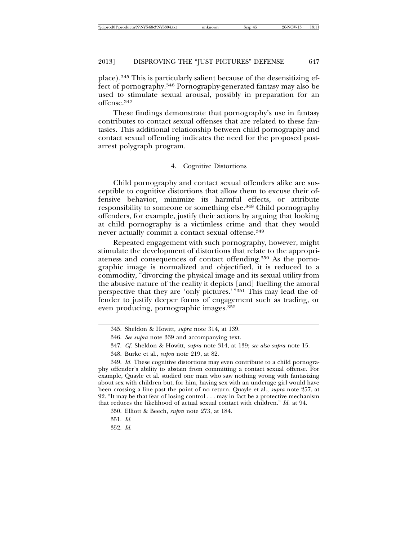place).345 This is particularly salient because of the desensitizing effect of pornography.346 Pornography-generated fantasy may also be used to stimulate sexual arousal, possibly in preparation for an offense.347

These findings demonstrate that pornography's use in fantasy contributes to contact sexual offenses that are related to these fantasies. This additional relationship between child pornography and contact sexual offending indicates the need for the proposed postarrest polygraph program.

#### 4. Cognitive Distortions

Child pornography and contact sexual offenders alike are susceptible to cognitive distortions that allow them to excuse their offensive behavior, minimize its harmful effects, or attribute responsibility to someone or something else.348 Child pornography offenders, for example, justify their actions by arguing that looking at child pornography is a victimless crime and that they would never actually commit a contact sexual offense.<sup>349</sup>

Repeated engagement with such pornography, however, might stimulate the development of distortions that relate to the appropriateness and consequences of contact offending.350 As the pornographic image is normalized and objectified, it is reduced to a commodity, "divorcing the physical image and its sexual utility from the abusive nature of the reality it depicts [and] fuelling the amoral perspective that they are 'only pictures.'"351 This may lead the offender to justify deeper forms of engagement such as trading, or even producing, pornographic images.352

<sup>345.</sup> Sheldon & Howitt, *supra* note 314, at 139.

<sup>346.</sup> *See supra* note 339 and accompanying text.

<sup>347.</sup> *Cf.* Sheldon & Howitt, *supra* note 314, at 139; *see also supra* note 15.

<sup>348.</sup> Burke et al., *supra* note 219, at 82.

<sup>349.</sup> *Id.* These cognitive distortions may even contribute to a child pornography offender's ability to abstain from committing a contact sexual offense. For example, Quayle et al. studied one man who saw nothing wrong with fantasizing about sex with children but, for him, having sex with an underage girl would have been crossing a line past the point of no return. Quayle et al., *supra* note 257, at 92. "It may be that fear of losing control . . . may in fact be a protective mechanism that reduces the likelihood of actual sexual contact with children." *Id.* at 94.

<sup>350.</sup> Elliott & Beech, *supra* note 273, at 184.

<sup>351.</sup> *Id.*

<sup>352.</sup> *Id.*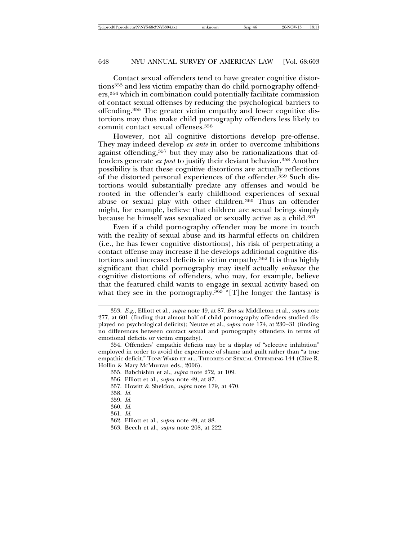Contact sexual offenders tend to have greater cognitive distortions<sup>353</sup> and less victim empathy than do child pornography offenders,354 which in combination could potentially facilitate commission of contact sexual offenses by reducing the psychological barriers to offending.355 The greater victim empathy and fewer cognitive distortions may thus make child pornography offenders less likely to commit contact sexual offenses.356

However, not all cognitive distortions develop pre-offense. They may indeed develop *ex ante* in order to overcome inhibitions against offending,357 but they may also be rationalizations that offenders generate *ex post* to justify their deviant behavior.358 Another possibility is that these cognitive distortions are actually reflections of the distorted personal experiences of the offender.359 Such distortions would substantially predate any offenses and would be rooted in the offender's early childhood experiences of sexual abuse or sexual play with other children.360 Thus an offender might, for example, believe that children are sexual beings simply because he himself was sexualized or sexually active as a child.361

Even if a child pornography offender may be more in touch with the reality of sexual abuse and its harmful effects on children (i.e., he has fewer cognitive distortions), his risk of perpetrating a contact offense may increase if he develops additional cognitive distortions and increased deficits in victim empathy.362 It is thus highly significant that child pornography may itself actually *enhance* the cognitive distortions of offenders, who may, for example, believe that the featured child wants to engage in sexual activity based on what they see in the pornography.<sup>363</sup> "[T]he longer the fantasy is

<sup>353.</sup> *E.g.*, Elliott et al., *supra* note 49, at 87. *But see* Middleton et al., *supra* note 277, at 601 (finding that almost half of child pornography offenders studied displayed no psychological deficits); Neutze et al., *supra* note 174, at 230–31 (finding no differences between contact sexual and pornography offenders in terms of emotional deficits or victim empathy).

<sup>354.</sup> Offenders' empathic deficits may be a display of "selective inhibition" employed in order to avoid the experience of shame and guilt rather than "a true empathic deficit." TONY WARD ET AL., THEORIES OF SEXUAL OFFENDING 144 (Clive R. Hollin & Mary McMurran eds., 2006).

<sup>355.</sup> Babchishin et al., *supra* note 272, at 109.

<sup>356.</sup> Elliott et al., *supra* note 49, at 87.

<sup>357.</sup> Howitt & Sheldon, *supra* note 179, at 470.

<sup>358.</sup> *Id.*

<sup>359.</sup> *Id.*

<sup>360.</sup> *Id.*

<sup>361.</sup> *Id.*

<sup>362.</sup> Elliott et al., *supra* note 49, at 88.

<sup>363.</sup> Beech et al., *supra* note 208, at 222.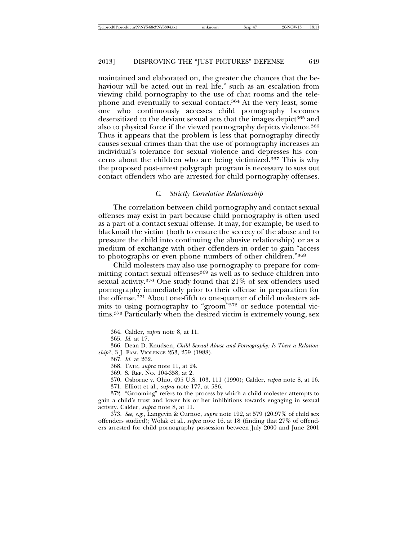maintained and elaborated on, the greater the chances that the behaviour will be acted out in real life," such as an escalation from viewing child pornography to the use of chat rooms and the telephone and eventually to sexual contact.364 At the very least, someone who continuously accesses child pornography becomes desensitized to the deviant sexual acts that the images depict<sup>365</sup> and also to physical force if the viewed pornography depicts violence.366 Thus it appears that the problem is less that pornography directly causes sexual crimes than that the use of pornography increases an individual's tolerance for sexual violence and depresses his concerns about the children who are being victimized.367 This is why the proposed post-arrest polygraph program is necessary to suss out contact offenders who are arrested for child pornography offenses.

#### *C. Strictly Correlative Relationship*

The correlation between child pornography and contact sexual offenses may exist in part because child pornography is often used as a part of a contact sexual offense. It may, for example, be used to blackmail the victim (both to ensure the secrecy of the abuse and to pressure the child into continuing the abusive relationship) or as a medium of exchange with other offenders in order to gain "access to photographs or even phone numbers of other children."368

Child molesters may also use pornography to prepare for committing contact sexual offenses<sup>369</sup> as well as to seduce children into sexual activity.370 One study found that 21% of sex offenders used pornography immediately prior to their offense in preparation for the offense.371 About one-fifth to one-quarter of child molesters admits to using pornography to "groom"372 or seduce potential victims.373 Particularly when the desired victim is extremely young, sex

370. Osborne v. Ohio, 495 U.S. 103, 111 (1990); Calder, *supra* note 8, at 16.

372. "Grooming" refers to the process by which a child molester attempts to gain a child's trust and lower his or her inhibitions towards engaging in sexual activity. Calder, *supra* note 8, at 11.

373. *See, e.g.*, Langevin & Curnoe, *supra* note 192, at 579 (20.97% of child sex offenders studied); Wolak et al., *supra* note 16, at 18 (finding that 27% of offenders arrested for child pornography possession between July 2000 and June 2001

<sup>364.</sup> Calder, *supra* note 8, at 11.

<sup>365.</sup> *Id.* at 17.

<sup>366.</sup> Dean D. Knudsen, *Child Sexual Abuse and Pornography: Is There a Relationship?*, 3 J. FAM. VIOLENCE 253, 259 (1988).

<sup>367.</sup> *Id.* at 262.

<sup>368.</sup> TATE, *supra* note 11, at 24.

<sup>369.</sup> S. REP. NO. 104-358, at 2.

<sup>371.</sup> Elliott et al., *supra* note 177, at 586.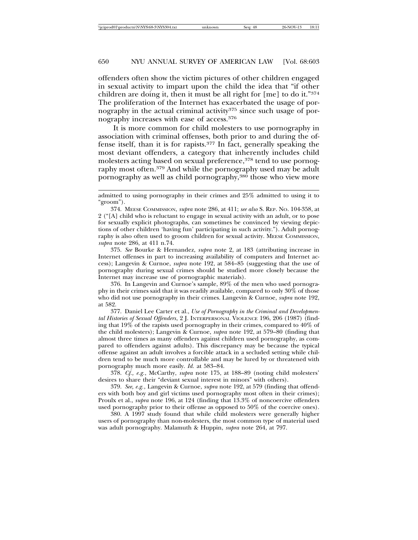offenders often show the victim pictures of other children engaged in sexual activity to impart upon the child the idea that "if other children are doing it, then it must be all right for [me] to do it."374 The proliferation of the Internet has exacerbated the usage of pornography in the actual criminal activity<sup>375</sup> since such usage of pornography increases with ease of access.376

It is more common for child molesters to use pornography in association with criminal offenses, both prior to and during the offense itself, than it is for rapists.377 In fact, generally speaking the most deviant offenders, a category that inherently includes child molesters acting based on sexual preference,<sup>378</sup> tend to use pornography most often.<sup>379</sup> And while the pornography used may be adult pornography as well as child pornography,380 those who view more

375. *See* Bourke & Hernandez, *supra* note 2, at 183 (attributing increase in Internet offenses in part to increasing availability of computers and Internet access); Langevin & Curnoe, *supra* note 192, at 584–85 (suggesting that the use of pornography during sexual crimes should be studied more closely because the Internet may increase use of pornographic materials).

376. In Langevin and Curnoe's sample, 89% of the men who used pornography in their crimes said that it was readily available, compared to only 30% of those who did not use pornography in their crimes. Langevin & Curnoe, *supra* note 192, at 582.

377. Daniel Lee Carter et al., *Use of Pornography in the Criminal and Developmental Histories of Sexual Offenders*, 2 J. INTERPERSONAL VIOLENCE 196, 206 (1987) (finding that 19% of the rapists used pornography in their crimes, compared to 40% of the child molesters); Langevin & Curnoe, *supra* note 192, at 579–80 (finding that almost three times as many offenders against children used pornography, as compared to offenders against adults). This discrepancy may be because the typical offense against an adult involves a forcible attack in a secluded setting while children tend to be much more controllable and may be lured by or threatened with pornography much more easily. *Id.* at 583–84.

378. *Cf., e.g.*, McCarthy, *supra* note 175, at 188–89 (noting child molesters' desires to share their "deviant sexual interest in minors" with others).

379. *See, e.g.*, Langevin & Curnoe, *supra* note 192, at 579 (finding that offenders with both boy and girl victims used pornography most often in their crimes); Proulx et al., *supra* note 196, at 124 (finding that 13.3% of noncoercive offenders used pornography prior to their offense as opposed to 50% of the coercive ones).

380. A 1997 study found that while child molesters were generally higher users of pornography than non-molesters, the most common type of material used was adult pornography. Malamuth & Huppin, *supra* note 264, at 797.

admitted to using pornography in their crimes and 25% admitted to using it to "groom").

<sup>374.</sup> MEESE COMMISSION, *supra* note 286, at 411; *see also* S. REP. NO. 104-358, at 2 ("[A] child who is reluctant to engage in sexual activity with an adult, or to pose for sexually explicit photographs, can sometimes be convinced by viewing depictions of other children 'having fun' participating in such activity."). Adult pornography is also often used to groom children for sexual activity. MEESE COMMISSION, *supra* note 286, at 411 n.74.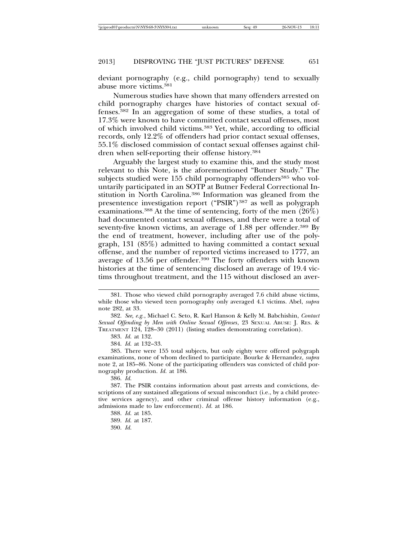deviant pornography (e.g., child pornography) tend to sexually abuse more victims.381

Numerous studies have shown that many offenders arrested on child pornography charges have histories of contact sexual offenses.382 In an aggregation of some of these studies, a total of 17.3% were known to have committed contact sexual offenses, most of which involved child victims.383 Yet, while, according to official records, only 12.2% of offenders had prior contact sexual offenses, 55.1% disclosed commission of contact sexual offenses against children when self-reporting their offense history.384

Arguably the largest study to examine this, and the study most relevant to this Note, is the aforementioned "Butner Study." The subjects studied were 155 child pornography offenders<sup>385</sup> who voluntarily participated in an SOTP at Butner Federal Correctional Institution in North Carolina.386 Information was gleaned from the presentence investigation report ("PSIR")<sup>387</sup> as well as polygraph examinations.388 At the time of sentencing, forty of the men (26%) had documented contact sexual offenses, and there were a total of seventy-five known victims, an average of 1.88 per offender.<sup>389</sup> By the end of treatment, however, including after use of the polygraph, 131 (85%) admitted to having committed a contact sexual offense, and the number of reported victims increased to 1777, an average of 13.56 per offender.390 The forty offenders with known histories at the time of sentencing disclosed an average of 19.4 victims throughout treatment, and the 115 without disclosed an aver-

383. *Id.* at 132.

384. *Id.* at 132–33.

385. There were 155 total subjects, but only eighty were offered polygraph examinations, none of whom declined to participate. Bourke & Hernandez, *supra* note 2, at 185–86. None of the participating offenders was convicted of child pornography production. *Id.* at 186.

386. *Id.*

387. The PSIR contains information about past arrests and convictions, descriptions of any sustained allegations of sexual misconduct (i.e., by a child protective services agency), and other criminal offense history information (e.g., admissions made to law enforcement). *Id.* at 186.

<sup>381.</sup> Those who viewed child pornography averaged 7.6 child abuse victims, while those who viewed teen pornography only averaged 4.1 victims. Abel, *supra* note 282, at 33.

<sup>382.</sup> *See, e.g.*, Michael C. Seto, R. Karl Hanson & Kelly M. Babchishin, *Contact Sexual Offending by Men with Online Sexual Offenses*, 23 SEXUAL ABUSE: J. RES. & TREATMENT 124, 128–30 (2011) (listing studies demonstrating correlation).

<sup>388.</sup> *Id.* at 185.

<sup>389.</sup> *Id.* at 187.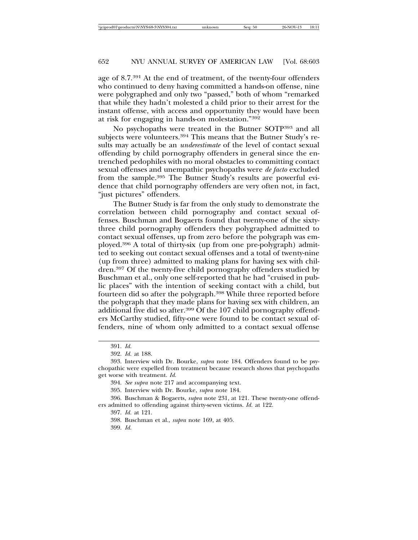age of 8.7.391 At the end of treatment, of the twenty-four offenders who continued to deny having committed a hands-on offense, nine were polygraphed and only two "passed," both of whom "remarked that while they hadn't molested a child prior to their arrest for the instant offense, with access and opportunity they would have been at risk for engaging in hands-on molestation."392

No psychopaths were treated in the Butner SOTP393 and all subjects were volunteers.<sup>394</sup> This means that the Butner Study's results may actually be an *underestimate* of the level of contact sexual offending by child pornography offenders in general since the entrenched pedophiles with no moral obstacles to committing contact sexual offenses and unempathic psychopaths were *de facto* excluded from the sample.395 The Butner Study's results are powerful evidence that child pornography offenders are very often not, in fact, "just pictures" offenders.

The Butner Study is far from the only study to demonstrate the correlation between child pornography and contact sexual offenses. Buschman and Bogaerts found that twenty-one of the sixtythree child pornography offenders they polygraphed admitted to contact sexual offenses, up from zero before the polygraph was employed.396 A total of thirty-six (up from one pre-polygraph) admitted to seeking out contact sexual offenses and a total of twenty-nine (up from three) admitted to making plans for having sex with children.397 Of the twenty-five child pornography offenders studied by Buschman et al., only one self-reported that he had "cruised in public places" with the intention of seeking contact with a child, but fourteen did so after the polygraph.398 While three reported before the polygraph that they made plans for having sex with children, an additional five did so after.<sup>399</sup> Of the 107 child pornography offenders McCarthy studied, fifty-one were found to be contact sexual offenders, nine of whom only admitted to a contact sexual offense

<sup>391.</sup> *Id.*

<sup>392.</sup> *Id.* at 188.

<sup>393.</sup> Interview with Dr. Bourke, *supra* note 184. Offenders found to be psychopathic were expelled from treatment because research shows that psychopaths get worse with treatment. *Id.*

<sup>394.</sup> *See supra* note 217 and accompanying text.

<sup>395.</sup> Interview with Dr. Bourke, *supra* note 184.

<sup>396.</sup> Buschman & Bogaerts, *supra* note 231, at 121. These twenty-one offenders admitted to offending against thirty-seven victims. *Id.* at 122.

<sup>397.</sup> *Id.* at 121.

<sup>398.</sup> Buschman et al., *supra* note 169, at 405.

<sup>399.</sup> *Id.*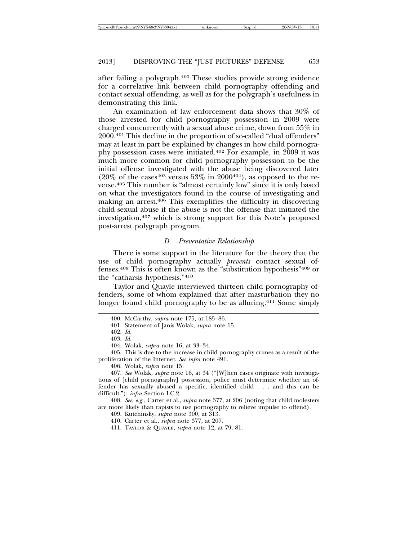after failing a polygraph.400 These studies provide strong evidence for a correlative link between child pornography offending and contact sexual offending, as well as for the polygraph's usefulness in demonstrating this link.

An examination of law enforcement data shows that 30% of those arrested for child pornography possession in 2009 were charged concurrently with a sexual abuse crime, down from 55% in 2000.401 This decline in the proportion of so-called "dual offenders" may at least in part be explained by changes in how child pornography possession cases were initiated.402 For example, in 2009 it was much more common for child pornography possession to be the initial offense investigated with the abuse being discovered later  $(20\% \text{ of the cases}^{403} \text{ versus } 53\% \text{ in } 2000^{404})$ , as opposed to the reverse.405 This number is "almost certainly low" since it is only based on what the investigators found in the course of investigating and making an arrest.406 This exemplifies the difficulty in discovering child sexual abuse if the abuse is not the offense that initiated the investigation,407 which is strong support for this Note's proposed post-arrest polygraph program.

#### *D. Preventative Relationship*

There is some support in the literature for the theory that the use of child pornography actually *prevents* contact sexual offenses.408 This is often known as the "substitution hypothesis"409 or the "catharsis hypothesis."410

Taylor and Quayle interviewed thirteen child pornography offenders, some of whom explained that after masturbation they no longer found child pornography to be as alluring.411 Some simply

405. This is due to the increase in child pornography crimes as a result of the proliferation of the Internet. *See infra* note 491.

407. *See* Wolak, *supra* note 16, at 34 ("[W]hen cases originate with investigations of [child pornography] possession, police must determine whether an offender has sexually abused a specific, identified child . . . and this can be difficult."); *infra* Section I.C.2.

408. *See, e.g.*, Carter et al., *supra* note 377, at 206 (noting that child molesters are more likely than rapists to use pornography to relieve impulse to offend).

409. Kutchinsky, *supra* note 300, at 313.

410. Carter et al., *supra* note 377, at 207.

411. TAYLOR & QUAYLE, *supra* note 12, at 79, 81.

<sup>400.</sup> McCarthy, *supra* note 175, at 185–86.

<sup>401.</sup> Statement of Janis Wolak, *supra* note 15*.*

<sup>402.</sup> *Id.*

<sup>403.</sup> *Id.*

<sup>404.</sup> Wolak, *supra* note 16, at 33–34.

<sup>406.</sup> Wolak, *supra* note 15.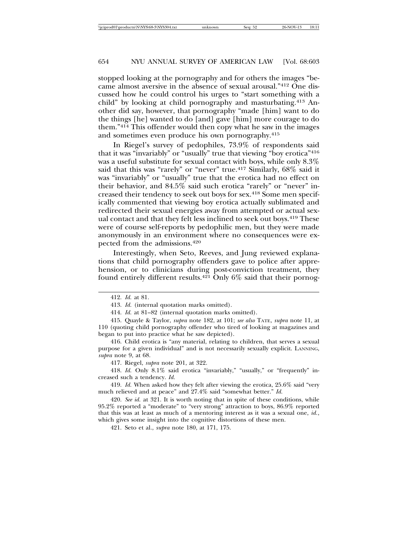stopped looking at the pornography and for others the images "became almost aversive in the absence of sexual arousal."412 One discussed how he could control his urges to "start something with a child" by looking at child pornography and masturbating.413 Another did say, however, that pornography "made [him] want to do the things [he] wanted to do [and] gave [him] more courage to do them."414 This offender would then copy what he saw in the images and sometimes even produce his own pornography.415

In Riegel's survey of pedophiles, 73.9% of respondents said that it was "invariably" or "usually" true that viewing "boy erotica"416 was a useful substitute for sexual contact with boys, while only 8.3% said that this was "rarely" or "never" true.417 Similarly, 68% said it was "invariably" or "usually" true that the erotica had no effect on their behavior, and 84.5% said such erotica "rarely" or "never" increased their tendency to seek out boys for sex.418 Some men specifically commented that viewing boy erotica actually sublimated and redirected their sexual energies away from attempted or actual sexual contact and that they felt less inclined to seek out boys.<sup>419</sup> These were of course self-reports by pedophilic men, but they were made anonymously in an environment where no consequences were expected from the admissions.420

Interestingly, when Seto, Reeves, and Jung reviewed explanations that child pornography offenders gave to police after apprehension, or to clinicians during post-conviction treatment, they found entirely different results.<sup>421</sup> Only  $6\%$  said that their pornog-

421. Seto et al., *supra* note 180, at 171, 175.

<sup>412.</sup> *Id.* at 81.

<sup>413.</sup> *Id.* (internal quotation marks omitted).

<sup>414.</sup> *Id.* at 81–82 (internal quotation marks omitted).

<sup>415.</sup> Quayle & Taylor, *supra* note 182, at 101; *see also* TATE, *supra* note 11, at 110 (quoting child pornography offender who tired of looking at magazines and began to put into practice what he saw depicted).

<sup>416.</sup> Child erotica is "any material, relating to children, that serves a sexual purpose for a given individual" and is not necessarily sexually explicit. LANNING, *supra* note 9, at 68.

<sup>417.</sup> Riegel, *supra* note 201, at 322.

<sup>418.</sup> *Id.* Only 8.1% said erotica "invariably," "usually," or "frequently" increased such a tendency. *Id.*

<sup>419.</sup> *Id.* When asked how they felt after viewing the erotica, 25.6% said "very much relieved and at peace" and 27.4% said "somewhat better." *Id.*

<sup>420.</sup> *See id.* at 321. It is worth noting that in spite of these conditions, while 95.2% reported a "moderate" to "very strong" attraction to boys, 86.9% reported that this was at least as much of a mentoring interest as it was a sexual one, *id.*, which gives some insight into the cognitive distortions of these men.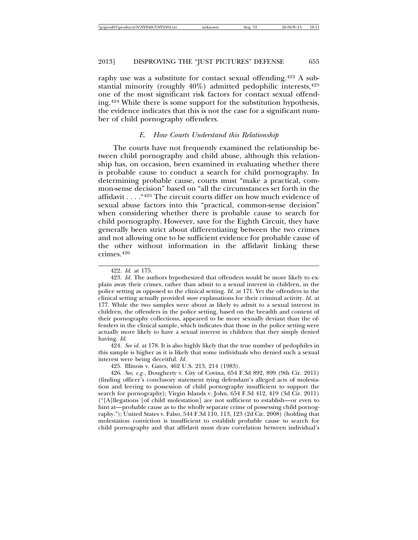raphy use was a substitute for contact sexual offending.422 A substantial minority (roughly  $40\%$ ) admitted pedophilic interests,  $423$ one of the most significant risk factors for contact sexual offending.424 While there is some support for the substitution hypothesis, the evidence indicates that this is not the case for a significant number of child pornography offenders.

#### *E. How Courts Understand this Relationship*

The courts have not frequently examined the relationship between child pornography and child abuse, although this relationship has, on occasion, been examined in evaluating whether there is probable cause to conduct a search for child pornography. In determining probable cause, courts must "make a practical, common-sense decision" based on "all the circumstances set forth in the affidavit . . . . "425 The circuit courts differ on how much evidence of sexual abuse factors into this "practical, common-sense decision" when considering whether there is probable cause to search for child pornography. However, save for the Eighth Circuit, they have generally been strict about differentiating between the two crimes and not allowing one to be sufficient evidence for probable cause of the other without information in the affidavit linking these crimes.426

424. *See id.* at 178. It is also highly likely that the true number of pedophiles in this sample is higher as it is likely that some individuals who denied such a sexual interest were being deceitful. *Id.*

425. Illinois v. Gates, 462 U.S. 213, 214 (1983).

426. *See, e.g.*, Dougherty v. City of Covina, 654 F.3d 892, 899 (9th Cir. 2011) (finding officer's conclusory statement tying defendant's alleged acts of molestation and leering to possession of child pornography insufficient to support the search for pornography); Virgin Islands v. John, 654 F.3d 412, 419 (3d Cir. 2011) ("[A]llegations [of child molestation] are not sufficient to establish—or even to hint at—probable cause as to the wholly separate crime of possessing child pornography."); United States v. Falso, 544 F.3d 110, 113, 123 (2d Cir. 2008) (holding that molestation conviction is insufficient to establish probable cause to search for child pornography and that affidavit must draw correlation between individual's

<sup>422.</sup> *Id.* at 175.

<sup>423.</sup> *Id.* The authors hypothesized that offenders would be more likely to explain away their crimes, rather than admit to a sexual interest in children, in the police setting as opposed to the clinical setting. *Id.* at 171. Yet the offenders in the clinical setting actually provided *more* explanations for their criminal activity. *Id.* at 177. While the two samples were about as likely to admit to a sexual interest in children, the offenders in the police setting, based on the breadth and content of their pornography collections, appeared to be more sexually deviant than the offenders in the clinical sample, which indicates that those in the police setting were actually more likely to have a sexual interest in children that they simply denied having. *Id.*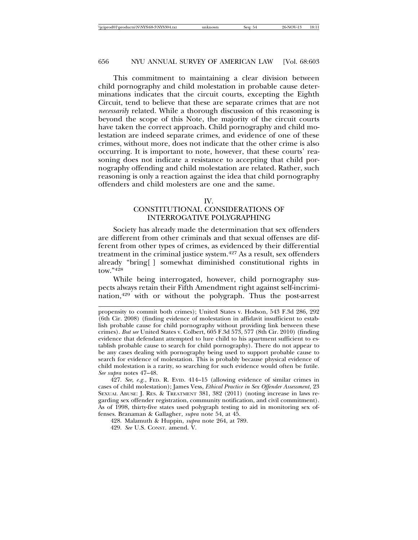This commitment to maintaining a clear division between child pornography and child molestation in probable cause determinations indicates that the circuit courts, excepting the Eighth Circuit, tend to believe that these are separate crimes that are not *necessarily* related. While a thorough discussion of this reasoning is beyond the scope of this Note, the majority of the circuit courts have taken the correct approach. Child pornography and child molestation are indeed separate crimes, and evidence of one of these crimes, without more, does not indicate that the other crime is also occurring. It is important to note, however, that these courts' reasoning does not indicate a resistance to accepting that child pornography offending and child molestation are related. Rather, such reasoning is only a reaction against the idea that child pornography offenders and child molesters are one and the same.

#### IV.

# CONSTITUTIONAL CONSIDERATIONS OF INTERROGATIVE POLYGRAPHING

Society has already made the determination that sex offenders are different from other criminals and that sexual offenses are different from other types of crimes, as evidenced by their differential treatment in the criminal justice system.427 As a result, sex offenders already "bring[ ] somewhat diminished constitutional rights in tow."428

While being interrogated, however, child pornography suspects always retain their Fifth Amendment right against self-incrimination,429 with or without the polygraph. Thus the post-arrest

427. *See, e.g.*, FED. R. EVID. 414–15 (allowing evidence of similar crimes in cases of child molestation); James Vess, *Ethical Practice in Sex Offender Assessment*, 23 SEXUAL ABUSE: J. RES. & TREATMENT 381, 382 (2011) (noting increase in laws regarding sex offender registration, community notification, and civil commitment). As of 1998, thirty-five states used polygraph testing to aid in monitoring sex offenses. Branaman & Gallagher, *supra* note 54, at 45.

428. Malamuth & Huppin, *supra* note 264, at 789.

429. *See* U.S. CONST. amend. V.

propensity to commit both crimes); United States v. Hodson, 543 F.3d 286, 292 (6th Cir. 2008) (finding evidence of molestation in affidavit insufficient to establish probable cause for child pornography without providing link between these crimes). *But see* United States v. Colbert, 605 F.3d 573, 577 (8th Cir. 2010) (finding evidence that defendant attempted to lure child to his apartment sufficient to establish probable cause to search for child pornography). There do not appear to be any cases dealing with pornography being used to support probable cause to search for evidence of molestation. This is probably because physical evidence of child molestation is a rarity, so searching for such evidence would often be futile. *See supra* notes 47–48.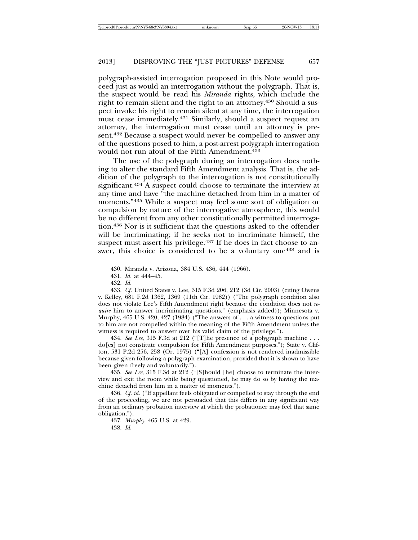polygraph-assisted interrogation proposed in this Note would proceed just as would an interrogation without the polygraph. That is, the suspect would be read his *Miranda* rights, which include the right to remain silent and the right to an attorney.<sup>430</sup> Should a suspect invoke his right to remain silent at any time, the interrogation must cease immediately.431 Similarly, should a suspect request an attorney, the interrogation must cease until an attorney is present.432 Because a suspect would never be compelled to answer any of the questions posed to him, a post-arrest polygraph interrogation would not run afoul of the Fifth Amendment.433

The use of the polygraph during an interrogation does nothing to alter the standard Fifth Amendment analysis. That is, the addition of the polygraph to the interrogation is not constitutionally significant.<sup>434</sup> A suspect could choose to terminate the interview at any time and have "the machine detached from him in a matter of moments."435 While a suspect may feel some sort of obligation or compulsion by nature of the interrogative atmosphere, this would be no different from any other constitutionally permitted interrogation.436 Nor is it sufficient that the questions asked to the offender will be incriminating; if he seeks not to incriminate himself, the suspect must assert his privilege.<sup>437</sup> If he does in fact choose to answer, this choice is considered to be a voluntary one<sup>438</sup> and is

434. *See Lee*, 315 F.3d at 212 ("[T]he presence of a polygraph machine . . . do[es] not constitute compulsion for Fifth Amendment purposes."); State v. Clifton, 531 P.2d 256, 258 (Or. 1975) ("[A] confession is not rendered inadmissible because given following a polygraph examination, provided that it is shown to have been given freely and voluntarily.").

435. *See Lee*, 315 F.3d at 212 ("[S]hould [he] choose to terminate the interview and exit the room while being questioned, he may do so by having the machine detachd from him in a matter of moments.").

436. *Cf. id.* ("If appellant feels obligated or compelled to stay through the end of the proceeding, we are not persuaded that this differs in any significant way from an ordinary probation interview at which the probationer may feel that same obligation.").

437. *Murphy*, 465 U.S. at 429.

<sup>430.</sup> Miranda v. Arizona, 384 U.S. 436, 444 (1966).

<sup>431.</sup> *Id.* at 444–45.

<sup>432.</sup> *Id.*

<sup>433.</sup> *Cf.* United States v. Lee, 315 F.3d 206, 212 (3d Cir. 2003) (citing Owens v. Kelley, 681 F.2d 1362, 1369 (11th Cir. 1982)) ("The polygraph condition also does not violate Lee's Fifth Amendment right because the condition does not *require* him to answer incriminating questions." (emphasis added)); Minnesota v. Murphy, 465 U.S. 420, 427 (1984) ("The answers of . . . a witness to questions put to him are not compelled within the meaning of the Fifth Amendment unless the witness is required to answer over his valid claim of the privilege.").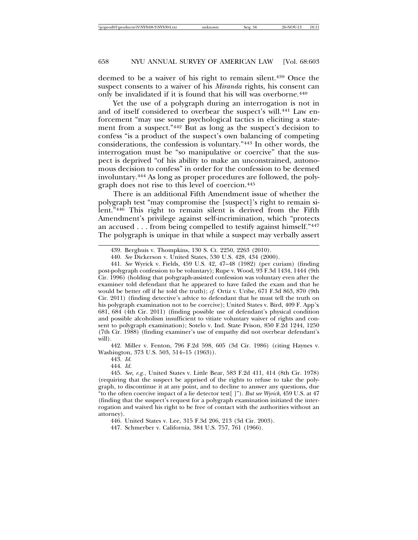deemed to be a waiver of his right to remain silent.439 Once the suspect consents to a waiver of his *Miranda* rights, his consent can only be invalidated if it is found that his will was overborne.440

Yet the use of a polygraph during an interrogation is not in and of itself considered to overbear the suspect's will.441 Law enforcement "may use some psychological tactics in eliciting a statement from a suspect."442 But as long as the suspect's decision to confess "is a product of the suspect's own balancing of competing considerations, the confession is voluntary."443 In other words, the interrogation must be "so manipulative or coercive" that the suspect is deprived "of his ability to make an unconstrained, autonomous decision to confess" in order for the confession to be deemed involuntary.444 As long as proper procedures are followed, the polygraph does not rise to this level of coercion.445

There is an additional Fifth Amendment issue of whether the polygraph test "may compromise the [suspect]'s right to remain silent."446 This right to remain silent is derived from the Fifth Amendment's privilege against self-incrimination, which "protects an accused . . . from being compelled to testify against himself."447 The polygraph is unique in that while a suspect may verbally assert

442. Miller v. Fenton, 796 F.2d 598, 605 (3d Cir. 1986) (citing Haynes v. Washington, 373 U.S. 503, 514–15 (1963)).

443. *Id.*

444. *Id.*

445. *See, e.g.*, United States v. Little Bear, 583 F.2d 411, 414 (8th Cir. 1978) (requiring that the suspect be apprised of the rights to refuse to take the polygraph, to discontinue it at any point, and to decline to answer any questions, due "to the often coercive impact of a lie detector test[ ]"). *But see Wyrick*, 459 U.S. at 47 (finding that the suspect's request for a polygraph examination initiated the interrogation and waived his right to be free of contact with the authorities without an attorney).

<sup>439.</sup> Berghuis v. Thompkins, 130 S. Ct. 2250, 2263 (2010).

<sup>440.</sup> *See* Dickerson v. United States, 530 U.S. 428, 434 (2000).

<sup>441.</sup> *See* Wyrick v. Fields, 459 U.S. 42, 47–48 (1982) (per curiam) (finding post-polygraph confession to be voluntary); Rupe v. Wood, 93 F.3d 1434, 1444 (9th Cir. 1996) (holding that polygraph-assisted confession was voluntary even after the examiner told defendant that he appeared to have failed the exam and that he would be better off if he told the truth); *cf.* Ortiz v. Uribe, 671 F.3d 863, 870 (9th Cir. 2011) (finding detective's advice to defendant that he must tell the truth on his polygraph examination not to be coercive); United States v. Bird, 409 F. App'x 681, 684 (4th Cir. 2011) (finding possible use of defendant's physical condition and possible alcoholism insufficient to vitiate voluntary waiver of rights and consent to polygraph examination); Sotelo v. Ind. State Prison, 850 F.2d 1244, 1250 (7th Cir. 1988) (finding examiner's use of empathy did not overbear defendant's will).

<sup>446.</sup> United States v. Lee, 315 F.3d 206, 213 (3d Cir. 2003).

<sup>447.</sup> Schmerber v. California, 384 U.S. 757, 761 (1966).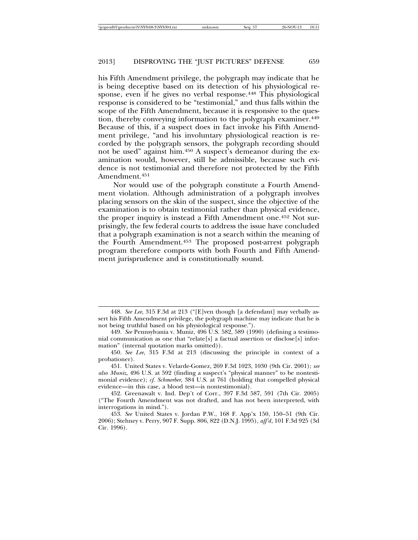his Fifth Amendment privilege, the polygraph may indicate that he is being deceptive based on its detection of his physiological response, even if he gives no verbal response.<sup>448</sup> This physiological response is considered to be "testimonial," and thus falls within the scope of the Fifth Amendment, because it is responsive to the question, thereby conveying information to the polygraph examiner.<sup>449</sup> Because of this, if a suspect does in fact invoke his Fifth Amendment privilege, "and his involuntary physiological reaction is recorded by the polygraph sensors, the polygraph recording should not be used" against him.<sup>450</sup> A suspect's demeanor during the examination would, however, still be admissible, because such evidence is not testimonial and therefore not protected by the Fifth Amendment.451

Nor would use of the polygraph constitute a Fourth Amendment violation. Although administration of a polygraph involves placing sensors on the skin of the suspect, since the objective of the examination is to obtain testimonial rather than physical evidence, the proper inquiry is instead a Fifth Amendment one.452 Not surprisingly, the few federal courts to address the issue have concluded that a polygraph examination is not a search within the meaning of the Fourth Amendment.453 The proposed post-arrest polygraph program therefore comports with both Fourth and Fifth Amendment jurisprudence and is constitutionally sound.

<sup>448.</sup> *See Lee*, 315 F.3d at 213 ("[E]ven though [a defendant] may verbally assert his Fifth Amendment privilege, the polygraph machine may indicate that he is not being truthful based on his physiological response.").

<sup>449.</sup> *See* Pennsylvania v. Muniz, 496 U.S. 582, 589 (1990) (defining a testimonial communication as one that "relate[s] a factual assertion or disclose[s] information" (internal quotation marks omitted)).

<sup>450.</sup> *See Lee*, 315 F.3d at 213 (discussing the principle in context of a probationer).

<sup>451.</sup> United States v. Velarde-Gomez, 269 F.3d 1023, 1030 (9th Cir. 2001); *see also Muniz*, 496 U.S. at 592 (finding a suspect's "physical manner" to be nontestimonial evidence); *cf. Schmerber*, 384 U.S. at 761 (holding that compelled physical evidence—in this case, a blood test—is nontestimonial).

<sup>452.</sup> Greenawalt v. Ind. Dep't of Corr., 397 F.3d 587, 591 (7th Cir. 2005) ("The Fourth Amendment was not drafted, and has not been interpreted, with interrogations in mind.").

<sup>453.</sup> *See* United States v. Jordan P.W., 168 F. App'x 150, 150–51 (9th Cir. 2006); Stehney v. Perry, 907 F. Supp. 806, 822 (D.N.J. 1995), *aff'd*, 101 F.3d 925 (3d Cir. 1996).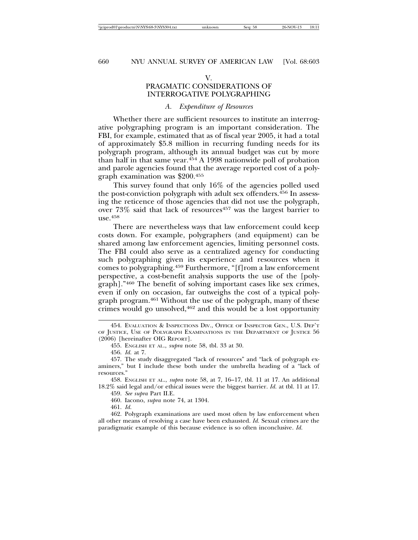#### V.

# PRAGMATIC CONSIDERATIONS OF INTERROGATIVE POLYGRAPHING

#### *A. Expenditure of Resources*

Whether there are sufficient resources to institute an interrogative polygraphing program is an important consideration. The FBI, for example, estimated that as of fiscal year 2005, it had a total of approximately \$5.8 million in recurring funding needs for its polygraph program, although its annual budget was cut by more than half in that same year. $454 \text{ A}$  1998 nationwide poll of probation and parole agencies found that the average reported cost of a polygraph examination was \$200.455

This survey found that only 16% of the agencies polled used the post-conviction polygraph with adult sex offenders.456 In assessing the reticence of those agencies that did not use the polygraph, over 73% said that lack of resources<sup>457</sup> was the largest barrier to use.458

There are nevertheless ways that law enforcement could keep costs down. For example, polygraphers (and equipment) can be shared among law enforcement agencies, limiting personnel costs. The FBI could also serve as a centralized agency for conducting such polygraphing given its experience and resources when it comes to polygraphing.459 Furthermore, "[f]rom a law enforcement perspective, a cost-benefit analysis supports the use of the [polygraph]."460 The benefit of solving important cases like sex crimes, even if only on occasion, far outweighs the cost of a typical polygraph program.<sup>461</sup> Without the use of the polygraph, many of these crimes would go unsolved,462 and this would be a lost opportunity

458. ENGLISH ET AL., *supra* note 58, at 7, 16–17, tbl. 11 at 17. An additional 18.2% said legal and/or ethical issues were the biggest barrier. *Id.* at tbl. 11 at 17.

459. *See supra* Part II.E.

460. Iacono, *supra* note 74, at 1304.

461. *Id.*

462. Polygraph examinations are used most often by law enforcement when all other means of resolving a case have been exhausted. *Id.* Sexual crimes are the paradigmatic example of this because evidence is so often inconclusive. *Id.*

<sup>454.</sup> EVALUATION & INSPECTIONS DIV., OFFICE OF INSPECTOR GEN., U.S. DEP'T OF JUSTICE, USE OF POLYGRAPH EXAMINATIONS IN THE DEPARTMENT OF JUSTICE 56 (2006) [hereinafter OIG REPORT].

<sup>455.</sup> ENGLISH ET AL., *supra* note 58, tbl. 33 at 30.

<sup>456.</sup> *Id.* at 7.

<sup>457.</sup> The study disaggregated "lack of resources" and "lack of polygraph examiners," but I include these both under the umbrella heading of a "lack of resources."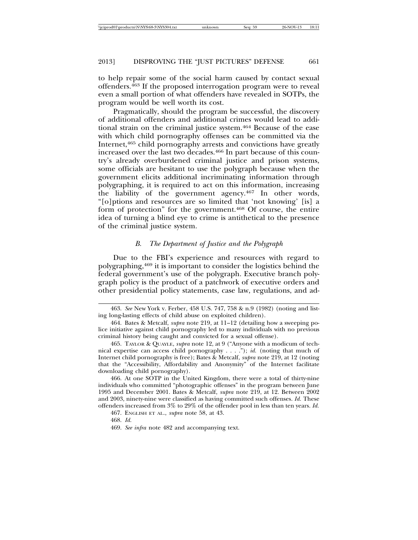to help repair some of the social harm caused by contact sexual offenders.463 If the proposed interrogation program were to reveal even a small portion of what offenders have revealed in SOTPs, the program would be well worth its cost.

Pragmatically, should the program be successful, the discovery of additional offenders and additional crimes would lead to additional strain on the criminal justice system.464 Because of the ease with which child pornography offenses can be committed via the Internet,465 child pornography arrests and convictions have greatly increased over the last two decades.<sup>466</sup> In part because of this country's already overburdened criminal justice and prison systems, some officials are hesitant to use the polygraph because when the government elicits additional incriminating information through polygraphing, it is required to act on this information, increasing the liability of the government agency.467 In other words, "[o]ptions and resources are so limited that 'not knowing' [is] a form of protection" for the government.468 Of course, the entire idea of turning a blind eye to crime is antithetical to the presence of the criminal justice system.

#### *B. The Department of Justice and the Polygraph*

Due to the FBI's experience and resources with regard to polygraphing,469 it is important to consider the logistics behind the federal government's use of the polygraph. Executive branch polygraph policy is the product of a patchwork of executive orders and other presidential policy statements, case law, regulations, and ad-

<sup>463.</sup> *See* New York v. Ferber, 458 U.S. 747, 758 & n.9 (1982) (noting and listing long-lasting effects of child abuse on exploited children).

<sup>464.</sup> Bates & Metcalf, *supra* note 219, at 11–12 (detailing how a sweeping police initiative against child pornography led to many individuals with no previous criminal history being caught and convicted for a sexual offense).

<sup>465.</sup> TAYLOR & QUAYLE, *supra* note 12, at 9 ("Anyone with a modicum of technical expertise can access child pornography . . . ."); *id.* (noting that much of Internet child pornography is free); Bates & Metcalf, *supra* note 219, at 12 (noting that the "Accessibility, Affordability and Anonymity" of the Internet facilitate downloading child pornography).

<sup>466.</sup> At one SOTP in the United Kingdom, there were a total of thirty-nine individuals who committed "photographic offenses" in the program between June 1995 and December 2001. Bates & Metcalf, *supra* note 219, at 12. Between 2002 and 2003, ninety-nine were classified as having committed such offenses. *Id.* These offenders increased from 3% to 29% of the offender pool in less than ten years. *Id.*

<sup>467.</sup> ENGLISH ET AL., *supra* note 58, at 43.

<sup>468.</sup> *Id.*

<sup>469.</sup> *See infra* note 482 and accompanying text.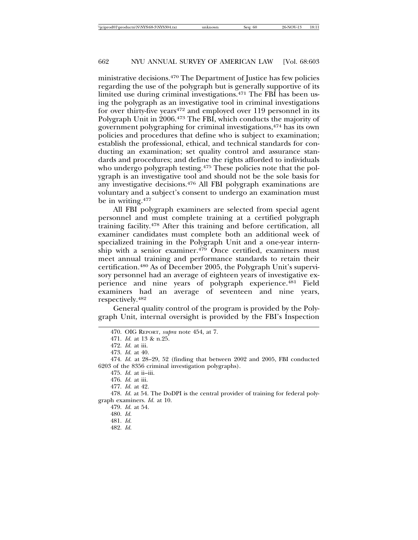ministrative decisions.470 The Department of Justice has few policies regarding the use of the polygraph but is generally supportive of its limited use during criminal investigations.471 The FBI has been using the polygraph as an investigative tool in criminal investigations for over thirty-five years<sup>472</sup> and employed over 119 personnel in its Polygraph Unit in 2006.473 The FBI, which conducts the majority of government polygraphing for criminal investigations,474 has its own policies and procedures that define who is subject to examination; establish the professional, ethical, and technical standards for conducting an examination; set quality control and assurance standards and procedures; and define the rights afforded to individuals who undergo polygraph testing.<sup>475</sup> These policies note that the polygraph is an investigative tool and should not be the sole basis for any investigative decisions.476 All FBI polygraph examinations are voluntary and a subject's consent to undergo an examination must be in writing.477

All FBI polygraph examiners are selected from special agent personnel and must complete training at a certified polygraph training facility.478 After this training and before certification, all examiner candidates must complete both an additional week of specialized training in the Polygraph Unit and a one-year internship with a senior examiner.<sup>479</sup> Once certified, examiners must meet annual training and performance standards to retain their certification.480 As of December 2005, the Polygraph Unit's supervisory personnel had an average of eighteen years of investigative experience and nine years of polygraph experience.481 Field examiners had an average of seventeen and nine years, respectively.482

General quality control of the program is provided by the Polygraph Unit, internal oversight is provided by the FBI's Inspection

<sup>470.</sup> OIG REPORT, *supra* note 454, at 7.

<sup>471.</sup> *Id.* at 13 & n.25.

<sup>472.</sup> *Id.* at iii.

<sup>473.</sup> *Id.* at 40.

<sup>474.</sup> *Id.* at 28–29, 52 (finding that between 2002 and 2005, FBI conducted 6203 of the 8356 criminal investigation polygraphs).

<sup>475.</sup> *Id.* at ii–iii.

<sup>476.</sup> *Id.* at iii.

<sup>477.</sup> *Id.* at 42.

<sup>478.</sup> *Id.* at 54. The DoDPI is the central provider of training for federal polygraph examiners. *Id.* at 10.

<sup>479.</sup> *Id.* at 54.

<sup>480.</sup> *Id.*

<sup>481.</sup> *Id.*

<sup>482.</sup> *Id.*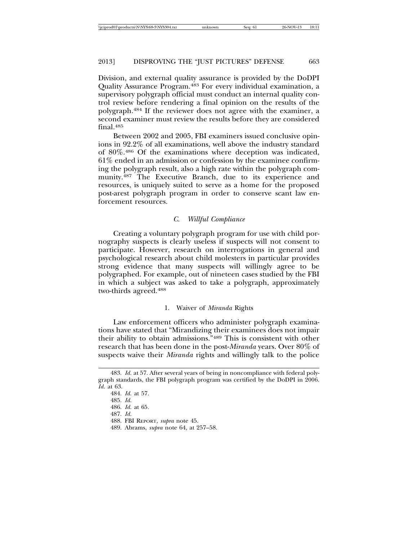Division, and external quality assurance is provided by the DoDPI Quality Assurance Program.483 For every individual examination, a supervisory polygraph official must conduct an internal quality control review before rendering a final opinion on the results of the polygraph.484 If the reviewer does not agree with the examiner, a second examiner must review the results before they are considered final.485

Between 2002 and 2005, FBI examiners issued conclusive opinions in 92.2% of all examinations, well above the industry standard of 80%.486 Of the examinations where deception was indicated, 61% ended in an admission or confession by the examinee confirming the polygraph result, also a high rate within the polygraph community.487 The Executive Branch, due to its experience and resources, is uniquely suited to serve as a home for the proposed post-arest polygraph program in order to conserve scant law enforcement resources.

#### *C. Willful Compliance*

Creating a voluntary polygraph program for use with child pornography suspects is clearly useless if suspects will not consent to participate. However, research on interrogations in general and psychological research about child molesters in particular provides strong evidence that many suspects will willingly agree to be polygraphed. For example, out of nineteen cases studied by the FBI in which a subject was asked to take a polygraph, approximately two-thirds agreed.488

#### 1. Waiver of *Miranda* Rights

Law enforcement officers who administer polygraph examinations have stated that "Mirandizing their examinees does not impair their ability to obtain admissions."489 This is consistent with other research that has been done in the post-*Miranda* years. Over 80% of suspects waive their *Miranda* rights and willingly talk to the police

<sup>483.</sup> *Id.* at 57. After several years of being in noncompliance with federal polygraph standards, the FBI polygraph program was certified by the DoDPI in 2006. *Id.* at 63.

<sup>484.</sup> *Id.* at 57.

<sup>485.</sup> *Id.*

<sup>486.</sup> *Id.* at 65.

<sup>487.</sup> *Id.*

<sup>488.</sup> FBI REPORT, *supra* note 45.

<sup>489.</sup> Abrams, *supra* note 64, at 257–58.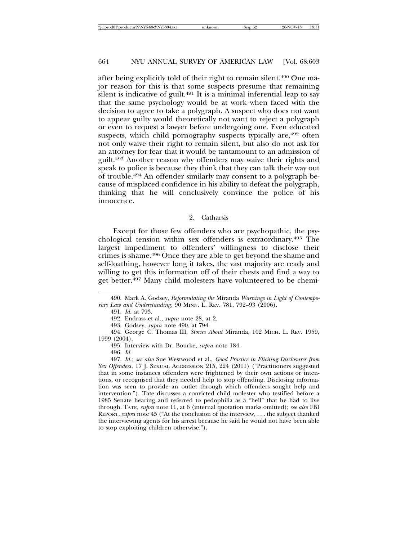after being explicitly told of their right to remain silent.490 One major reason for this is that some suspects presume that remaining silent is indicative of guilt. $491$  It is a minimal inferential leap to say that the same psychology would be at work when faced with the decision to agree to take a polygraph. A suspect who does not want to appear guilty would theoretically not want to reject a polygraph or even to request a lawyer before undergoing one. Even educated suspects, which child pornography suspects typically are,<sup>492</sup> often not only waive their right to remain silent, but also do not ask for an attorney for fear that it would be tantamount to an admission of guilt.493 Another reason why offenders may waive their rights and speak to police is because they think that they can talk their way out of trouble.494 An offender similarly may consent to a polygraph because of misplaced confidence in his ability to defeat the polygraph, thinking that he will conclusively convince the police of his innocence.

#### 2. Catharsis

Except for those few offenders who are psychopathic, the psychological tension within sex offenders is extraordinary.495 The largest impediment to offenders' willingness to disclose their crimes is shame.496 Once they are able to get beyond the shame and self-loathing, however long it takes, the vast majority are ready and willing to get this information off of their chests and find a way to get better.497 Many child molesters have volunteered to be chemi-

491. *Id.* at 793.

492. Endrass et al., *supra* note 28, at 2.

493. Godsey, *supra* note 490, at 794.

494. George C. Thomas III, *Stories About* Miranda, 102 MICH. L. REV. 1959, 1999 (2004).

495. Interview with Dr. Bourke, *supra* note 184.

496. *Id.*

497. *Id.*; *see also* Sue Westwood et al., *Good Practice in Eliciting Disclosures from Sex Offenders*, 17 J. SEXUAL AGGRESSION 215, 224 (2011) ("Practitioners suggested that in some instances offenders were frightened by their own actions or intentions, or recognised that they needed help to stop offending. Disclosing information was seen to provide an outlet through which offenders sought help and intervention."). Tate discusses a convicted child molester who testified before a 1985 Senate hearing and referred to pedophilia as a "hell" that he had to live through. TATE, *supra* note 11, at 6 (internal quotation marks omitted); *see also* FBI REPORT, *supra* note 45 ("At the conclusion of the interview, . . . the subject thanked the interviewing agents for his arrest because he said he would not have been able to stop exploiting children otherwise.").

<sup>490.</sup> Mark A. Godsey, *Reformulating the* Miranda *Warnings in Light of Contemporary Law and Understanding*, 90 MINN. L. REV. 781, 792–93 (2006).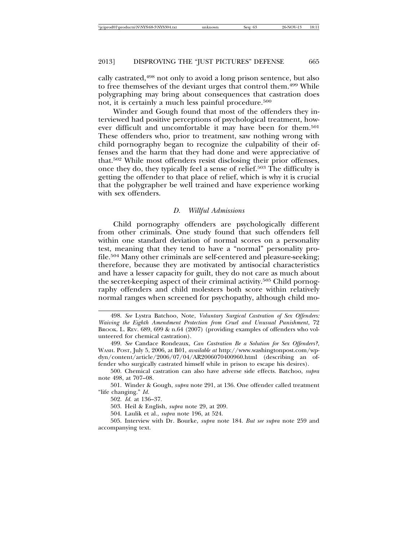cally castrated,498 not only to avoid a long prison sentence, but also to free themselves of the deviant urges that control them.499 While polygraphing may bring about consequences that castration does not, it is certainly a much less painful procedure.500

Winder and Gough found that most of the offenders they interviewed had positive perceptions of psychological treatment, however difficult and uncomfortable it may have been for them.<sup>501</sup> These offenders who, prior to treatment, saw nothing wrong with child pornography began to recognize the culpability of their offenses and the harm that they had done and were appreciative of that.502 While most offenders resist disclosing their prior offenses, once they do, they typically feel a sense of relief.503 The difficulty is getting the offender to that place of relief, which is why it is crucial that the polygrapher be well trained and have experience working with sex offenders.

#### *D. Willful Admissions*

Child pornography offenders are psychologically different from other criminals. One study found that such offenders fell within one standard deviation of normal scores on a personality test, meaning that they tend to have a "normal" personality profile.504 Many other criminals are self-centered and pleasure-seeking; therefore, because they are motivated by antisocial characteristics and have a lesser capacity for guilt, they do not care as much about the secret-keeping aspect of their criminal activity.505 Child pornography offenders and child molesters both score within relatively normal ranges when screened for psychopathy, although child mo-

<sup>498.</sup> *See* Lystra Batchoo, Note, *Voluntary Surgical Castration of Sex Offenders: Waiving the Eighth Amendment Protection from Cruel and Unusual Punishment*, 72 BROOK. L. REV. 689, 699 & n.64 (2007) (providing examples of offenders who volunteered for chemical castration).

<sup>499.</sup> *See* Candace Rondeaux, *Can Castration Be a Solution for Sex Offenders?*, WASH. POST, July 5, 2006, at B01, *available at* http://www.washingtonpost.com/wpdyn/content/article/2006/07/04/AR2006070400960.html (describing an offender who surgically castrated himself while in prison to escape his desires).

<sup>500.</sup> Chemical castration can also have adverse side effects. Batchoo, *supra* note 498, at 707–08.

<sup>501.</sup> Winder & Gough, *supra* note 291, at 136. One offender called treatment "life changing." *Id.*

<sup>502.</sup> *Id.* at 136–37.

<sup>503.</sup> Heil & English, *supra* note 29, at 209.

<sup>504.</sup> Laulik et al., *supra* note 196, at 524.

<sup>505.</sup> Interview with Dr. Bourke, *supra* note 184. *But see supra* note 259 and accompanying text.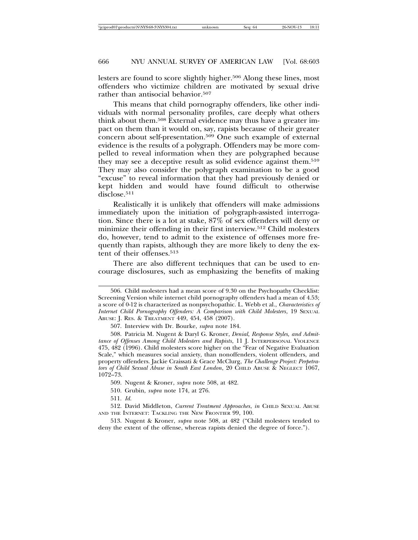lesters are found to score slightly higher.<sup>506</sup> Along these lines, most offenders who victimize children are motivated by sexual drive rather than antisocial behavior.<sup>507</sup>

This means that child pornography offenders, like other individuals with normal personality profiles, care deeply what others think about them.508 External evidence may thus have a greater impact on them than it would on, say, rapists because of their greater concern about self-presentation.509 One such example of external evidence is the results of a polygraph. Offenders may be more compelled to reveal information when they are polygraphed because they may see a deceptive result as solid evidence against them.510 They may also consider the polygraph examination to be a good "excuse" to reveal information that they had previously denied or kept hidden and would have found difficult to otherwise disclose.<sup>511</sup>

Realistically it is unlikely that offenders will make admissions immediately upon the initiation of polygraph-assisted interrogation. Since there is a lot at stake, 87% of sex offenders will deny or minimize their offending in their first interview.512 Child molesters do, however, tend to admit to the existence of offenses more frequently than rapists, although they are more likely to deny the extent of their offenses.513

There are also different techniques that can be used to encourage disclosures, such as emphasizing the benefits of making

<sup>506.</sup> Child molesters had a mean score of 9.30 on the Psychopathy Checklist: Screening Version while internet child pornography offenders had a mean of 4.53; a score of 0-12 is characterized as nonpsychopathic. L. Webb et al., *Characteristics of Internet Child Pornography Offenders: A Comparison with Child Molesters*, 19 SEXUAL ABUSE: J. RES. & TREATMENT 449, 454, 458 (2007).

<sup>507.</sup> Interview with Dr. Bourke, *supra* note 184.

<sup>508.</sup> Patricia M. Nugent & Daryl G. Kroner, *Denial, Response Styles, and Admittance of Offenses Among Child Molesters and Rapists*, 11 J. INTERPERSONAL VIOLENCE 475, 482 (1996). Child molesters score higher on the "Fear of Negative Evaluation Scale," which measures social anxiety, than nonoffenders, violent offenders, and property offenders. Jackie Craissati & Grace McClurg, *The Challenge Project: Perpetrators of Child Sexual Abuse in South East London*, 20 CHILD ABUSE & NEGLECT 1067, 1072–73.

<sup>509.</sup> Nugent & Kroner, *supra* note 508, at 482.

<sup>510.</sup> Grubin, *supra* note 174, at 276.

<sup>512.</sup> David Middleton, *Current Treatment Approaches*, *in* CHILD SEXUAL ABUSE AND THE INTERNET: TACKLING THE NEW FRONTIER 99, 100.

<sup>513.</sup> Nugent & Kroner, *supra* note 508, at 482 ("Child molesters tended to deny the extent of the offense, whereas rapists denied the degree of force.").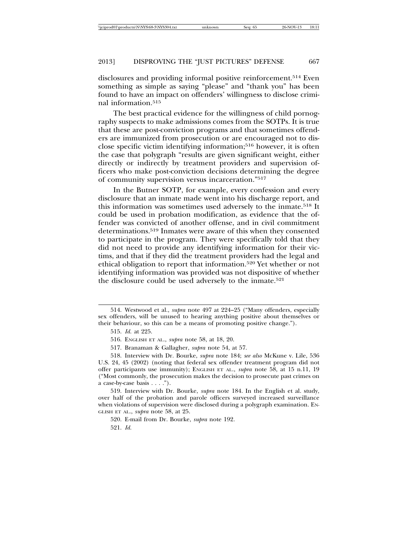disclosures and providing informal positive reinforcement.514 Even something as simple as saying "please" and "thank you" has been found to have an impact on offenders' willingness to disclose criminal information.515

The best practical evidence for the willingness of child pornography suspects to make admissions comes from the SOTPs. It is true that these are post-conviction programs and that sometimes offenders are immunized from prosecution or are encouraged not to disclose specific victim identifying information;516 however, it is often the case that polygraph "results are given significant weight, either directly or indirectly by treatment providers and supervision officers who make post-conviction decisions determining the degree of community supervision versus incarceration."517

In the Butner SOTP, for example, every confession and every disclosure that an inmate made went into his discharge report, and this information was sometimes used adversely to the inmate.518 It could be used in probation modification, as evidence that the offender was convicted of another offense, and in civil commitment determinations.519 Inmates were aware of this when they consented to participate in the program. They were specifically told that they did not need to provide any identifying information for their victims, and that if they did the treatment providers had the legal and ethical obligation to report that information.520 Yet whether or not identifying information was provided was not dispositive of whether the disclosure could be used adversely to the inmate.<sup>521</sup>

517. Branaman & Gallagher, *supra* note 54, at 57.

<sup>514.</sup> Westwood et al., *supra* note 497 at 224–25 ("Many offenders, especially sex offenders, will be unused to hearing anything positive about themselves or their behaviour, so this can be a means of promoting positive change.").

<sup>515.</sup> *Id.* at 225.

<sup>516.</sup> ENGLISH ET AL., *supra* note 58, at 18, 20.

<sup>518.</sup> Interview with Dr. Bourke, *supra* note 184; *see also* McKune v. Lile, 536 U.S. 24, 45 (2002) (noting that federal sex offender treatment program did not offer participants use immunity); ENGLISH ET AL., *supra* note 58, at 15 n.11, 19 ("Most commonly, the prosecution makes the decision to prosecute past crimes on a case-by-case basis . . . .").

<sup>519.</sup> Interview with Dr. Bourke, *supra* note 184. In the English et al. study, over half of the probation and parole officers surveyed increased surveillance when violations of supervision were disclosed during a polygraph examination. EN-GLISH ET AL., *supra* note 58, at 25.

<sup>520.</sup> E-mail from Dr. Bourke, *supra* note 192.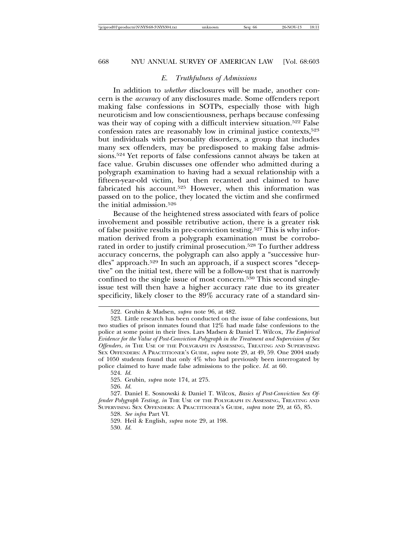### *E. Truthfulness of Admissions*

In addition to *whether* disclosures will be made, another concern is the *accuracy* of any disclosures made. Some offenders report making false confessions in SOTPs, especially those with high neuroticism and low conscientiousness, perhaps because confessing was their way of coping with a difficult interview situation.<sup>522</sup> False confession rates are reasonably low in criminal justice contexts,<sup>523</sup> but individuals with personality disorders, a group that includes many sex offenders, may be predisposed to making false admissions.524 Yet reports of false confessions cannot always be taken at face value. Grubin discusses one offender who admitted during a polygraph examination to having had a sexual relationship with a fifteen-year-old victim, but then recanted and claimed to have fabricated his account.<sup>525</sup> However, when this information was passed on to the police, they located the victim and she confirmed the initial admission.526

Because of the heightened stress associated with fears of police involvement and possible retributive action, there is a greater risk of false positive results in pre-conviction testing.527 This is why information derived from a polygraph examination must be corroborated in order to justify criminal prosecution.528 To further address accuracy concerns, the polygraph can also apply a "successive hurdles" approach.529 In such an approach, if a suspect scores "deceptive" on the initial test, there will be a follow-up test that is narrowly confined to the single issue of most concern.530 This second singleissue test will then have a higher accuracy rate due to its greater specificity, likely closer to the 89% accuracy rate of a standard sin-

<sup>522.</sup> Grubin & Madsen, *supra* note 96, at 482.

<sup>523.</sup> Little research has been conducted on the issue of false confessions, but two studies of prison inmates found that 12% had made false confessions to the police at some point in their lives. Lars Madsen & Daniel T. Wilcox, *The Empirical Evidence for the Value of Post-Conviction Polygraph in the Treatment and Supervision of Sex Offenders*, *in* THE USE OF THE POLYGRAPH IN ASSESSING, TREATING AND SUPERVISING SEX OFFENDERS: A PRACTITIONER'S GUIDE, *supra* note 29, at 49, 59. One 2004 study of 1050 students found that only 4% who had previously been interrogated by police claimed to have made false admissions to the police. *Id.* at 60.

<sup>524.</sup> *Id.*

<sup>525.</sup> Grubin, *supra* note 174, at 275.

<sup>527.</sup> Daniel E. Sosnowski & Daniel T. Wilcox, *Basics of Post-Conviction Sex Offender Polygraph Testing*, *in* THE USE OF THE POLYGRAPH IN ASSESSING, TREATING AND SUPERVISING SEX OFFENDERS: A PRACTITIONER'S GUIDE, *supra* note 29, at 65, 85.

<sup>528.</sup> *See infra* Part VI.

<sup>529.</sup> Heil & English, *supra* note 29, at 198.

<sup>530.</sup> *Id.*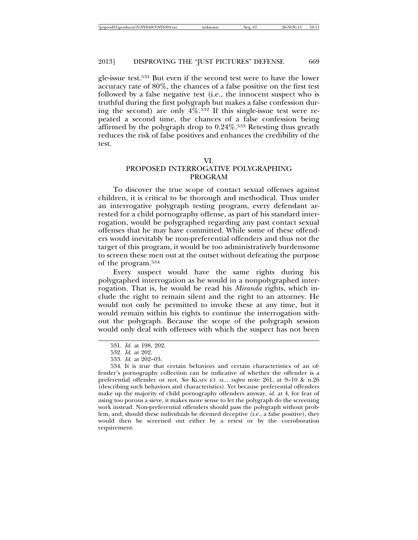gle-issue test.531 But even if the second test were to have the lower accuracy rate of 80%, the chances of a false positive on the first test followed by a false negative test (i.e., the innocent suspect who is truthful during the first polygraph but makes a false confession during the second) are only  $4\%$ .<sup>532</sup> If this single-issue test were repeated a second time, the chances of a false confession being affirmed by the polygraph drop to 0.24%.<sup>533</sup> Retesting thus greatly reduces the risk of false positives and enhances the credibility of the test.

# PROPOSED INTERROGATIVE POLYGRAPHING PROGRAM

To discover the true scope of contact sexual offenses against children, it is critical to be thorough and methodical. Thus under an interrogative polygraph testing program, every defendant arrested for a child pornography offense, as part of his standard interrogation, would be polygraphed regarding any past contact sexual offenses that he may have committed. While some of these offenders would inevitably be non-preferential offenders and thus not the target of this program, it would be too administratively burdensome to screen these men out at the outset without defeating the purpose of the program.534

Every suspect would have the same rights during his polygraphed interrogation as he would in a nonpolygraphed interrogation. That is, he would be read his *Miranda* rights, which include the right to remain silent and the right to an attorney. He would not only be permitted to invoke these at any time, but it would remain within his rights to continue the interrogation without the polygraph. Because the scope of the polygraph session would only deal with offenses with which the suspect has not been

<sup>531.</sup> *Id.* at 198, 202.

<sup>532.</sup> *Id.* at 202.

<sup>533.</sup> *Id.* at 202–03.

<sup>534.</sup> It is true that certain behaviors and certain characteristics of an offender's pornography collection can be indicative of whether the offender is a preferential offender or not. *See* KLAIN ET AL., *supra* note 261, at 9–10 & n.26 (describing such behaviors and characteristics). Yet because preferential offenders make up the majority of child pornography offenders anyway, *id.* at 4, for fear of using too porous a sieve, it makes more sense to let the polygraph do the screening work instead. Non-preferential offenders should pass the polygraph without problem, and, should these individuals be deemed deceptive (i.e., a false positive), they would then be screened out either by a retest or by the corroboration requirement.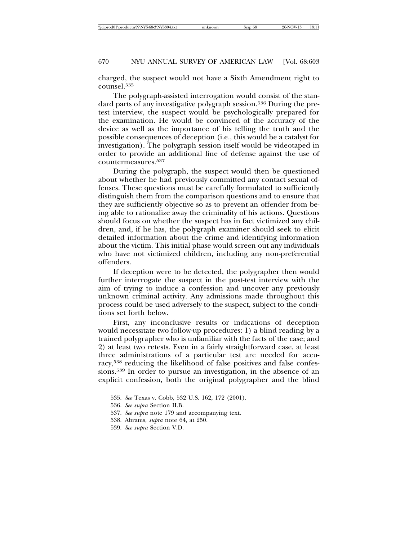charged, the suspect would not have a Sixth Amendment right to counsel.535

The polygraph-assisted interrogation would consist of the standard parts of any investigative polygraph session.<sup>536</sup> During the pretest interview, the suspect would be psychologically prepared for the examination. He would be convinced of the accuracy of the device as well as the importance of his telling the truth and the possible consequences of deception (i.e., this would be a catalyst for investigation). The polygraph session itself would be videotaped in order to provide an additional line of defense against the use of countermeasures.537

During the polygraph, the suspect would then be questioned about whether he had previously committed any contact sexual offenses. These questions must be carefully formulated to sufficiently distinguish them from the comparison questions and to ensure that they are sufficiently objective so as to prevent an offender from being able to rationalize away the criminality of his actions. Questions should focus on whether the suspect has in fact victimized any children, and, if he has, the polygraph examiner should seek to elicit detailed information about the crime and identifying information about the victim. This initial phase would screen out any individuals who have not victimized children, including any non-preferential offenders.

If deception were to be detected, the polygrapher then would further interrogate the suspect in the post-test interview with the aim of trying to induce a confession and uncover any previously unknown criminal activity. Any admissions made throughout this process could be used adversely to the suspect, subject to the conditions set forth below.

First, any inconclusive results or indications of deception would necessitate two follow-up procedures: 1) a blind reading by a trained polygrapher who is unfamiliar with the facts of the case; and 2) at least two retests. Even in a fairly straightforward case, at least three administrations of a particular test are needed for accuracy,538 reducing the likelihood of false positives and false confessions.539 In order to pursue an investigation, in the absence of an explicit confession, both the original polygrapher and the blind

- 538. Abrams, *supra* note 64, at 250.
- 539. *See supra* Section V.D.

<sup>535.</sup> *See* Texas v. Cobb, 532 U.S. 162, 172 (2001).

<sup>536.</sup> *See supra* Section II.B.

<sup>537.</sup> *See supra* note 179 and accompanying text.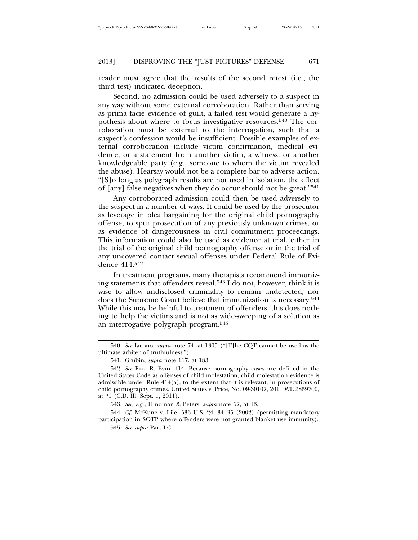reader must agree that the results of the second retest (i.e., the third test) indicated deception.

Second, no admission could be used adversely to a suspect in any way without some external corroboration. Rather than serving as prima facie evidence of guilt, a failed test would generate a hypothesis about where to focus investigative resources.540 The corroboration must be external to the interrogation, such that a suspect's confession would be insufficient. Possible examples of external corroboration include victim confirmation, medical evidence, or a statement from another victim, a witness, or another knowledgeable party (e.g., someone to whom the victim revealed the abuse). Hearsay would not be a complete bar to adverse action. "[S]o long as polygraph results are not used in isolation, the effect of [any] false negatives when they do occur should not be great."541

Any corroborated admission could then be used adversely to the suspect in a number of ways. It could be used by the prosecutor as leverage in plea bargaining for the original child pornography offense, to spur prosecution of any previously unknown crimes, or as evidence of dangerousness in civil commitment proceedings. This information could also be used as evidence at trial, either in the trial of the original child pornography offense or in the trial of any uncovered contact sexual offenses under Federal Rule of Evidence 414.542

In treatment programs, many therapists recommend immunizing statements that offenders reveal.543 I do not, however, think it is wise to allow undisclosed criminality to remain undetected, nor does the Supreme Court believe that immunization is necessary.544 While this may be helpful to treatment of offenders, this does nothing to help the victims and is not as wide-sweeping of a solution as an interrogative polygraph program.545

544. *Cf.* McKune v. Lile, 536 U.S. 24, 34–35 (2002) (permitting mandatory participation in SOTP where offenders were not granted blanket use immunity).

545. *See supra* Part I.C.

<sup>540.</sup> *See* Iacono, *supra* note 74, at 1305 ("[T]he CQT cannot be used as the ultimate arbiter of truthfulness.").

<sup>541.</sup> Grubin, *supra* note 117, at 183.

<sup>542.</sup> *See* FED. R. EVID. 414. Because pornography cases are defined in the United States Code as offenses of child molestation, child molestation evidence is admissible under Rule  $414(a)$ , to the extent that it is relevant, in prosecutions of child pornography crimes. United States v. Price, No. 09-30107, 2011 WL 3859700, at \*1 (C.D. Ill. Sept. 1, 2011).

<sup>543.</sup> *See, e.g.*, Hindman & Peters, *supra* note 57, at 13.